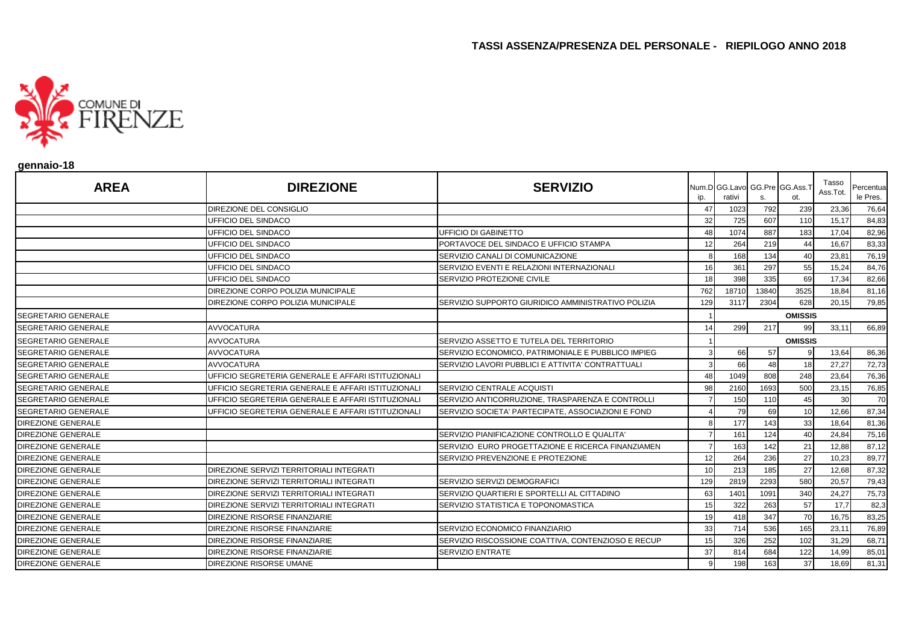

#### **gennaio-18**

| <b>AREA</b>                | <b>DIREZIONE</b>                                   | <b>SERVIZIO</b>                                    | ip. | Num.D GG.Lavo GG.Pre GG.Ass.T<br>rativi |       | ot.             | Tasso<br>Ass.Tot. | Percentua<br>le Pres. |
|----------------------------|----------------------------------------------------|----------------------------------------------------|-----|-----------------------------------------|-------|-----------------|-------------------|-----------------------|
|                            | <b>DIREZIONE DEL CONSIGLIO</b>                     |                                                    | 47  | 1023                                    | 792   | 239             | 23,36             | 76,64                 |
|                            | UFFICIO DEL SINDACO                                |                                                    | 32  | 725                                     | 607   | 110             | 15,17             | 84,83                 |
|                            | UFFICIO DEL SINDACO                                | UFFICIO DI GABINETTO                               | 48  | 1074                                    | 887   | 183             | 17,04             | 82,96                 |
|                            | UFFICIO DEL SINDACO                                | PORTAVOCE DEL SINDACO E UFFICIO STAMPA             | 12  | 264                                     | 219   | 44              | 16,67             | 83,33                 |
|                            | UFFICIO DEL SINDACO                                | SERVIZIO CANALI DI COMUNICAZIONE                   |     | 168                                     | 134   | 40              | 23,81             | 76,19                 |
|                            | UFFICIO DEL SINDACO                                | SERVIZIO EVENTI E RELAZIONI INTERNAZIONALI         | 16  | 361                                     | 297   | 55              | 15,24             | 84,76                 |
|                            | UFFICIO DEL SINDACO                                | <b>SERVIZIO PROTEZIONE CIVILE</b>                  | 18  | 398                                     | 335   | 69              | 17,34             | 82,66                 |
|                            | DIREZIONE CORPO POLIZIA MUNICIPALE                 |                                                    | 762 | 18710                                   | 13840 | 3525            | 18,84             | 81,16                 |
|                            | DIREZIONE CORPO POLIZIA MUNICIPALE                 | SERVIZIO SUPPORTO GIURIDICO AMMINISTRATIVO POLIZIA | 129 | 3117                                    | 2304  | 628             | 20,15             | 79,85                 |
| <b>SEGRETARIO GENERALE</b> |                                                    |                                                    |     |                                         |       | <b>OMISSIS</b>  |                   |                       |
| <b>SEGRETARIO GENERALE</b> | <b>AVVOCATURA</b>                                  |                                                    | 14  | 299                                     | 217   | 99              | 33,11             | 66,89                 |
| <b>SEGRETARIO GENERALE</b> | <b>AVVOCATURA</b>                                  | SERVIZIO ASSETTO E TUTELA DEL TERRITORIO           |     |                                         |       | <b>OMISSIS</b>  |                   |                       |
| <b>SEGRETARIO GENERALE</b> | <b>AVVOCATURA</b>                                  | SERVIZIO ECONOMICO, PATRIMONIALE E PUBBLICO IMPIEG |     | 66                                      | 57    |                 | 13,64             | 86,36                 |
| <b>SEGRETARIO GENERALE</b> | <b>AVVOCATURA</b>                                  | SERVIZIO LAVORI PUBBLICI E ATTIVITA' CONTRATTUALI  |     | 66                                      | 48    | 18 <sup>1</sup> | 27,27             | 72,73                 |
| <b>SEGRETARIO GENERALE</b> | UFFICIO SEGRETERIA GENERALE E AFFARI ISTITUZIONALI |                                                    | 48  | 1049                                    | 808   | 248             | 23,64             | 76,36                 |
| <b>SEGRETARIO GENERALE</b> | UFFICIO SEGRETERIA GENERALE E AFFARI ISTITUZIONALI | SERVIZIO CENTRALE ACQUISTI                         | 98  | 2160                                    | 1693  | 500             | 23,15             | 76,85                 |
| <b>SEGRETARIO GENERALE</b> | UFFICIO SEGRETERIA GENERALE E AFFARI ISTITUZIONALI | SERVIZIO ANTICORRUZIONE, TRASPARENZA E CONTROLLI   |     | 150                                     | 110   | 45              | 30                | 70                    |
| <b>SEGRETARIO GENERALE</b> | UFFICIO SEGRETERIA GENERALE E AFFARI ISTITUZIONALI | SERVIZIO SOCIETA' PARTECIPATE, ASSOCIAZIONI E FOND |     | 79                                      | 69    | 10              | 12,66             | 87,34                 |
| <b>DIREZIONE GENERALE</b>  |                                                    |                                                    |     | 177                                     | 143   | 33              | 18,64             | 81,36                 |
| <b>DIREZIONE GENERALE</b>  |                                                    | SERVIZIO PIANIFICAZIONE CONTROLLO E QUALITA'       |     | 161                                     | 124   | 40              | 24,84             | 75,16                 |
| <b>DIREZIONE GENERALE</b>  |                                                    | SERVIZIO EURO PROGETTAZIONE E RICERCA FINANZIAMEN  |     | 163                                     | 142   | 21              | 12,88             | 87,12                 |
| <b>DIREZIONE GENERALE</b>  |                                                    | SERVIZIO PREVENZIONE E PROTEZIONE                  | 12  | 264                                     | 236   | 27              | 10,23             | 89,77                 |
| <b>DIREZIONE GENERALE</b>  | DIREZIONE SERVIZI TERRITORIALI INTEGRATI           |                                                    | 10  | 213                                     | 185   | 27              | 12,68             | 87,32                 |
| <b>DIREZIONE GENERALE</b>  | DIREZIONE SERVIZI TERRITORIALI INTEGRATI           | SERVIZIO SERVIZI DEMOGRAFICI                       | 129 | 2819                                    | 2293  | 580             | 20,57             | 79,43                 |
| <b>DIREZIONE GENERALE</b>  | DIREZIONE SERVIZI TERRITORIALI INTEGRATI           | SERVIZIO QUARTIERI E SPORTELLI AL CITTADINO        | 63  | 1401                                    | 1091  | 340             | 24,27             | 75,73                 |
| <b>DIREZIONE GENERALE</b>  | DIREZIONE SERVIZI TERRITORIALI INTEGRATI           | SERVIZIO STATISTICA E TOPONOMASTICA                | 15  | 322                                     | 263   | 57              | 17,7              | 82,3                  |
| <b>DIREZIONE GENERALE</b>  | <b>DIREZIONE RISORSE FINANZIARIE</b>               |                                                    | 19  | 418                                     | 347   | 70              | 16,75             | 83,25                 |
| DIREZIONE GENERALE         | DIREZIONE RISORSE FINANZIARIE                      | SERVIZIO ECONOMICO FINANZIARIO                     | 33  | 714                                     | 536   | 165             | 23,11             | 76,89                 |
| <b>DIREZIONE GENERALE</b>  | DIREZIONE RISORSE FINANZIARIE                      | SERVIZIO RISCOSSIONE COATTIVA, CONTENZIOSO E RECUP | 15  | 326                                     | 252   | 102             | 31,29             | 68,71                 |
| <b>DIREZIONE GENERALE</b>  | DIREZIONE RISORSE FINANZIARIE                      | <b>SERVIZIO ENTRATE</b>                            | 37  | 814                                     | 684   | 122             | 14,99             | 85,01                 |
| <b>DIREZIONE GENERALE</b>  | <b>DIREZIONE RISORSE UMANE</b>                     |                                                    |     | 198                                     | 163   | 37              | 18,69             | 81,31                 |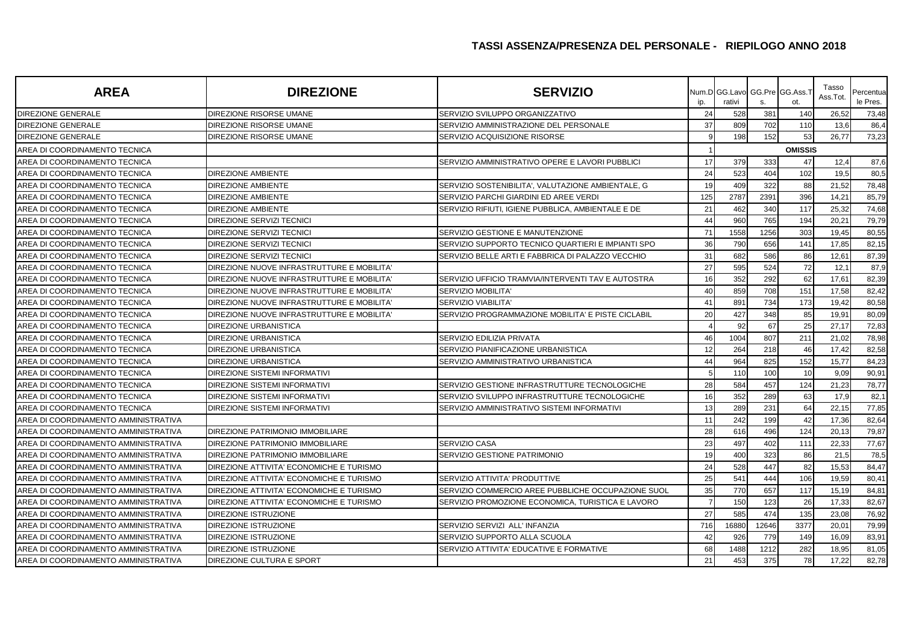| <b>AREA</b>                          | <b>DIREZIONE</b>                           | <b>SERVIZIO</b>                                    | ip. | Num.D GG.Lavo GG.Pre GG.Ass.<br>rativi | s.    | ot.            | Tasso<br>Ass.Tot. | Percentua<br>le Pres. |
|--------------------------------------|--------------------------------------------|----------------------------------------------------|-----|----------------------------------------|-------|----------------|-------------------|-----------------------|
| <b>DIREZIONE GENERALE</b>            | <b>DIREZIONE RISORSE UMANE</b>             | SERVIZIO SVILUPPO ORGANIZZATIVO                    | 24  | 528                                    | 381   | 140            | 26,52             | 73,48                 |
| <b>DIREZIONE GENERALE</b>            | DIREZIONE RISORSE UMANE                    | SERVIZIO AMMINISTRAZIONE DEL PERSONALE             | 37  | 809                                    | 702   | 110            | 13,6              | 86,4                  |
| <b>DIREZIONE GENERALE</b>            | DIREZIONE RISORSE UMANE                    | SERVIZIO ACQUISIZIONE RISORSE                      |     | 198                                    | 152   | 53             | 26,77             | 73,23                 |
| AREA DI COORDINAMENTO TECNICA        |                                            |                                                    |     |                                        |       | <b>OMISSIS</b> |                   |                       |
| AREA DI COORDINAMENTO TECNICA        |                                            | SERVIZIO AMMINISTRATIVO OPERE E LAVORI PUBBLICI    | 17  | 379                                    | 333   | 47             | 12,4              | 87,6                  |
| AREA DI COORDINAMENTO TECNICA        | <b>DIREZIONE AMBIENTE</b>                  |                                                    | 24  | 523                                    | 404   | 102            | 19,5              | 80,5                  |
| AREA DI COORDINAMENTO TECNICA        | <b>DIREZIONE AMBIENTE</b>                  | SERVIZIO SOSTENIBILITA', VALUTAZIONE AMBIENTALE, G | 19  | 409                                    | 322   | 88             | 21,52             | 78,48                 |
| AREA DI COORDINAMENTO TECNICA        | <b>DIREZIONE AMBIENTE</b>                  | SERVIZIO PARCHI GIARDINI ED AREE VERDI             | 125 | 2787                                   | 2391  | 396            | 14,21             | 85,79                 |
| AREA DI COORDINAMENTO TECNICA        | <b>DIREZIONE AMBIENTE</b>                  | SERVIZIO RIFIUTI, IGIENE PUBBLICA, AMBIENTALE E DE | 21  | 462                                    | 340   | 117            | 25,32             | 74,68                 |
| AREA DI COORDINAMENTO TECNICA        | DIREZIONE SERVIZI TECNICI                  |                                                    | 44  | 960                                    | 765   | 194            | $20.2^{\circ}$    | 79,79                 |
| AREA DI COORDINAMENTO TECNICA        | DIREZIONE SERVIZI TECNICI                  | SERVIZIO GESTIONE E MANUTENZIONE                   | 71  | 1558                                   | 1256  | 303            | 19,45             | 80,55                 |
| AREA DI COORDINAMENTO TECNICA        | DIREZIONE SERVIZI TECNICI                  | SERVIZIO SUPPORTO TECNICO QUARTIERI E IMPIANTI SPO | 36  | 790                                    | 656   | 141            | 17,85             | 82,15                 |
| AREA DI COORDINAMENTO TECNICA        | DIREZIONE SERVIZI TECNICI                  | SERVIZIO BELLE ARTI E FABBRICA DI PALAZZO VECCHIO  | 31  | 682                                    | 586   | 86             | 12,61             | 87,39                 |
| AREA DI COORDINAMENTO TECNICA        | DIREZIONE NUOVE INFRASTRUTTURE E MOBILITA' |                                                    | 27  | 595                                    | 524   | 72             | 12,1              | 87,9                  |
| AREA DI COORDINAMENTO TECNICA        | DIREZIONE NUOVE INFRASTRUTTURE E MOBILITA' | SERVIZIO UFFICIO TRAMVIA/INTERVENTI TAV E AUTOSTRA | 16  | 352                                    | 292   | 62             | 17,61             | 82,39                 |
| AREA DI COORDINAMENTO TECNICA        | DIREZIONE NUOVE INFRASTRUTTURE E MOBILITA' | <b>SERVIZIO MOBILITA'</b>                          | 40  | 859                                    | 708   | 151            | 17,58             | 82,42                 |
| AREA DI COORDINAMENTO TECNICA        | DIREZIONE NUOVE INFRASTRUTTURE E MOBILITA' | <b>SERVIZIO VIABILITA</b>                          | 41  | 891                                    | 734   | 173            | 19,42             | 80,58                 |
| AREA DI COORDINAMENTO TECNICA        | DIREZIONE NUOVE INFRASTRUTTURE E MOBILITA' | SERVIZIO PROGRAMMAZIONE MOBILITA' E PISTE CICLABIL | 20  | 427                                    | 348   | 85             | 19,91             | 80,09                 |
| AREA DI COORDINAMENTO TECNICA        | <b>DIREZIONE URBANISTICA</b>               |                                                    |     | 92                                     | 67    | 25             | 27,17             | 72,83                 |
| AREA DI COORDINAMENTO TECNICA        | <b>DIREZIONE URBANISTICA</b>               | <b>SERVIZIO EDILIZIA PRIVATA</b>                   | 46  | 1004                                   | 807   | 211            | 21,02             | 78,98                 |
| AREA DI COORDINAMENTO TECNICA        | <b>DIREZIONE URBANISTICA</b>               | SERVIZIO PIANIFICAZIONE URBANISTICA                | 12  | 264                                    | 218   | 46             | 17,42             | 82,58                 |
| AREA DI COORDINAMENTO TECNICA        | <b>DIREZIONE URBANISTICA</b>               | SERVIZIO AMMINISTRATIVO URBANISTICA                | 44  | 964                                    | 825   | 152            | 15,77             | 84,23                 |
| AREA DI COORDINAMENTO TECNICA        | DIREZIONE SISTEMI INFORMATIVI              |                                                    |     | 110                                    | 100   | 10             | 9,09              | 90,91                 |
| AREA DI COORDINAMENTO TECNICA        | <b>DIREZIONE SISTEMI INFORMATIVI</b>       | SERVIZIO GESTIONE INFRASTRUTTURE TECNOLOGICHE      | 28  | 584                                    | 457   | 124            | 21,23             | 78,77                 |
| AREA DI COORDINAMENTO TECNICA        | <b>DIREZIONE SISTEMI INFORMATIVI</b>       | SERVIZIO SVILUPPO INFRASTRUTTURE TECNOLOGICHE      | 16  | 352                                    | 289   | 63             | 17,9              | 82,1                  |
| AREA DI COORDINAMENTO TECNICA        | <b>DIREZIONE SISTEMI INFORMATIVI</b>       | SERVIZIO AMMINISTRATIVO SISTEMI INFORMATIVI        | 13  | 289                                    | 231   | 64             | 22,15             | 77,85                 |
| AREA DI COORDINAMENTO AMMINISTRATIVA |                                            |                                                    | 11  | 242                                    | 199   | 42             | 17,36             | 82,64                 |
| AREA DI COORDINAMENTO AMMINISTRATIVA | DIREZIONE PATRIMONIO IMMOBILIARE           |                                                    | 28  | 616                                    | 496   | 124            | 20,13             | 79,87                 |
| AREA DI COORDINAMENTO AMMINISTRATIVA | DIREZIONE PATRIMONIO IMMOBILIARE           | <b>SERVIZIO CASA</b>                               | 23  | 497                                    | 402   | 111            | 22,33             | 77,67                 |
| AREA DI COORDINAMENTO AMMINISTRATIVA | DIREZIONE PATRIMONIO IMMOBILIARE           | SERVIZIO GESTIONE PATRIMONIO                       | 19  | 400                                    | 323   | 86             | 21,5              | 78,5                  |
| AREA DI COORDINAMENTO AMMINISTRATIVA | DIREZIONE ATTIVITA' ECONOMICHE E TURISMO   |                                                    | 24  | 528                                    | 447   | 82             | 15,53             | 84,47                 |
| AREA DI COORDINAMENTO AMMINISTRATIVA | DIREZIONE ATTIVITA' ECONOMICHE E TURISMO   | SERVIZIO ATTIVITA' PRODUTTIVE                      | 25  | 541                                    | 444   | 106            | 19,59             | 80,41                 |
| AREA DI COORDINAMENTO AMMINISTRATIVA | DIREZIONE ATTIVITA' ECONOMICHE E TURISMO   | SERVIZIO COMMERCIO AREE PUBBLICHE OCCUPAZIONE SUOL | 35  | 770                                    | 657   | 117            | 15,19             | 84,81                 |
| AREA DI COORDINAMENTO AMMINISTRATIVA | DIREZIONE ATTIVITA' ECONOMICHE E TURISMO   | SERVIZIO PROMOZIONE ECONOMICA, TURISTICA E LAVORO  |     | 150                                    | 123   | 26             | 17,33             | 82,67                 |
| AREA DI COORDINAMENTO AMMINISTRATIVA | DIREZIONE ISTRUZIONE                       |                                                    | 27  | 585                                    | 474   | 135            | 23,08             | 76,92                 |
| AREA DI COORDINAMENTO AMMINISTRATIVA | DIREZIONE ISTRUZIONE                       | SERVIZIO SERVIZI ALL' INFANZIA                     | 716 | 16880                                  | 12646 | 3377           | 20,01             | 79,99                 |
| AREA DI COORDINAMENTO AMMINISTRATIVA | <b>DIREZIONE ISTRUZIONE</b>                | SERVIZIO SUPPORTO ALLA SCUOLA                      | 42  | 926                                    | 779   | 149            | 16,09             | 83,91                 |
| AREA DI COORDINAMENTO AMMINISTRATIVA | DIREZIONE ISTRUZIONE                       | SERVIZIO ATTIVITA' EDUCATIVE E FORMATIVE           | 68  | 1488                                   | 1212  | 282            | 18,95             | 81,05                 |
| AREA DI COORDINAMENTO AMMINISTRATIVA | DIREZIONE CULTURA E SPORT                  |                                                    | 21  | 453                                    | 375   | 78             | 17.22             | 82,78                 |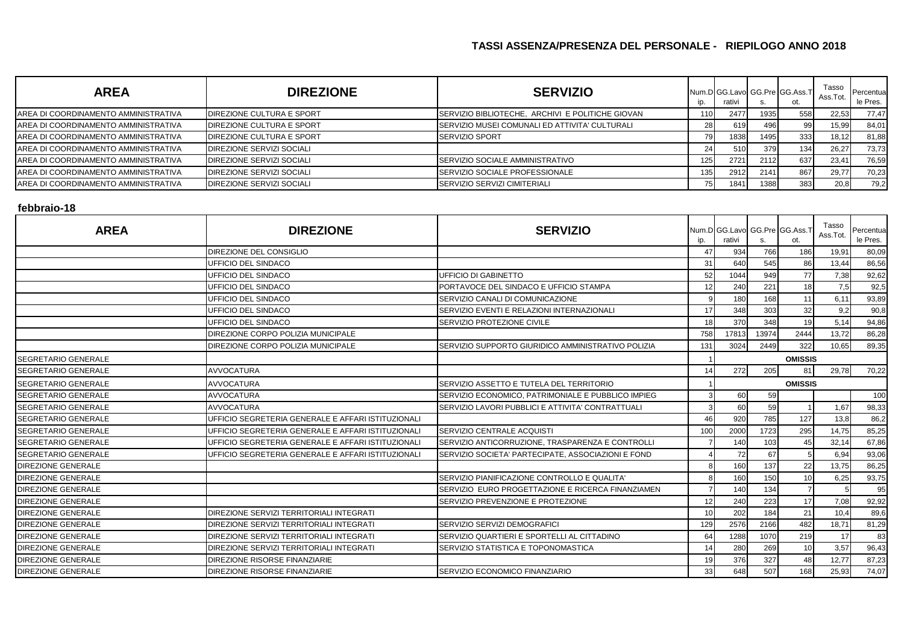| <b>AREA</b>                          | <b>DIREZIONE</b>          | <b>SERVIZIO</b>                                        |     | rativi | ১.   | Num.D GG.Lavo GG.Pre GG.Ass.T<br>ot. | Tasso<br>Ass.Tot | Percentua<br>le Pres. |
|--------------------------------------|---------------------------|--------------------------------------------------------|-----|--------|------|--------------------------------------|------------------|-----------------------|
| AREA DI COORDINAMENTO AMMINISTRATIVA | DIREZIONE CULTURA E SPORT | SERVIZIO BIBLIOTECHE, ARCHIVI E POLITICHE GIOVAN       |     | 2477   | 1935 | 558                                  | 22,53            | 77,47                 |
| AREA DI COORDINAMENTO AMMINISTRATIVA | DIREZIONE CULTURA E SPORT | <b>ISERVIZIO MUSEI COMUNALI ED ATTIVITA' CULTURALI</b> |     | 619    | 496  |                                      | 15,99            | 84,01                 |
| AREA DI COORDINAMENTO AMMINISTRATIVA | DIREZIONE CULTURA E SPORT | <b>SERVIZIO SPORT</b>                                  |     | 1838   | 1495 | 333                                  | 18,12            | 81,88                 |
| AREA DI COORDINAMENTO AMMINISTRATIVA | DIREZIONE SERVIZI SOCIALI |                                                        |     | 510    | 379  | 134 <sub>1</sub>                     | 26,27            | 73,73                 |
| AREA DI COORDINAMENTO AMMINISTRATIVA | DIREZIONE SERVIZI SOCIALI | SERVIZIO SOCIALE AMMINISTRATIVO                        | 125 | 2721   | 2112 | 637                                  | 23,41            | 76,59                 |
| AREA DI COORDINAMENTO AMMINISTRATIVA | DIREZIONE SERVIZI SOCIALI | <b>ISERVIZIO SOCIALE PROFESSIONALE</b>                 |     | 2912   | 2141 | 867                                  | 29,77            | 70,23                 |
| AREA DI COORDINAMENTO AMMINISTRATIVA | DIREZIONE SERVIZI SOCIALI | <b>ISERVIZIO SERVIZI CIMITERIALI</b>                   |     | 1841   | 1388 | 383                                  | 20,8             | 79,2                  |

#### **febbraio-18**

| <b>AREA</b>                | <b>DIREZIONE</b>                                   | <b>SERVIZIO</b>                                    | ip.            | Num.D GG.Lavo GG.Pre GG.Ass.<br>rativi |       | ot.            | Tasso<br>Ass.Tot. | Percentua<br>le Pres. |
|----------------------------|----------------------------------------------------|----------------------------------------------------|----------------|----------------------------------------|-------|----------------|-------------------|-----------------------|
|                            | DIREZIONE DEL CONSIGLIO                            |                                                    | 47             | 934                                    | 766   | 186            | 19,91             | 80,09                 |
|                            | UFFICIO DEL SINDACO                                |                                                    | 31             | 640                                    | 545   | 86             | 13,44             | 86,56                 |
|                            | UFFICIO DEL SINDACO                                | <b>UFFICIO DI GABINETTO</b>                        | 52             | 1044                                   | 949   | 77             | 7,38              | 92,62                 |
|                            | <b>UFFICIO DEL SINDACO</b>                         | PORTAVOCE DEL SINDACO E UFFICIO STAMPA             | 12             | 240                                    | 221   | 18             | 7,5               | 92,5                  |
|                            | UFFICIO DEL SINDACO                                | SERVIZIO CANALI DI COMUNICAZIONE                   |                | 180                                    | 168   | 11             | 6,11              | 93,89                 |
|                            | UFFICIO DEL SINDACO                                | SERVIZIO EVENTI E RELAZIONI INTERNAZIONALI         | 17             | 348                                    | 303   | 32             | 9,2               | 90,8                  |
|                            | UFFICIO DEL SINDACO                                | SERVIZIO PROTEZIONE CIVILE                         | 18             | 370                                    | 348   | 19             | 5,14              | 94,86                 |
|                            | DIREZIONE CORPO POLIZIA MUNICIPALE                 |                                                    | 758            | 17813                                  | 13974 | 2444           | 13,72             | 86,28                 |
|                            | DIREZIONE CORPO POLIZIA MUNICIPALE                 | SERVIZIO SUPPORTO GIURIDICO AMMINISTRATIVO POLIZIA | 131            | 3024                                   | 2449  | 322            | 10,65             | 89,35                 |
| <b>SEGRETARIO GENERALE</b> |                                                    |                                                    |                |                                        |       | <b>OMISSIS</b> |                   |                       |
| <b>SEGRETARIO GENERALE</b> | <b>AVVOCATURA</b>                                  |                                                    | 14             | 272                                    | 205   | 81             | 29,78             | 70,22                 |
| <b>SEGRETARIO GENERALE</b> | <b>AVVOCATURA</b>                                  | SERVIZIO ASSETTO E TUTELA DEL TERRITORIO           |                |                                        |       |                |                   |                       |
| <b>SEGRETARIO GENERALE</b> | <b>AVVOCATURA</b>                                  | SERVIZIO ECONOMICO, PATRIMONIALE E PUBBLICO IMPIEG |                | 60                                     | 59    |                |                   | 100                   |
| <b>SEGRETARIO GENERALE</b> | <b>AVVOCATURA</b>                                  | SERVIZIO LAVORI PUBBLICI E ATTIVITA' CONTRATTUALI  |                | 60                                     | 59    |                | 1,67              | 98,33                 |
| <b>SEGRETARIO GENERALE</b> | UFFICIO SEGRETERIA GENERALE E AFFARI ISTITUZIONALI |                                                    | 46             | 920                                    | 785   | 127            | 13,8              | 86,2                  |
| <b>SEGRETARIO GENERALE</b> | UFFICIO SEGRETERIA GENERALE E AFFARI ISTITUZIONALI | SERVIZIO CENTRALE ACQUISTI                         | 100            | 2000                                   | 1723  | 295            | 14,75             | 85,25                 |
| <b>SEGRETARIO GENERALE</b> | UFFICIO SEGRETERIA GENERALE E AFFARI ISTITUZIONALI | SERVIZIO ANTICORRUZIONE, TRASPARENZA E CONTROLLI   |                | 140                                    | 103   | 45             | 32,14             | 67,86                 |
| <b>SEGRETARIO GENERALE</b> | UFFICIO SEGRETERIA GENERALE E AFFARI ISTITUZIONALI | SERVIZIO SOCIETA' PARTECIPATE, ASSOCIAZIONI E FOND |                | 72                                     | 67    |                | 6,94              | 93,06                 |
| <b>DIREZIONE GENERALE</b>  |                                                    |                                                    |                | 160                                    | 137   | 22             | 13,75             | 86,25                 |
| <b>DIREZIONE GENERALE</b>  |                                                    | SERVIZIO PIANIFICAZIONE CONTROLLO E QUALITA'       |                | 160                                    | 150   | 10             | 6,25              | 93,75                 |
| <b>DIREZIONE GENERALE</b>  |                                                    | SERVIZIO EURO PROGETTAZIONE E RICERCA FINANZIAMEN  |                | 140                                    | 134   |                |                   | 95                    |
| <b>DIREZIONE GENERALE</b>  |                                                    | SERVIZIO PREVENZIONE E PROTEZIONE                  | 12             | 240                                    | 223   | 17             | 7,08              | 92,92                 |
| <b>DIREZIONE GENERALE</b>  | DIREZIONE SERVIZI TERRITORIALI INTEGRATI           |                                                    | 1 <sup>c</sup> | 202                                    | 184   | 21             | 10,4              | 89,6                  |
| <b>DIREZIONE GENERALE</b>  | DIREZIONE SERVIZI TERRITORIALI INTEGRATI           | SERVIZIO SERVIZI DEMOGRAFICI                       | 129            | 2576                                   | 2166  | 482            | 18,71             | 81,29                 |
| <b>DIREZIONE GENERALE</b>  | DIREZIONE SERVIZI TERRITORIALI INTEGRATI           | SERVIZIO QUARTIERI E SPORTELLI AL CITTADINO        | 64             | 1288                                   | 1070  | 219            | 17                | 83                    |
| <b>DIREZIONE GENERALE</b>  | DIREZIONE SERVIZI TERRITORIALI INTEGRATI           | SERVIZIO STATISTICA E TOPONOMASTICA                | 14             | 280                                    | 269   | 10             | 3,57              | 96,43                 |
| <b>DIREZIONE GENERALE</b>  | DIREZIONE RISORSE FINANZIARIE                      |                                                    | 19             | 376                                    | 327   | 48             | 12,77             | 87,23                 |
| <b>DIREZIONE GENERALE</b>  | DIREZIONE RISORSE FINANZIARIE                      | SERVIZIO ECONOMICO FINANZIARIO                     | 33             | 648                                    | 507   | 168            | 25,93             | 74,07                 |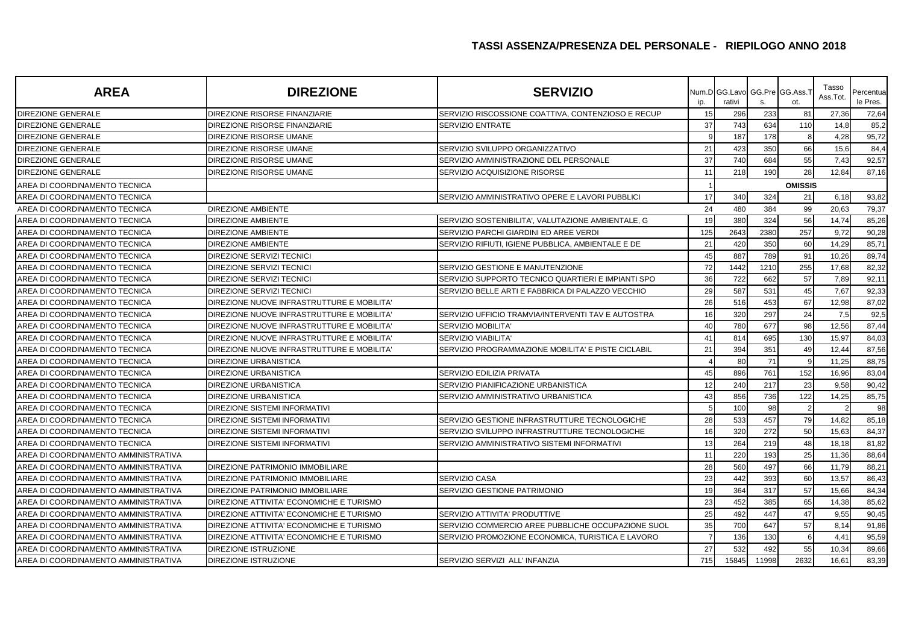| <b>AREA</b>                          | <b>DIREZIONE</b>                           | <b>SERVIZIO</b>                                    | ip.            | Num.D GG.Lavo<br>rativi | s.    | GG.Pre GG.Ass.1<br>ot. | Tasso<br>Ass.Tot | Percentua<br>le Pres. |
|--------------------------------------|--------------------------------------------|----------------------------------------------------|----------------|-------------------------|-------|------------------------|------------------|-----------------------|
| DIREZIONE GENERALE                   | DIREZIONE RISORSE FINANZIARIE              | SERVIZIO RISCOSSIONE COATTIVA, CONTENZIOSO E RECUP | 15             | 296                     | 233   | 81                     | 27,36            | 72,64                 |
| <b>DIREZIONE GENERALE</b>            | DIREZIONE RISORSE FINANZIARIE              | SERVIZIO ENTRATE                                   | 37             | 743                     | 634   | 110                    | 14,8             | 85,2                  |
| DIREZIONE GENERALE                   | DIREZIONE RISORSE UMANE                    |                                                    |                | 187                     | 178   |                        | 4,28             | 95,72                 |
| <b>DIREZIONE GENERALE</b>            | DIREZIONE RISORSE UMANE                    | SERVIZIO SVILUPPO ORGANIZZATIVO                    | 21             | 423                     | 350   | 66                     | 15,6             | 84,4                  |
| DIREZIONE GENERALE                   | DIREZIONE RISORSE UMANE                    | SERVIZIO AMMINISTRAZIONE DEL PERSONALE             | 37             | 740                     | 684   | 55                     | 7,43             | 92,57                 |
| <b>DIREZIONE GENERALE</b>            | <b>DIREZIONE RISORSE UMANE</b>             | SERVIZIO ACQUISIZIONE RISORSE                      | 11             | 218                     | 190   | 28                     | 12,84            | 87,16                 |
| AREA DI COORDINAMENTO TECNICA        |                                            |                                                    |                |                         |       | <b>OMISSIS</b>         |                  |                       |
| AREA DI COORDINAMENTO TECNICA        |                                            | SERVIZIO AMMINISTRATIVO OPERE E LAVORI PUBBLICI    | 17             | 340                     | 324   | 21                     | 6,18             | 93,82                 |
| AREA DI COORDINAMENTO TECNICA        | <b>DIREZIONE AMBIENTE</b>                  |                                                    | 24             | 480                     | 384   | 99                     | 20,63            | 79,37                 |
| AREA DI COORDINAMENTO TECNICA        | <b>DIREZIONE AMBIENTE</b>                  | SERVIZIO SOSTENIBILITA', VALUTAZIONE AMBIENTALE, G | 19             | 380                     | 324   | 56                     | 14,74            | 85,26                 |
| AREA DI COORDINAMENTO TECNICA        | <b>DIREZIONE AMBIENTE</b>                  | SERVIZIO PARCHI GIARDINI ED AREE VERDI             | 125            | 2643                    | 2380  | 257                    | 9,72             | 90,28                 |
| AREA DI COORDINAMENTO TECNICA        | <b>DIREZIONE AMBIENTE</b>                  | SERVIZIO RIFIUTI, IGIENE PUBBLICA, AMBIENTALE E DE | 21             | 420                     | 350   | 60                     | 14,29            | 85,71                 |
| AREA DI COORDINAMENTO TECNICA        | DIREZIONE SERVIZI TECNICI                  |                                                    | 45             | 887                     | 789   | 91                     | 10,26            | 89,74                 |
| AREA DI COORDINAMENTO TECNICA        | DIREZIONE SERVIZI TECNICI                  | SERVIZIO GESTIONE E MANUTENZIONE                   | 72             | 1442                    | 1210  | 255                    | 17,68            | 82,32                 |
| AREA DI COORDINAMENTO TECNICA        | DIREZIONE SERVIZI TECNICI                  | SERVIZIO SUPPORTO TECNICO QUARTIERI E IMPIANTI SPO | 36             | 722                     | 662   | 57                     | 7,89             | 92,11                 |
| AREA DI COORDINAMENTO TECNICA        | <b>DIREZIONE SERVIZI TECNICI</b>           | SERVIZIO BELLE ARTI E FABBRICA DI PALAZZO VECCHIO  | 29             | 587                     | 531   | 45                     | 7,67             | 92,33                 |
| AREA DI COORDINAMENTO TECNICA        | DIREZIONE NUOVE INFRASTRUTTURE E MOBILITA' |                                                    | 26             | 516                     | 453   | 67                     | 12,98            | 87,02                 |
| AREA DI COORDINAMENTO TECNICA        | DIREZIONE NUOVE INFRASTRUTTURE E MOBILITA' | SERVIZIO UFFICIO TRAMVIA/INTERVENTI TAV E AUTOSTRA | 16             | 320                     | 297   | 24                     | 7,5              | 92,5                  |
| AREA DI COORDINAMENTO TECNICA        | DIREZIONE NUOVE INFRASTRUTTURE E MOBILITA' | <b>SERVIZIO MOBILITA'</b>                          | 40             | 780                     | 677   | 98                     | 12,56            | 87,44                 |
| AREA DI COORDINAMENTO TECNICA        | DIREZIONE NUOVE INFRASTRUTTURE E MOBILITA' | <b>SERVIZIO VIABILITA'</b>                         | 41             | 814                     | 695   | 130                    | 15,97            | 84,03                 |
| AREA DI COORDINAMENTO TECNICA        | DIREZIONE NUOVE INFRASTRUTTURE E MOBILITA' | SERVIZIO PROGRAMMAZIONE MOBILITA' E PISTE CICLABIL | 21             | 394                     | 351   | 49                     | 12,44            | 87,56                 |
| AREA DI COORDINAMENTO TECNICA        | <b>DIREZIONE URBANISTICA</b>               |                                                    |                | 80                      | 71    |                        | 11,25            | 88,75                 |
| AREA DI COORDINAMENTO TECNICA        | <b>DIREZIONE URBANISTICA</b>               | SERVIZIO EDILIZIA PRIVATA                          | 45             | 896                     | 761   | 152                    | 16,96            | 83,04                 |
| AREA DI COORDINAMENTO TECNICA        | DIREZIONE URBANISTICA                      | SERVIZIO PIANIFICAZIONE URBANISTICA                | 12             | 240                     | 217   | 23                     | 9,58             | 90,42                 |
| AREA DI COORDINAMENTO TECNICA        | <b>DIREZIONE URBANISTICA</b>               | SERVIZIO AMMINISTRATIVO URBANISTICA                | 43             | 856                     | 736   | 122                    | 14,25            | 85,75                 |
| AREA DI COORDINAMENTO TECNICA        | <b>DIREZIONE SISTEMI INFORMATIVI</b>       |                                                    |                | 100                     | 98    |                        |                  | 98                    |
| AREA DI COORDINAMENTO TECNICA        | DIREZIONE SISTEMI INFORMATIVI              | SERVIZIO GESTIONE INFRASTRUTTURE TECNOLOGICHE      | 28             | 533                     | 457   | 79                     | 14,82            | 85,18                 |
| AREA DI COORDINAMENTO TECNICA        | DIREZIONE SISTEMI INFORMATIVI              | SERVIZIO SVILUPPO INFRASTRUTTURE TECNOLOGICHE      | 16             | 320                     | 272   | 50                     | 15,63            | 84,37                 |
| AREA DI COORDINAMENTO TECNICA        | <b>DIREZIONE SISTEMI INFORMATIVI</b>       | SERVIZIO AMMINISTRATIVO SISTEMI INFORMATIVI        | 13             | 264                     | 219   | 48                     | 18,18            | 81,82                 |
| AREA DI COORDINAMENTO AMMINISTRATIVA |                                            |                                                    | 11             | 220                     | 193   | 25                     | 11,36            | 88,64                 |
| AREA DI COORDINAMENTO AMMINISTRATIVA | DIREZIONE PATRIMONIO IMMOBILIARE           |                                                    | 28             | 560                     | 497   | 66                     | 11,79            | 88,21                 |
| AREA DI COORDINAMENTO AMMINISTRATIVA | DIREZIONE PATRIMONIO IMMOBILIARE           | <b>SERVIZIO CASA</b>                               | 23             | 442                     | 393   | 60                     | 13,57            | 86,43                 |
| AREA DI COORDINAMENTO AMMINISTRATIVA | DIREZIONE PATRIMONIO IMMOBILIARE           | SERVIZIO GESTIONE PATRIMONIO                       | 19             | 364                     | 317   | 57                     | 15,66            | 84,34                 |
| AREA DI COORDINAMENTO AMMINISTRATIVA | DIREZIONE ATTIVITA' ECONOMICHE E TURISMO   |                                                    | 23             | 452                     | 385   | 65                     | 14,38            | 85,62                 |
| AREA DI COORDINAMENTO AMMINISTRATIVA | DIREZIONE ATTIVITA' ECONOMICHE E TURISMO   | SERVIZIO ATTIVITA' PRODUTTIVE                      | 25             | 492                     | 447   | 47                     | 9,55             | 90,45                 |
| AREA DI COORDINAMENTO AMMINISTRATIVA | DIREZIONE ATTIVITA' ECONOMICHE E TURISMO   | SERVIZIO COMMERCIO AREE PUBBLICHE OCCUPAZIONE SUOL | 35             | 700                     | 647   | 57                     | 8,14             | 91,86                 |
| AREA DI COORDINAMENTO AMMINISTRATIVA | DIREZIONE ATTIVITA' ECONOMICHE E TURISMO   | SERVIZIO PROMOZIONE ECONOMICA, TURISTICA E LAVORO  | $\overline{7}$ | 136                     | 130   |                        | 4,41             | 95,59                 |
| AREA DI COORDINAMENTO AMMINISTRATIVA | DIREZIONE ISTRUZIONE                       |                                                    | 27             | 532                     | 492   | 55                     | 10,34            | 89,66                 |
| AREA DI COORDINAMENTO AMMINISTRATIVA | <b>DIREZIONE ISTRUZIONE</b>                | SERVIZIO SERVIZI ALL' INFANZIA                     | 715            | 15845                   | 11998 | 2632                   | 16,61            | 83,39                 |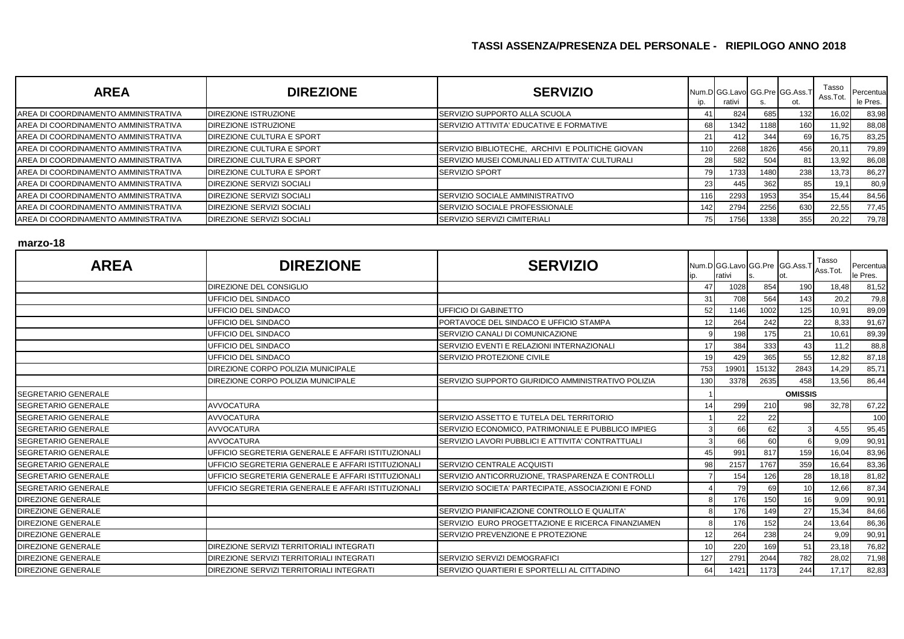| <b>AREA</b>                          | <b>DIREZIONE</b>                 | <b>SERVIZIO</b>                                  | ip. | rativi | ১.   | Num.D GG.Lavo GG.Pre GG.Ass.T<br>ot. | Tasso<br>Ass.Tot. | Percentua<br>le Pres. |
|--------------------------------------|----------------------------------|--------------------------------------------------|-----|--------|------|--------------------------------------|-------------------|-----------------------|
| AREA DI COORDINAMENTO AMMINISTRATIVA | <b>DIREZIONE ISTRUZIONE</b>      | <b>ISERVIZIO SUPPORTO ALLA SCUOLA</b>            |     | 824    | 685  | 132                                  | 16,02             | 83,98                 |
| AREA DI COORDINAMENTO AMMINISTRATIVA | <b>DIREZIONE ISTRUZIONE</b>      | SERVIZIO ATTIVITA' EDUCATIVE E FORMATIVE         | 68  | 1342   | 1188 | 160                                  | 11,92             | 88,08                 |
| AREA DI COORDINAMENTO AMMINISTRATIVA | DIREZIONE CULTURA E SPORT        |                                                  | 21  | 412    | 344  | 69                                   | 16,75             | 83,25                 |
| AREA DI COORDINAMENTO AMMINISTRATIVA | <b>DIREZIONE CULTURA E SPORT</b> | SERVIZIO BIBLIOTECHE, ARCHIVI E POLITICHE GIOVAN | 110 | 2268   | 1826 | 456                                  | 20,11             | 79,89                 |
| AREA DI COORDINAMENTO AMMINISTRATIVA | <b>DIREZIONE CULTURA E SPORT</b> | SERVIZIO MUSEI COMUNALI ED ATTIVITA' CULTURALI   | 28  | 582    | 504  | 81                                   | 13,92             | 86,08                 |
| AREA DI COORDINAMENTO AMMINISTRATIVA | <b>DIREZIONE CULTURA E SPORT</b> | <b>SERVIZIO SPORT</b>                            | 79  | 1733   | 1480 | 238                                  | 13,73             | 86,27                 |
| AREA DI COORDINAMENTO AMMINISTRATIVA | DIREZIONE SERVIZI SOCIALI        |                                                  | 23  | 445    | 362  | 85                                   | 19,1              | 80,9                  |
| AREA DI COORDINAMENTO AMMINISTRATIVA | DIREZIONE SERVIZI SOCIALI        | <b>SERVIZIO SOCIALE AMMINISTRATIVO</b>           | 16  | 2293   | 1953 | 354                                  | 15,44             | 84,56                 |
| AREA DI COORDINAMENTO AMMINISTRATIVA | <b>DIREZIONE SERVIZI SOCIALI</b> | <b>ISERVIZIO SOCIALE PROFESSIONALE</b>           | 142 | 2794   | 2256 | 630                                  | 22,55             | 77,45                 |
| AREA DI COORDINAMENTO AMMINISTRATIVA | <b>DIREZIONE SERVIZI SOCIALI</b> | <b>SERVIZIO SERVIZI CIMITERIALI</b>              | 75  | 1756   | 1338 | 355                                  | 20,22             | 79,78                 |

#### **marzo-18**

| <b>AREA</b>                | <b>DIREZIONE</b>                                   | <b>SERVIZIO</b>                                    | ID. | Num.D GG.Lavo GG.Pre GG.Ass.1<br>rativi |       |                | Tasso<br>Ass.Tot. | Percentual<br>le Pres. |  |
|----------------------------|----------------------------------------------------|----------------------------------------------------|-----|-----------------------------------------|-------|----------------|-------------------|------------------------|--|
|                            | DIREZIONE DEL CONSIGLIO                            |                                                    |     | 1028                                    | 854   | 190            | 18,48             | 81,52                  |  |
|                            | UFFICIO DEL SINDACO                                |                                                    | 31  | 708                                     | 564   | 143            | 20,2              | 79,8                   |  |
|                            | UFFICIO DEL SINDACO                                | UFFICIO DI GABINETTO                               | 52  | 1146                                    | 1002  | 125            | 10,91             | 89,09                  |  |
|                            | <b>UFFICIO DEL SINDACO</b>                         | PORTAVOCE DEL SINDACO E UFFICIO STAMPA             | 12  | 264                                     | 242   | 22             | 8,33              | 91,67                  |  |
|                            | UFFICIO DEL SINDACO                                | SERVIZIO CANALI DI COMUNICAZIONE                   |     | 198                                     | 175   | 21             | 10,61             | 89,39                  |  |
|                            | UFFICIO DEL SINDACO                                | SERVIZIO EVENTI E RELAZIONI INTERNAZIONALI         | 17  | 384                                     | 333   | 43             | 11,2              | 88,8                   |  |
|                            | UFFICIO DEL SINDACO                                | SERVIZIO PROTEZIONE CIVILE                         | 19  | 429                                     | 365   | 55             | 12,82             | 87,18                  |  |
|                            | DIREZIONE CORPO POLIZIA MUNICIPALE                 |                                                    | 753 | 19901                                   | 15132 | 2843           | 14,29             | 85,71                  |  |
|                            | DIREZIONE CORPO POLIZIA MUNICIPALE                 | SERVIZIO SUPPORTO GIURIDICO AMMINISTRATIVO POLIZIA | 130 | 3378                                    | 2635  | 458            | 13,56             | 86,44                  |  |
| <b>SEGRETARIO GENERALE</b> |                                                    |                                                    |     |                                         |       | <b>OMISSIS</b> |                   |                        |  |
| <b>SEGRETARIO GENERALE</b> | <b>AVVOCATURA</b>                                  |                                                    | 14  | 299                                     | 210   | 98             | 32,78             | 67,22                  |  |
| <b>SEGRETARIO GENERALE</b> | <b>AVVOCATURA</b>                                  | SERVIZIO ASSETTO E TUTELA DEL TERRITORIO           |     | 22                                      | 22    |                |                   | 100                    |  |
| <b>SEGRETARIO GENERALE</b> | <b>AVVOCATURA</b>                                  | SERVIZIO ECONOMICO. PATRIMONIALE E PUBBLICO IMPIEG |     | 66                                      | 62    |                | 4,55              | 95,45                  |  |
| <b>SEGRETARIO GENERALE</b> | <b>AVVOCATURA</b>                                  | SERVIZIO LAVORI PUBBLICI E ATTIVITA' CONTRATTUALI  |     | 66                                      | 60    |                | 9,09              | 90,91                  |  |
| <b>SEGRETARIO GENERALE</b> | UFFICIO SEGRETERIA GENERALE E AFFARI ISTITUZIONALI |                                                    | 45  | 991                                     | 817   | 159            | 16,04             | 83,96                  |  |
| <b>SEGRETARIO GENERALE</b> | UFFICIO SEGRETERIA GENERALE E AFFARI ISTITUZIONALI | SERVIZIO CENTRALE ACQUISTI                         | 98  | 2157                                    | 1767  | 359            | 16,64             | 83,36                  |  |
| <b>SEGRETARIO GENERALE</b> | UFFICIO SEGRETERIA GENERALE E AFFARI ISTITUZIONALI | SERVIZIO ANTICORRUZIONE, TRASPARENZA E CONTROLLI   |     | 154                                     | 126   | 28             | 18,18             | 81,82                  |  |
| SEGRETARIO GENERALE        | UFFICIO SEGRETERIA GENERALE E AFFARI ISTITUZIONALI | SERVIZIO SOCIETA' PARTECIPATE, ASSOCIAZIONI E FOND |     | 79                                      | 69    | 10             | 12,66             | 87,34                  |  |
| <b>DIREZIONE GENERALE</b>  |                                                    |                                                    |     | 176                                     | 150   | 16             | 9,09              | 90,91                  |  |
| DIREZIONE GENERALE         |                                                    | SERVIZIO PIANIFICAZIONE CONTROLLO E QUALITA'       |     | 176                                     | 149   | 27             | 15,34             | 84,66                  |  |
| <b>DIREZIONE GENERALE</b>  |                                                    | SERVIZIO EURO PROGETTAZIONE E RICERCA FINANZIAMEN  |     | 176                                     | 152   | 24             | 13,64             | 86,36                  |  |
| <b>DIREZIONE GENERALE</b>  |                                                    | SERVIZIO PREVENZIONE E PROTEZIONE                  | 12  | 264                                     | 238   | 24             | 9,09              | 90,91                  |  |
| <b>DIREZIONE GENERALE</b>  | DIREZIONE SERVIZI TERRITORIALI INTEGRATI           |                                                    | 10  | 220                                     | 169   | 51             | 23,18             | 76,82                  |  |
| DIREZIONE GENERALE         | DIREZIONE SERVIZI TERRITORIALI INTEGRATI           | SERVIZIO SERVIZI DEMOGRAFICI                       | 127 | 2791                                    | 2044  | 782            | 28,02             | 71,98                  |  |
| DIREZIONE GENERALE         | DIREZIONE SERVIZI TERRITORIALI INTEGRATI           | SERVIZIO QUARTIERI E SPORTELLI AL CITTADINO        | 64  | 1421                                    | 1173  | 244            | 17,17             | 82,83                  |  |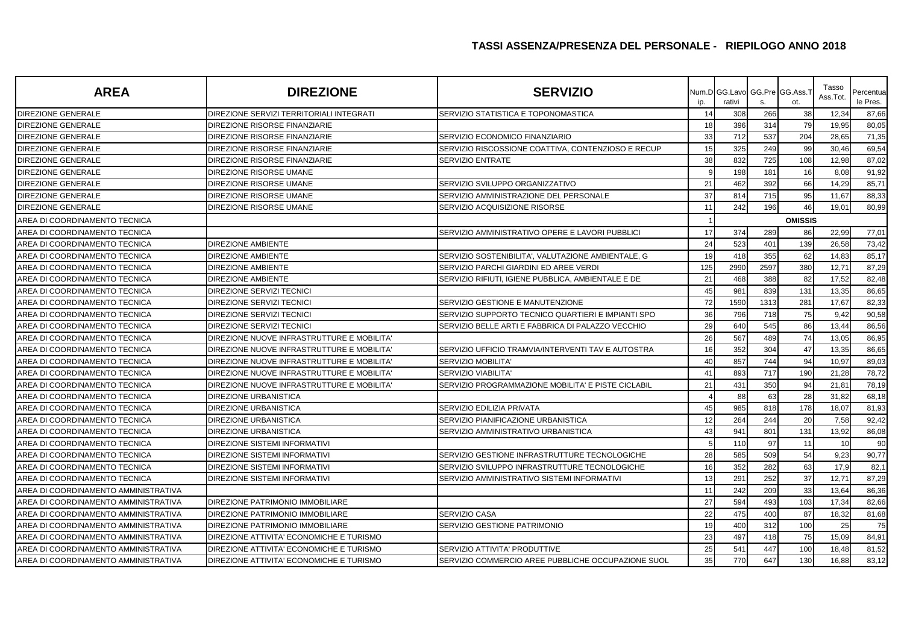| <b>AREA</b>                          | <b>DIREZIONE</b>                           | <b>SERVIZIO</b>                                    | ip. | Num.D GG.Lavo<br>rativi | S.   | GG.Pre GG.Ass.<br>ot. | Tasso<br>Ass.Tot. | Percentua<br>le Pres. |
|--------------------------------------|--------------------------------------------|----------------------------------------------------|-----|-------------------------|------|-----------------------|-------------------|-----------------------|
| <b>DIREZIONE GENERALE</b>            | DIREZIONE SERVIZI TERRITORIALI INTEGRATI   | SERVIZIO STATISTICA E TOPONOMASTICA                | 14  | 308                     | 266  | 38                    | 12,34             | 87,66                 |
| <b>DIREZIONE GENERALE</b>            | DIREZIONE RISORSE FINANZIARIE              |                                                    | 18  | 396                     | 314  | 79                    | 19,95             | 80,05                 |
| <b>DIREZIONE GENERALE</b>            | DIREZIONE RISORSE FINANZIARIE              | SERVIZIO ECONOMICO FINANZIARIO                     | 33  | 712                     | 537  | 204                   | 28,65             | 71,35                 |
| <b>DIREZIONE GENERALE</b>            | DIREZIONE RISORSE FINANZIARIE              | SERVIZIO RISCOSSIONE COATTIVA, CONTENZIOSO E RECUP | 15  | 325                     | 249  | 99                    | 30,46             | 69,54                 |
| DIREZIONE GENERALE                   | DIREZIONE RISORSE FINANZIARIE              | <b>SERVIZIO ENTRATE</b>                            | 38  | 832                     | 725  | 108                   | 12,98             | 87,02                 |
| DIREZIONE GENERALE                   | DIREZIONE RISORSE UMANE                    |                                                    | O   | 198                     | 181  | 16                    | 8,08              | 91,92                 |
| <b>DIREZIONE GENERALE</b>            | DIREZIONE RISORSE UMANE                    | SERVIZIO SVILUPPO ORGANIZZATIVO                    | 21  | 462                     | 392  | 66                    | 14,29             | 85,71                 |
| <b>DIREZIONE GENERALE</b>            | DIREZIONE RISORSE UMANE                    | SERVIZIO AMMINISTRAZIONE DEL PERSONALE             | 37  | 814                     | 715  | 95                    | 11,67             | 88,33                 |
| <b>DIREZIONE GENERALE</b>            | DIREZIONE RISORSE UMANE                    | SERVIZIO ACQUISIZIONE RISORSE                      | 11  | 242                     | 196  | 46                    | 19,01             | 80,99                 |
| AREA DI COORDINAMENTO TECNICA        |                                            |                                                    |     |                         |      | <b>OMISSIS</b>        |                   |                       |
| AREA DI COORDINAMENTO TECNICA        |                                            | SERVIZIO AMMINISTRATIVO OPERE E LAVORI PUBBLICI    | 17  | 374                     | 289  | 86                    | 22,99             | 77,01                 |
| AREA DI COORDINAMENTO TECNICA        | <b>DIREZIONE AMBIENTE</b>                  |                                                    | 24  | 523                     | 401  | 139                   | 26,58             | 73,42                 |
| AREA DI COORDINAMENTO TECNICA        | <b>DIREZIONE AMBIENTE</b>                  | SERVIZIO SOSTENIBILITA', VALUTAZIONE AMBIENTALE, G | 19  | 418                     | 355  | 62                    | 14,83             | 85,17                 |
| AREA DI COORDINAMENTO TECNICA        | <b>DIREZIONE AMBIENTE</b>                  | SERVIZIO PARCHI GIARDINI ED AREE VERDI             | 125 | 2990                    | 2597 | 380                   | 12,71             | 87,29                 |
| AREA DI COORDINAMENTO TECNICA        | <b>DIREZIONE AMBIENTE</b>                  | SERVIZIO RIFIUTI, IGIENE PUBBLICA, AMBIENTALE E DE | 21  | 468                     | 388  | 82                    | 17,52             | 82,48                 |
| AREA DI COORDINAMENTO TECNICA        | DIREZIONE SERVIZI TECNICI                  |                                                    | 45  | 981                     | 839  | 131                   | 13,35             | 86,65                 |
| AREA DI COORDINAMENTO TECNICA        | <b>DIREZIONE SERVIZI TECNICI</b>           | SERVIZIO GESTIONE E MANUTENZIONE                   | 72  | 1590                    | 1313 | 281                   | 17,67             | 82,33                 |
| AREA DI COORDINAMENTO TECNICA        | DIREZIONE SERVIZI TECNICI                  | SERVIZIO SUPPORTO TECNICO QUARTIERI E IMPIANTI SPO | 36  | 796                     | 718  | 75                    | 9,42              | 90,58                 |
| AREA DI COORDINAMENTO TECNICA        | DIREZIONE SERVIZI TECNICI                  | SERVIZIO BELLE ARTI E FABBRICA DI PALAZZO VECCHIO  | 29  | 640                     | 545  | 86                    | 13,44             | 86,56                 |
| AREA DI COORDINAMENTO TECNICA        | DIREZIONE NUOVE INFRASTRUTTURE E MOBILITA' |                                                    | 26  | 567                     | 489  | 74                    | 13,05             | 86,95                 |
| AREA DI COORDINAMENTO TECNICA        | DIREZIONE NUOVE INFRASTRUTTURE E MOBILITA' | SERVIZIO UFFICIO TRAMVIA/INTERVENTI TAV E AUTOSTRA | 16  | 352                     | 304  | 47                    | 13,35             | 86,65                 |
| AREA DI COORDINAMENTO TECNICA        | DIREZIONE NUOVE INFRASTRUTTURE E MOBILITA' | <b>SERVIZIO MOBILITA'</b>                          | 40  | 857                     | 744  | 94                    | 10,97             | 89,03                 |
| AREA DI COORDINAMENTO TECNICA        | DIREZIONE NUOVE INFRASTRUTTURE E MOBILITA' | <b>SERVIZIO VIABILITA'</b>                         | 41  | 893                     | 717  | <b>190</b>            | 21,28             | 78,72                 |
| AREA DI COORDINAMENTO TECNICA        | DIREZIONE NUOVE INFRASTRUTTURE E MOBILITA' | SERVIZIO PROGRAMMAZIONE MOBILITA' E PISTE CICLABIL | 21  | 431                     | 350  | 94                    | 21,81             | 78,19                 |
| AREA DI COORDINAMENTO TECNICA        | DIREZIONE URBANISTICA                      |                                                    |     | 88                      | 63   | 28                    | 31,82             | 68,18                 |
| AREA DI COORDINAMENTO TECNICA        | DIREZIONE URBANISTICA                      | SERVIZIO EDILIZIA PRIVATA                          | 45  | 985                     | 818  | 178                   | 18,07             | 81,93                 |
| AREA DI COORDINAMENTO TECNICA        | <b>DIREZIONE URBANISTICA</b>               | SERVIZIO PIANIFICAZIONE URBANISTICA                | 12  | 264                     | 244  | 20                    | 7,58              | 92,42                 |
| AREA DI COORDINAMENTO TECNICA        | <b>DIREZIONE URBANISTICA</b>               | SERVIZIO AMMINISTRATIVO URBANISTICA                | 43  | 941                     | 801  | 131                   | 13,92             | 86,08                 |
| AREA DI COORDINAMENTO TECNICA        | DIREZIONE SISTEMI INFORMATIVI              |                                                    |     | 110                     | 97   | 11                    | 10                | 90                    |
| AREA DI COORDINAMENTO TECNICA        | <b>DIREZIONE SISTEMI INFORMATIVI</b>       | SERVIZIO GESTIONE INFRASTRUTTURE TECNOLOGICHE      | 28  | 585                     | 509  | 54                    | 9,23              | 90,77                 |
| AREA DI COORDINAMENTO TECNICA        | DIREZIONE SISTEMI INFORMATIVI              | SERVIZIO SVILUPPO INFRASTRUTTURE TECNOLOGICHE      | 16  | 352                     | 282  | 63                    | 17,9              | 82,1                  |
| AREA DI COORDINAMENTO TECNICA        | <b>DIREZIONE SISTEMI INFORMATIVI</b>       | SERVIZIO AMMINISTRATIVO SISTEMI INFORMATIVI        | 13  | 291                     | 252  | 37                    | 12,71             | 87,29                 |
| AREA DI COORDINAMENTO AMMINISTRATIVA |                                            |                                                    | 11  | 242                     | 209  | 33                    | 13,64             | 86,36                 |
| AREA DI COORDINAMENTO AMMINISTRATIVA | DIREZIONE PATRIMONIO IMMOBILIARE           |                                                    | 27  | 594                     | 493  | 103                   | 17,34             | 82,66                 |
| AREA DI COORDINAMENTO AMMINISTRATIVA | DIREZIONE PATRIMONIO IMMOBILIARE           | <b>SERVIZIO CASA</b>                               | 22  | 475                     | 400  | 87                    | 18,32             | 81,68                 |
| AREA DI COORDINAMENTO AMMINISTRATIVA | DIREZIONE PATRIMONIO IMMOBILIARE           | SERVIZIO GESTIONE PATRIMONIO                       | 19  | 400                     | 312  | 100                   | 25                | 75                    |
| AREA DI COORDINAMENTO AMMINISTRATIVA | DIREZIONE ATTIVITA' ECONOMICHE E TURISMO   |                                                    | 23  | 497                     | 418  | 75                    | 15,09             | 84,91                 |
| AREA DI COORDINAMENTO AMMINISTRATIVA | DIREZIONE ATTIVITA' ECONOMICHE E TURISMO   | SERVIZIO ATTIVITA' PRODUTTIVE                      | 25  | 541                     | 447  | 100                   | 18,48             | 81,52                 |
| AREA DI COORDINAMENTO AMMINISTRATIVA | DIREZIONE ATTIVITA' ECONOMICHE E TURISMO   | SERVIZIO COMMERCIO AREE PUBBLICHE OCCUPAZIONE SUOL | 35  | 770                     | 647  | 130                   | 16.88             | 83.12                 |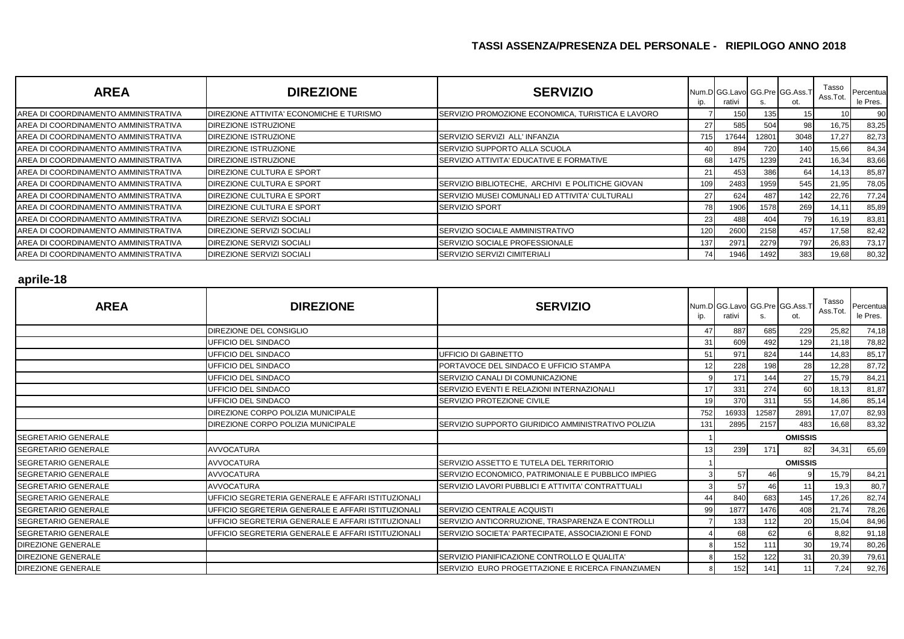| <b>AREA</b>                          | <b>DIREZIONE</b>                         | <b>SERVIZIO</b>                                   | ip. | Num.D GG.Lavo GG.Pre GG.Ass.T<br>rativi | ১.    | ot.  | Tasso<br>Ass.Tot. | Percentua<br>le Pres. |
|--------------------------------------|------------------------------------------|---------------------------------------------------|-----|-----------------------------------------|-------|------|-------------------|-----------------------|
| AREA DI COORDINAMENTO AMMINISTRATIVA | DIREZIONE ATTIVITA' ECONOMICHE E TURISMO | SERVIZIO PROMOZIONE ECONOMICA, TURISTICA E LAVORO |     | 150                                     | 135   | 15   |                   | 90.                   |
| AREA DI COORDINAMENTO AMMINISTRATIVA | DIREZIONE ISTRUZIONE                     |                                                   | 27  | 585                                     | 504   | 98   | 16,75             | 83,25                 |
| AREA DI COORDINAMENTO AMMINISTRATIVA | DIREZIONE ISTRUZIONE                     | SERVIZIO SERVIZI ALL'INFANZIA                     | 715 | 17644                                   | 12801 | 3048 | 17,27             | 82,73                 |
| AREA DI COORDINAMENTO AMMINISTRATIVA | <b>DIREZIONE ISTRUZIONE</b>              | SERVIZIO SUPPORTO ALLA SCUOLA                     | 40I | 894                                     | 720   | 140  | 15,66             | 84,34                 |
| AREA DI COORDINAMENTO AMMINISTRATIVA | <b>DIREZIONE ISTRUZIONE</b>              | SERVIZIO ATTIVITA' EDUCATIVE E FORMATIVE          | 68  | 1475                                    | 1239  | 241  | 16,34             | 83,66                 |
| AREA DI COORDINAMENTO AMMINISTRATIVA | DIREZIONE CULTURA E SPORT                |                                                   | 21  | 453                                     | 386   | 64   | 14,13             | 85,87                 |
| AREA DI COORDINAMENTO AMMINISTRATIVA | DIREZIONE CULTURA E SPORT                | SERVIZIO BIBLIOTECHE, ARCHIVI E POLITICHE GIOVAN  | 109 | 2483                                    | 1959  | 545  | 21,95             | 78,05                 |
| AREA DI COORDINAMENTO AMMINISTRATIVA | DIREZIONE CULTURA E SPORT                | SERVIZIO MUSEI COMUNALI ED ATTIVITA' CULTURALI    | 27  | 624                                     | 487   | 142  | 22,76             | 77,24                 |
| AREA DI COORDINAMENTO AMMINISTRATIVA | DIREZIONE CULTURA E SPORT                | <b>SERVIZIO SPORT</b>                             | 78  | 1906                                    | 1578  | 269  | 14,11             | 85,89                 |
| AREA DI COORDINAMENTO AMMINISTRATIVA | DIREZIONE SERVIZI SOCIALI                |                                                   | 23  | 488                                     | 404   | 79   | 16,19             | 83,81                 |
| AREA DI COORDINAMENTO AMMINISTRATIVA | DIREZIONE SERVIZI SOCIALI                | SERVIZIO SOCIALE AMMINISTRATIVO                   | 120 | 2600                                    | 2158  | 457  | 17,58             | 82,42                 |
| AREA DI COORDINAMENTO AMMINISTRATIVA | DIREZIONE SERVIZI SOCIALI                | SERVIZIO SOCIALE PROFESSIONALE                    | 137 | 2971                                    | 2279  | 797  | 26,83             | 73,17                 |
| AREA DI COORDINAMENTO AMMINISTRATIVA | DIREZIONE SERVIZI SOCIALI                | SERVIZIO SERVIZI CIMITERIALI                      | 74I | 1946                                    | 1492  | 383  | 19,68             | 80,32                 |

#### **aprile-18**

| <b>AREA</b>                | <b>DIREZIONE</b>                                   | <b>SERVIZIO</b>                                    | ID. | Num.D GG.Lavo GG.Pre GG.Ass.T<br>rativi |       | ot.            | Tasso<br>Ass.Tot. | Percentual<br>le Pres. |
|----------------------------|----------------------------------------------------|----------------------------------------------------|-----|-----------------------------------------|-------|----------------|-------------------|------------------------|
|                            | DIREZIONE DEL CONSIGLIO                            |                                                    | 47  | 887                                     | 685   | 229            | 25,82             | 74,18                  |
|                            | UFFICIO DEL SINDACO                                |                                                    | 31  | 609                                     | 492   | 129            | 21,18             | 78,82                  |
|                            | UFFICIO DEL SINDACO                                | UFFICIO DI GABINETTO                               | 51  | 971                                     | 824   | 144            | 14,83             | 85,17                  |
|                            | UFFICIO DEL SINDACO                                | PORTAVOCE DEL SINDACO E UFFICIO STAMPA             |     | 228                                     | 198   | 28             | 12,28             | 87,72                  |
|                            | UFFICIO DEL SINDACO                                | SERVIZIO CANALI DI COMUNICAZIONE                   |     | 171                                     | 144   | 27             | 15,79             | 84,21                  |
|                            | UFFICIO DEL SINDACO                                | SERVIZIO EVENTI E RELAZIONI INTERNAZIONALI         |     | 331                                     | 274   | 60             | 18,13             | 81,87                  |
|                            | UFFICIO DEL SINDACO                                | SERVIZIO PROTEZIONE CIVILE                         |     | 370                                     | 311   | 55             | 14,86             | 85,14                  |
|                            | DIREZIONE CORPO POLIZIA MUNICIPALE                 |                                                    | 752 | 16933                                   | 12587 | 2891           | 17,07             | 82,93                  |
|                            | DIREZIONE CORPO POLIZIA MUNICIPALE                 | SERVIZIO SUPPORTO GIURIDICO AMMINISTRATIVO POLIZIA | 131 | 2895                                    | 2157  | 483            | 16,68             | 83,32                  |
| <b>SEGRETARIO GENERALE</b> |                                                    |                                                    |     |                                         |       | <b>OMISSIS</b> |                   |                        |
| <b>SEGRETARIO GENERALE</b> | <b>AVVOCATURA</b>                                  |                                                    |     | 239                                     | 171   | 82             | 34,31             | 65,69                  |
| <b>SEGRETARIO GENERALE</b> | <b>AVVOCATURA</b>                                  | SERVIZIO ASSETTO E TUTELA DEL TERRITORIO           |     |                                         |       | <b>OMISSIS</b> |                   |                        |
| <b>SEGRETARIO GENERALE</b> | <b>AVVOCATURA</b>                                  | SERVIZIO ECONOMICO, PATRIMONIALE E PUBBLICO IMPIEG |     | 57                                      |       |                | 15,79             | 84,21                  |
| <b>SEGRETARIO GENERALE</b> | <b>AVVOCATURA</b>                                  | SERVIZIO LAVORI PUBBLICI E ATTIVITA' CONTRATTUALI  |     | 57                                      |       |                | 19,3              | 80,7                   |
| <b>SEGRETARIO GENERALE</b> | UFFICIO SEGRETERIA GENERALE E AFFARI ISTITUZIONALI |                                                    | 44  | 840                                     | 683   | 145            | 17,26             | 82,74                  |
| <b>SEGRETARIO GENERALE</b> | UFFICIO SEGRETERIA GENERALE E AFFARI ISTITUZIONALI | SERVIZIO CENTRALE ACQUISTI                         | 99  | 1877                                    | 1476  | 408            | 21,74             | 78,26                  |
| <b>SEGRETARIO GENERALE</b> | UFFICIO SEGRETERIA GENERALE E AFFARI ISTITUZIONALI | SERVIZIO ANTICORRUZIONE, TRASPARENZA E CONTROLLI   |     | 133                                     | 112   | 20             | 15,04             | 84,96                  |
| <b>SEGRETARIO GENERALE</b> | UFFICIO SEGRETERIA GENERALE E AFFARI ISTITUZIONALI | SERVIZIO SOCIETA' PARTECIPATE, ASSOCIAZIONI E FOND |     | 68                                      | 62    |                | 8,82              | 91,18                  |
| <b>DIREZIONE GENERALE</b>  |                                                    |                                                    |     | 152                                     | 111   | 30             | 19,74             | 80,26                  |
| <b>DIREZIONE GENERALE</b>  |                                                    | SERVIZIO PIANIFICAZIONE CONTROLLO E QUALITA'       |     | 152                                     | 122   | 31             | 20,39             | 79,61                  |
| <b>DIREZIONE GENERALE</b>  |                                                    | SERVIZIO EURO PROGETTAZIONE E RICERCA FINANZIAMEN  |     | 152                                     | 141   |                | 7,24              | 92,76                  |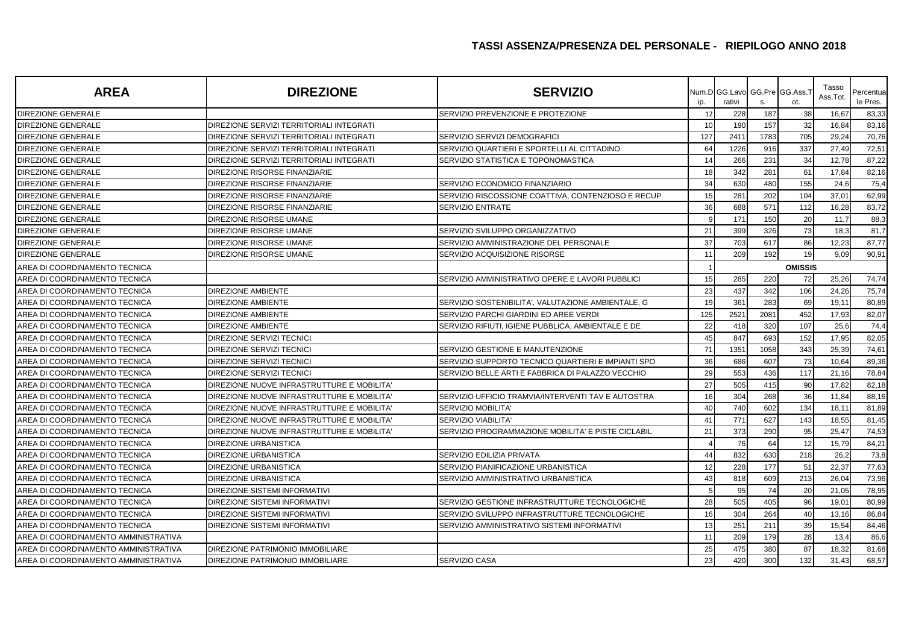| <b>AREA</b>                          | <b>DIREZIONE</b>                           | <b>SERVIZIO</b>                                    | ip. | Num.D GG.Lavo<br>rativi | s.   | GG.Pre GG.Ass.<br>ot. | Tasso<br>Ass.Tot. | Percentua<br>le Pres. |
|--------------------------------------|--------------------------------------------|----------------------------------------------------|-----|-------------------------|------|-----------------------|-------------------|-----------------------|
| <b>DIREZIONE GENERALE</b>            |                                            | SERVIZIO PREVENZIONE E PROTEZIONE                  | 12  | 228                     | 187  | 38                    | 16,67             | 83,33                 |
| <b>DIREZIONE GENERALE</b>            | DIREZIONE SERVIZI TERRITORIALI INTEGRATI   |                                                    | 10  | 190                     | 157  | 32                    | 16,84             | 83,16                 |
| DIREZIONE GENERALE                   | DIREZIONE SERVIZI TERRITORIALI INTEGRATI   | SERVIZIO SERVIZI DEMOGRAFICI                       | 127 | 2411                    | 1783 | 705                   | 29,24             | 70,76                 |
| <b>DIREZIONE GENERALE</b>            | DIREZIONE SERVIZI TERRITORIALI INTEGRATI   | SERVIZIO QUARTIERI E SPORTELLI AL CITTADINO        | 64  | 1226                    | 916  | 337                   | 27,49             | 72,51                 |
| <b>DIREZIONE GENERALE</b>            | DIREZIONE SERVIZI TERRITORIALI INTEGRATI   | SERVIZIO STATISTICA E TOPONOMASTICA                | 14  | 266                     | 231  | 34                    | 12,78             | 87,22                 |
| <b>DIREZIONE GENERALE</b>            | DIREZIONE RISORSE FINANZIARIE              |                                                    | 18  | 342                     | 281  | 61                    | 17,84             | 82,16                 |
| <b>DIREZIONE GENERALE</b>            | DIREZIONE RISORSE FINANZIARIE              | SERVIZIO ECONOMICO FINANZIARIO                     | 34  | 630                     | 480  | 155                   | 24,6              | 75,4                  |
| DIREZIONE GENERALE                   | DIREZIONE RISORSE FINANZIARIE              | SERVIZIO RISCOSSIONE COATTIVA, CONTENZIOSO E RECUP | 15  | 281                     | 202  | 104                   | 37,01             | 62,99                 |
| <b>DIREZIONE GENERALE</b>            | DIREZIONE RISORSE FINANZIARIE              | SERVIZIO ENTRATE                                   | 36  | 688                     | 571  | 112                   | 16,28             | 83,72                 |
| DIREZIONE GENERALE                   | DIREZIONE RISORSE UMANE                    |                                                    |     | 171                     | 150  | 20                    | 11,7              | 88,3                  |
| DIREZIONE GENERALE                   | DIREZIONE RISORSE UMANE                    | SERVIZIO SVILUPPO ORGANIZZATIVO                    | 21  | 399                     | 326  | 73                    | 18,3              | 81,7                  |
| DIREZIONE GENERALE                   | DIREZIONE RISORSE UMANE                    | SERVIZIO AMMINISTRAZIONE DEL PERSONALE             | 37  | 703                     | 617  | 86                    | 12,23             | 87,77                 |
| DIREZIONE GENERALE                   | DIREZIONE RISORSE UMANE                    | SERVIZIO ACQUISIZIONE RISORSE                      | 11  | 209                     | 192  | 19                    | 9,09              | 90,91                 |
| AREA DI COORDINAMENTO TECNICA        |                                            |                                                    |     |                         |      | <b>OMISSIS</b>        |                   |                       |
| AREA DI COORDINAMENTO TECNICA        |                                            | SERVIZIO AMMINISTRATIVO OPERE E LAVORI PUBBLICI    | 15  | 285                     | 220  | 72                    | 25,26             | 74,74                 |
| AREA DI COORDINAMENTO TECNICA        | <b>DIREZIONE AMBIENTE</b>                  |                                                    | 23  | 437                     | 342  | 106                   | 24,26             | 75,74                 |
| AREA DI COORDINAMENTO TECNICA        | <b>DIREZIONE AMBIENTE</b>                  | SERVIZIO SOSTENIBILITA', VALUTAZIONE AMBIENTALE, G | 19  | 361                     | 283  | 69                    | 19,11             | 80,89                 |
| AREA DI COORDINAMENTO TECNICA        | <b>DIREZIONE AMBIENTE</b>                  | SERVIZIO PARCHI GIARDINI ED AREE VERDI             | 125 | 2521                    | 2081 | 452                   | 17,93             | 82,07                 |
| AREA DI COORDINAMENTO TECNICA        | <b>DIREZIONE AMBIENTE</b>                  | SERVIZIO RIFIUTI. IGIENE PUBBLICA. AMBIENTALE E DE | 22  | 418                     | 320  | 107                   | 25,6              | 74,4                  |
| AREA DI COORDINAMENTO TECNICA        | DIREZIONE SERVIZI TECNICI                  |                                                    | 45  | 847                     | 693  | 152                   | 17,95             | 82,05                 |
| AREA DI COORDINAMENTO TECNICA        | DIREZIONE SERVIZI TECNICI                  | SERVIZIO GESTIONE E MANUTENZIONE                   | 71  | 1351                    | 1058 | 343                   | 25,39             | 74,61                 |
| AREA DI COORDINAMENTO TECNICA        | DIREZIONE SERVIZI TECNICI                  | SERVIZIO SUPPORTO TECNICO QUARTIERI E IMPIANTI SPO | 36  | 686                     | 607  | 73                    | 10,64             | 89,36                 |
| AREA DI COORDINAMENTO TECNICA        | DIREZIONE SERVIZI TECNICI                  | SERVIZIO BELLE ARTI E FABBRICA DI PALAZZO VECCHIO  | 29  | 553                     | 436  | 117                   | 21,16             | 78,84                 |
| AREA DI COORDINAMENTO TECNICA        | DIREZIONE NUOVE INFRASTRUTTURE E MOBILITA' |                                                    | 27  | 505                     | 415  | 90                    | 17,82             | 82,18                 |
| AREA DI COORDINAMENTO TECNICA        | DIREZIONE NUOVE INFRASTRUTTURE E MOBILITA' | SERVIZIO UFFICIO TRAMVIA/INTERVENTI TAV E AUTOSTRA | 16  | 304                     | 268  | 36                    | 11,84             | 88,16                 |
| AREA DI COORDINAMENTO TECNICA        | DIREZIONE NUOVE INFRASTRUTTURE E MOBILITA' | SERVIZIO MOBILITA'                                 | 40  | 740                     | 602  | 134                   | 18,11             | 81,89                 |
| AREA DI COORDINAMENTO TECNICA        | DIREZIONE NUOVE INFRASTRUTTURE E MOBILITA' | <b>SERVIZIO VIABILITA'</b>                         | 41  | 771                     | 627  | 143                   | 18,55             | 81,45                 |
| AREA DI COORDINAMENTO TECNICA        | DIREZIONE NUOVE INFRASTRUTTURE E MOBILITA' | SERVIZIO PROGRAMMAZIONE MOBILITA' E PISTE CICLABIL | 21  | 373                     | 290  | 95                    | 25,47             | 74,53                 |
| AREA DI COORDINAMENTO TECNICA        | <b>DIREZIONE URBANISTICA</b>               |                                                    |     | 76                      | 64   | 12                    | 15,79             | 84,21                 |
| AREA DI COORDINAMENTO TECNICA        | <b>DIREZIONE URBANISTICA</b>               | SERVIZIO EDILIZIA PRIVATA                          | 44  | 832                     | 630  | 218                   | 26,2              | 73,8                  |
| AREA DI COORDINAMENTO TECNICA        | <b>DIREZIONE URBANISTICA</b>               | SERVIZIO PIANIFICAZIONE URBANISTICA                | 12  | 228                     | 177  | 51                    | 22,37             | 77,63                 |
| AREA DI COORDINAMENTO TECNICA        | <b>DIREZIONE URBANISTICA</b>               | SERVIZIO AMMINISTRATIVO URBANISTICA                | 43  | 818                     | 609  | 213                   | 26,04             | 73,96                 |
| AREA DI COORDINAMENTO TECNICA        | <b>DIREZIONE SISTEMI INFORMATIVI</b>       |                                                    |     | 95                      | 74   | 20                    | 21,05             | 78,95                 |
| AREA DI COORDINAMENTO TECNICA        | <b>DIREZIONE SISTEMI INFORMATIVI</b>       | SERVIZIO GESTIONE INFRASTRUTTURE TECNOLOGICHE      | 28  | 505                     | 405  | 96                    | 19,01             | 80,99                 |
| AREA DI COORDINAMENTO TECNICA        | <b>DIREZIONE SISTEMI INFORMATIVI</b>       | SERVIZIO SVILUPPO INFRASTRUTTURE TECNOLOGICHE      | 16  | 304                     | 264  | 40                    | 13,16             | 86,84                 |
| AREA DI COORDINAMENTO TECNICA        | <b>DIREZIONE SISTEMI INFORMATIVI</b>       | SERVIZIO AMMINISTRATIVO SISTEMI INFORMATIVI        | 13  | 251                     | 211  | 39                    | 15,54             | 84,46                 |
| AREA DI COORDINAMENTO AMMINISTRATIVA |                                            |                                                    | 11  | 209                     | 179  | 28                    | 13,4              | 86,6                  |
| AREA DI COORDINAMENTO AMMINISTRATIVA | DIREZIONE PATRIMONIO IMMOBILIARE           |                                                    | 25  | 475                     | 380  | 87                    | 18,32             | 81,68                 |
| AREA DI COORDINAMENTO AMMINISTRATIVA | DIREZIONE PATRIMONIO IMMOBILIARE           | <b>SERVIZIO CASA</b>                               | 23  | 420                     | 300  | 132                   | 31,43             | 68,57                 |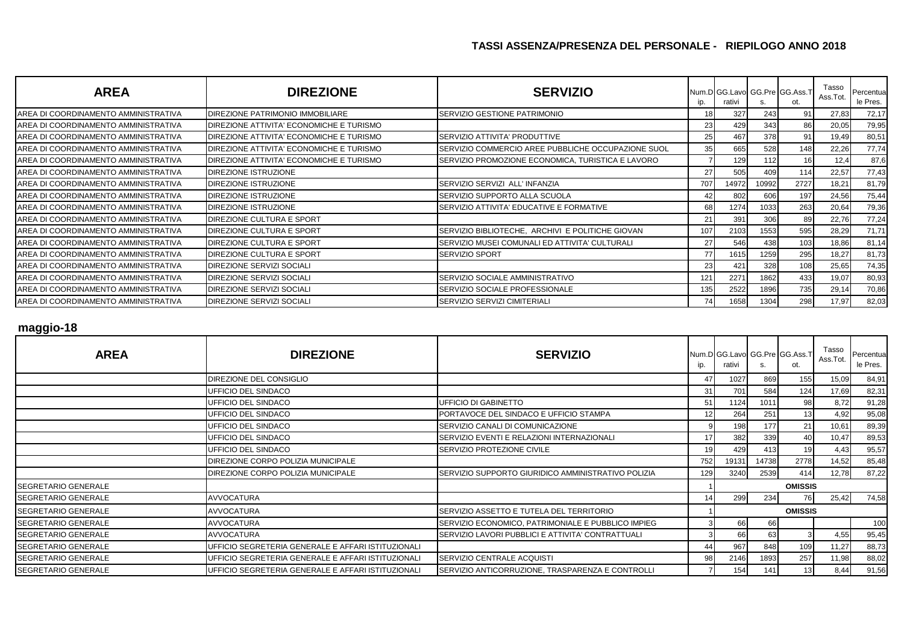| <b>AREA</b>                          | <b>DIREZIONE</b>                         | <b>SERVIZIO</b>                                    | ip. | rativi |       | Num.D GG.Lavo GG.Pre GG.Ass.T<br>ot. | Tasso<br>Ass.Tot. | Percentua<br>le Pres. |
|--------------------------------------|------------------------------------------|----------------------------------------------------|-----|--------|-------|--------------------------------------|-------------------|-----------------------|
| AREA DI COORDINAMENTO AMMINISTRATIVA | DIREZIONE PATRIMONIO IMMOBILIARE         | SERVIZIO GESTIONE PATRIMONIO                       | 18  | 327    | 243   | 91                                   | 27,83             | 72,17                 |
| AREA DI COORDINAMENTO AMMINISTRATIVA | DIREZIONE ATTIVITA' ECONOMICHE E TURISMO |                                                    | 23  | 429    | 343   | 86                                   | 20,05             | 79,95                 |
| AREA DI COORDINAMENTO AMMINISTRATIVA | DIREZIONE ATTIVITA' ECONOMICHE E TURISMO | SERVIZIO ATTIVITA' PRODUTTIVE                      | 25  | 467    | 378   | 91                                   | 19,49             | 80,51                 |
| AREA DI COORDINAMENTO AMMINISTRATIVA | DIREZIONE ATTIVITA' ECONOMICHE E TURISMO | SERVIZIO COMMERCIO AREE PUBBLICHE OCCUPAZIONE SUOL | 35  | 665    | 528   | 148                                  | 22,26             | 77,74                 |
| AREA DI COORDINAMENTO AMMINISTRATIVA | DIREZIONE ATTIVITA' ECONOMICHE E TURISMO | SERVIZIO PROMOZIONE ECONOMICA, TURISTICA E LAVORO  |     | 129    | 112   | 16                                   | 12,4              | 87,6                  |
| AREA DI COORDINAMENTO AMMINISTRATIVA | <b>DIREZIONE ISTRUZIONE</b>              |                                                    | 27  | 505    | 409   | 114                                  | 22,57             | 77,43                 |
| AREA DI COORDINAMENTO AMMINISTRATIVA | <b>DIREZIONE ISTRUZIONE</b>              | SERVIZIO SERVIZI ALL'INFANZIA                      | 707 | 14972  | 10992 | 2727                                 | 18,21             | 81,79                 |
| AREA DI COORDINAMENTO AMMINISTRATIVA | <b>DIREZIONE ISTRUZIONE</b>              | SERVIZIO SUPPORTO ALLA SCUOLA                      | 42  | 802    | 606   | 197                                  | 24,56             | 75,44                 |
| AREA DI COORDINAMENTO AMMINISTRATIVA | <b>DIREZIONE ISTRUZIONE</b>              | SERVIZIO ATTIVITA' EDUCATIVE E FORMATIVE           | 68  | 1274   | 1033  | 263                                  | 20,64             | 79,36                 |
| AREA DI COORDINAMENTO AMMINISTRATIVA | DIREZIONE CULTURA E SPORT                |                                                    | 21  | 391    | 306   | 89                                   | 22,76             | 77,24                 |
| AREA DI COORDINAMENTO AMMINISTRATIVA | DIREZIONE CULTURA E SPORT                | SERVIZIO BIBLIOTECHE, ARCHIVI E POLITICHE GIOVAN   | 107 | 2103   | 1553  | 595                                  | 28,29             | 71,71                 |
| AREA DI COORDINAMENTO AMMINISTRATIVA | DIREZIONE CULTURA E SPORT                | SERVIZIO MUSEI COMUNALI ED ATTIVITA' CULTURALI     | 27  | 546    | 438   | 103                                  | 18,86             | 81,14                 |
| AREA DI COORDINAMENTO AMMINISTRATIVA | DIREZIONE CULTURA E SPORT                | <b>SERVIZIO SPORT</b>                              | 77  | 1615   | 1259  | 295                                  | 18,27             | 81,73                 |
| AREA DI COORDINAMENTO AMMINISTRATIVA | DIREZIONE SERVIZI SOCIALI                |                                                    | 23  | 421    | 328   | 108                                  | 25,65             | 74,35                 |
| AREA DI COORDINAMENTO AMMINISTRATIVA | <b>DIREZIONE SERVIZI SOCIALI</b>         | SERVIZIO SOCIALE AMMINISTRATIVO                    | 121 | 2271   | 1862  | 433                                  | 19,07             | 80,93                 |
| AREA DI COORDINAMENTO AMMINISTRATIVA | DIREZIONE SERVIZI SOCIALI                | SERVIZIO SOCIALE PROFESSIONALE                     | 135 | 2522   | 1896  | 735                                  | 29,14             | 70,86                 |
| AREA DI COORDINAMENTO AMMINISTRATIVA | DIREZIONE SERVIZI SOCIALI                | SERVIZIO SERVIZI CIMITERIALI                       | 74  | 1658   | 1304  | 298                                  | 17,97             | 82,03                 |

#### **maggio-18**

| <b>AREA</b>                | <b>DIREZIONE</b>                                   | <b>SERVIZIO</b>                                    | ID. | rativi |       | Num.D GG.Lavo GG.Pre GG.Ass.T<br>ot. | Tasso<br>Ass.Tot. | Percentua<br>le Pres. |
|----------------------------|----------------------------------------------------|----------------------------------------------------|-----|--------|-------|--------------------------------------|-------------------|-----------------------|
|                            | DIREZIONE DEL CONSIGLIO                            |                                                    | 47  | 1027   | 869   | 155                                  | 15,09             | 84,91                 |
|                            | UFFICIO DEL SINDACO                                |                                                    | 31  | 701    | 584   | 124                                  | 17,69             | 82,31                 |
|                            | UFFICIO DEL SINDACO                                | JFFICIO DI GABINETTO                               | 51  | 1124   | 1011  | 98                                   | 8,72              | 91,28                 |
|                            | UFFICIO DEL SINDACO                                | PORTAVOCE DEL SINDACO E UFFICIO STAMPA             |     | 264    | 251   | 13                                   | 4,92              | 95,08                 |
|                            | UFFICIO DEL SINDACO                                | SERVIZIO CANALI DI COMUNICAZIONE                   |     | 198    | 177   | 21                                   | 10,61             | 89,39                 |
|                            | UFFICIO DEL SINDACO                                | SERVIZIO EVENTI E RELAZIONI INTERNAZIONALI         |     | 382    | 339   | 40                                   | 10,47             | 89,53                 |
|                            | UFFICIO DEL SINDACO                                | SERVIZIO PROTEZIONE CIVILE                         |     | 429    | 413   | 19                                   | 4,43              | 95,57                 |
|                            | DIREZIONE CORPO POLIZIA MUNICIPALE                 |                                                    | 752 | 19131  | 14738 | 2778                                 | 14,52             | 85,48                 |
|                            | DIREZIONE CORPO POLIZIA MUNICIPALE                 | SERVIZIO SUPPORTO GIURIDICO AMMINISTRATIVO POLIZIA | 129 | 3240   | 2539  | 414                                  | 12,78             | 87,22                 |
| <b>SEGRETARIO GENERALE</b> |                                                    |                                                    |     |        |       | <b>OMISSIS</b>                       |                   |                       |
| <b>SEGRETARIO GENERALE</b> | <b>AVVOCATURA</b>                                  |                                                    |     | 299    | 234   | 76                                   | 25,42             | 74,58                 |
| <b>SEGRETARIO GENERALE</b> | <b>AVVOCATURA</b>                                  | SERVIZIO ASSETTO E TUTELA DEL TERRITORIO           |     |        |       | <b>OMISSIS</b>                       |                   |                       |
| <b>SEGRETARIO GENERALE</b> | <b>AVVOCATURA</b>                                  | SERVIZIO ECONOMICO, PATRIMONIALE E PUBBLICO IMPIEG |     | 66     | 66    |                                      |                   | 100                   |
| SEGRETARIO GENERALE        | <b>AVVOCATURA</b>                                  | SERVIZIO LAVORI PUBBLICI E ATTIVITA' CONTRATTUALI  |     | 66     | 63    |                                      | 4,55              | 95,45                 |
| <b>SEGRETARIO GENERALE</b> | UFFICIO SEGRETERIA GENERALE E AFFARI ISTITUZIONALI |                                                    |     | 967    | 848   | 109                                  | 11,27             | 88,73                 |
| <b>SEGRETARIO GENERALE</b> | UFFICIO SEGRETERIA GENERALE E AFFARI ISTITUZIONALI | SERVIZIO CENTRALE ACQUISTI                         | 98  | 2146   | 1893  | 257                                  | 11,98             | 88,02                 |
| <b>SEGRETARIO GENERALE</b> | UFFICIO SEGRETERIA GENERALE E AFFARI ISTITUZIONALI | SERVIZIO ANTICORRUZIONE, TRASPARENZA E CONTROLLI   |     | 154    | 141   | 131                                  | 8,44              | 91,56                 |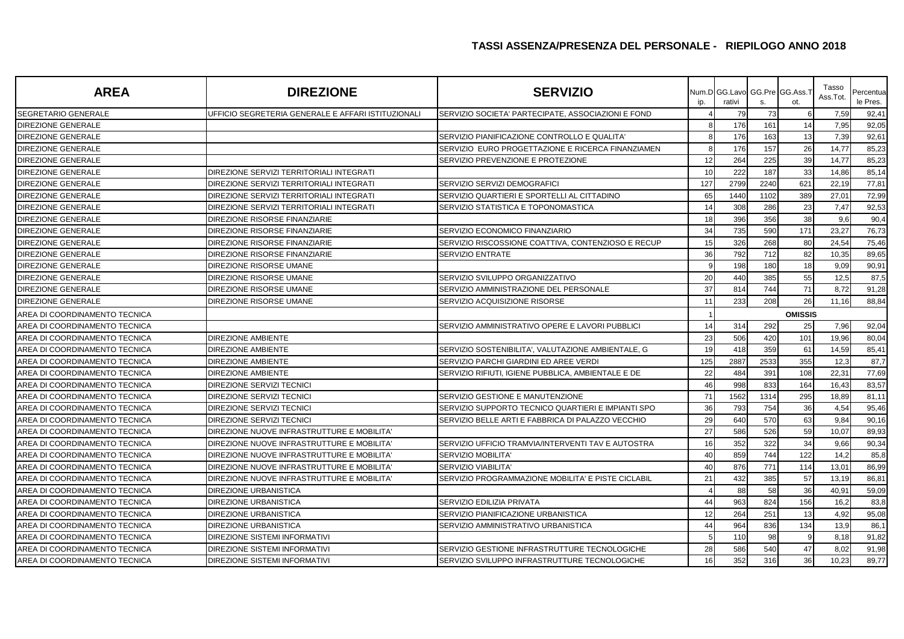| <b>AREA</b>                   | <b>DIREZIONE</b>                                   | <b>SERVIZIO</b>                                    | ip. | Num.D GG.Lavo GG.Pre GG.Ass.<br>rativi | S.             | ot. | Tasso<br>Ass.Tot | Percentua<br>le Pres. |  |
|-------------------------------|----------------------------------------------------|----------------------------------------------------|-----|----------------------------------------|----------------|-----|------------------|-----------------------|--|
| SEGRETARIO GENERALE           | UFFICIO SEGRETERIA GENERALE E AFFARI ISTITUZIONALI | SERVIZIO SOCIETA' PARTECIPATE, ASSOCIAZIONI E FOND |     | 79                                     | 73             |     | 7,59             | 92,41                 |  |
| <b>DIREZIONE GENERALE</b>     |                                                    |                                                    |     | 176                                    | 161            | 14  | 7,95             | 92,05                 |  |
| <b>DIREZIONE GENERALE</b>     |                                                    | SERVIZIO PIANIFICAZIONE CONTROLLO E QUALITA'       |     | 176                                    | 163            | 13  | 7,39             | 92,61                 |  |
| <b>DIREZIONE GENERALE</b>     |                                                    | SERVIZIO EURO PROGETTAZIONE E RICERCA FINANZIAMEN  |     | 176                                    | 157            | 26  | 14,77            | 85,23                 |  |
| <b>DIREZIONE GENERALE</b>     |                                                    | SERVIZIO PREVENZIONE E PROTEZIONE                  | 12  | 264                                    | 225            | 39  | 14,77            | 85,23                 |  |
| <b>DIREZIONE GENERALE</b>     | DIREZIONE SERVIZI TERRITORIALI INTEGRATI           |                                                    | 10  | 222                                    | 187            | 33  | 14,86            | 85,14                 |  |
| DIREZIONE GENERALE            | DIREZIONE SERVIZI TERRITORIALI INTEGRATI           | SERVIZIO SERVIZI DEMOGRAFICI                       | 127 | 2799                                   | 2240           | 621 | 22,19            | 77,81                 |  |
| <b>DIREZIONE GENERALE</b>     | DIREZIONE SERVIZI TERRITORIALI INTEGRATI           | SERVIZIO QUARTIERI E SPORTELLI AL CITTADINO        | 65  | 1440                                   | 1102           | 389 | 27,01            | 72,99                 |  |
| DIREZIONE GENERALE            | DIREZIONE SERVIZI TERRITORIALI INTEGRATI           | SERVIZIO STATISTICA E TOPONOMASTICA                | 14  | 308                                    | 286            | 23  | 7,47             | 92,53                 |  |
| <b>DIREZIONE GENERALE</b>     | DIREZIONE RISORSE FINANZIARIE                      |                                                    | 18  | 396                                    | 356            | 38  | 9,6              | 90,4                  |  |
| <b>DIREZIONE GENERALE</b>     | DIREZIONE RISORSE FINANZIARIE                      | SERVIZIO ECONOMICO FINANZIARIO                     | 34  | 735                                    | 590            | 171 | 23,27            | 76,73                 |  |
| DIREZIONE GENERALE            | DIREZIONE RISORSE FINANZIARIE                      | SERVIZIO RISCOSSIONE COATTIVA, CONTENZIOSO E RECUP | 15  | 326                                    | 268            | 80  | 24,54            | 75,46                 |  |
| <b>DIREZIONE GENERALE</b>     | DIREZIONE RISORSE FINANZIARIE                      | SERVIZIO ENTRATE                                   | 36  | 792                                    | 712            | 82  | 10,35            | 89,65                 |  |
| <b>DIREZIONE GENERALE</b>     | DIREZIONE RISORSE UMANE                            |                                                    |     | 198                                    | 180            | 18  | 9,09             | 90,91                 |  |
| <b>DIREZIONE GENERALE</b>     | DIREZIONE RISORSE UMANE                            | SERVIZIO SVILUPPO ORGANIZZATIVO                    | 20  | 440                                    | 385            | 55  | 12,5             | 87,5                  |  |
| <b>DIREZIONE GENERALE</b>     | DIREZIONE RISORSE UMANE                            | SERVIZIO AMMINISTRAZIONE DEL PERSONALE             | 37  | 814                                    | 744            | 71  | 8,72             | 91,28                 |  |
| <b>DIREZIONE GENERALE</b>     | DIREZIONE RISORSE UMANE                            | SERVIZIO ACQUISIZIONE RISORSE                      | 11  | 233                                    | 208            | 26  | 11,16            | 88,84                 |  |
| AREA DI COORDINAMENTO TECNICA |                                                    |                                                    |     |                                        | <b>OMISSIS</b> |     |                  |                       |  |
| AREA DI COORDINAMENTO TECNICA |                                                    | SERVIZIO AMMINISTRATIVO OPERE E LAVORI PUBBLICI    | 14  | 314                                    | 292            | 25  | 7,96             | 92,04                 |  |
| AREA DI COORDINAMENTO TECNICA | <b>DIREZIONE AMBIENTE</b>                          |                                                    | 23  | 506                                    | 420            | 101 | 19,96            | 80,04                 |  |
| AREA DI COORDINAMENTO TECNICA | <b>DIREZIONE AMBIENTE</b>                          | SERVIZIO SOSTENIBILITA', VALUTAZIONE AMBIENTALE, G | 19  | 418                                    | 359            | 61  | 14,59            | 85,41                 |  |
| AREA DI COORDINAMENTO TECNICA | <b>DIREZIONE AMBIENTE</b>                          | SERVIZIO PARCHI GIARDINI ED AREE VERDI             | 125 | 2887                                   | 2533           | 355 | 12,3             | 87,7                  |  |
| AREA DI COORDINAMENTO TECNICA | <b>DIREZIONE AMBIENTE</b>                          | SERVIZIO RIFIUTI. IGIENE PUBBLICA. AMBIENTALE E DE | 22  | 484                                    | 391            | 108 | 22,31            | 77,69                 |  |
| AREA DI COORDINAMENTO TECNICA | DIREZIONE SERVIZI TECNICI                          |                                                    | 46  | 998                                    | 833            | 164 | 16,43            | 83,57                 |  |
| AREA DI COORDINAMENTO TECNICA | DIREZIONE SERVIZI TECNICI                          | SERVIZIO GESTIONE E MANUTENZIONE                   | 71  | 1562                                   | 1314           | 295 | 18,89            | 81,11                 |  |
| AREA DI COORDINAMENTO TECNICA | DIREZIONE SERVIZI TECNICI                          | SERVIZIO SUPPORTO TECNICO QUARTIERI E IMPIANTI SPO | 36  | 793                                    | 754            | 36  | 4,54             | 95,46                 |  |
| AREA DI COORDINAMENTO TECNICA | <b>DIREZIONE SERVIZI TECNICI</b>                   | SERVIZIO BELLE ARTI E FABBRICA DI PALAZZO VECCHIO  | 29  | 640                                    | 570            | 63  | 9,84             | 90,16                 |  |
| AREA DI COORDINAMENTO TECNICA | DIREZIONE NUOVE INFRASTRUTTURE E MOBILITA'         |                                                    | 27  | 586                                    | 526            | 59  | 10,07            | 89,93                 |  |
| AREA DI COORDINAMENTO TECNICA | DIREZIONE NUOVE INFRASTRUTTURE E MOBILITA'         | SERVIZIO UFFICIO TRAMVIA/INTERVENTI TAV E AUTOSTRA | 16  | 352                                    | 322            | 34  | 9,66             | 90,34                 |  |
| AREA DI COORDINAMENTO TECNICA | DIREZIONE NUOVE INFRASTRUTTURE E MOBILITA'         | SERVIZIO MOBILITA                                  | 40  | 859                                    | 744            | 122 | 14,2             | 85,8                  |  |
| AREA DI COORDINAMENTO TECNICA | DIREZIONE NUOVE INFRASTRUTTURE E MOBILITA'         | SERVIZIO VIABILITA'                                | 40  | 876                                    | 771            | 114 | 13,01            | 86,99                 |  |
| AREA DI COORDINAMENTO TECNICA | DIREZIONE NUOVE INFRASTRUTTURE E MOBILITA'         | SERVIZIO PROGRAMMAZIONE MOBILITA' E PISTE CICLABIL | 21  | 432                                    | 385            | 57  | 13,19            | 86,81                 |  |
| AREA DI COORDINAMENTO TECNICA | <b>DIREZIONE URBANISTICA</b>                       |                                                    |     | 88                                     | 58             | 36  | 40,91            | 59,09                 |  |
| AREA DI COORDINAMENTO TECNICA | <b>DIREZIONE URBANISTICA</b>                       | SERVIZIO EDILIZIA PRIVATA                          | 44  | 963                                    | 824            | 156 | 16,2             | 83,8                  |  |
| AREA DI COORDINAMENTO TECNICA | DIREZIONE URBANISTICA                              | SERVIZIO PIANIFICAZIONE URBANISTICA                | 12  | 264                                    | 251            | 13  | 4,92             | 95,08                 |  |
| AREA DI COORDINAMENTO TECNICA | <b>DIREZIONE URBANISTICA</b>                       | SERVIZIO AMMINISTRATIVO URBANISTICA                | 44  | 964                                    | 836            | 134 | 13,9             | 86,1                  |  |
| AREA DI COORDINAMENTO TECNICA | <b>DIREZIONE SISTEMI INFORMATIVI</b>               |                                                    |     | 110                                    | 98             |     | 8,18             | 91,82                 |  |
| AREA DI COORDINAMENTO TECNICA | DIREZIONE SISTEMI INFORMATIVI                      | SERVIZIO GESTIONE INFRASTRUTTURE TECNOLOGICHE      | 28  | 586                                    | 540            | 47  | 8,02             | 91,98                 |  |
| AREA DI COORDINAMENTO TECNICA | <b>DIREZIONE SISTEMI INFORMATIVI</b>               | SERVIZIO SVILUPPO INFRASTRUTTURE TECNOLOGICHE      | 16  | 352                                    | 316            | 36  | 10.23            | 89,77                 |  |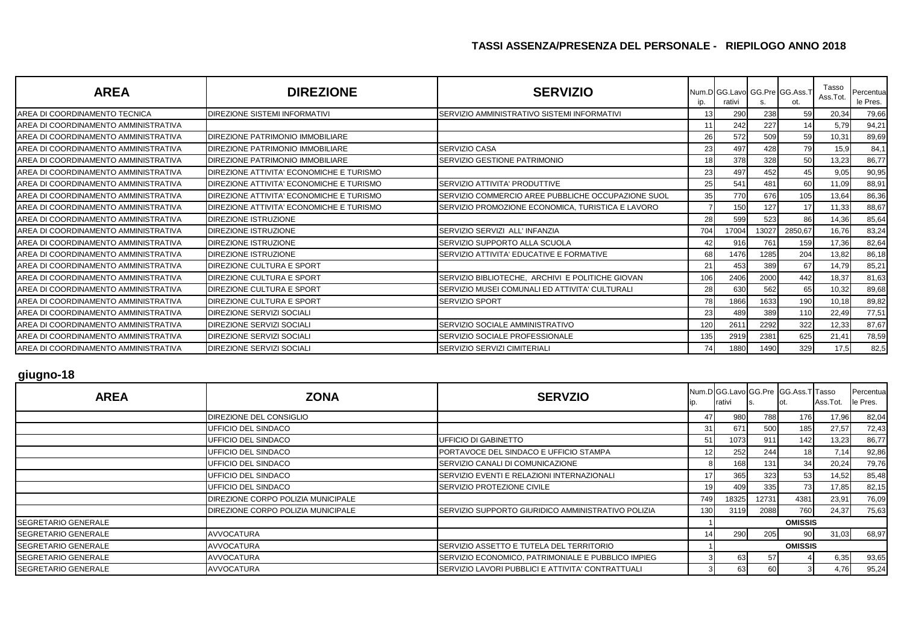| <b>AREA</b>                          | <b>DIREZIONE</b>                         | <b>SERVIZIO</b>                                    | ip. | Num.D GG.Lavo GG.Pre GG.Ass.T<br>rativi |       | ot.     | Tasso<br>Ass.Tot. | Percentual<br>le Pres. |
|--------------------------------------|------------------------------------------|----------------------------------------------------|-----|-----------------------------------------|-------|---------|-------------------|------------------------|
| AREA DI COORDINAMENTO TECNICA        | <b>DIREZIONE SISTEMI INFORMATIVI</b>     | SERVIZIO AMMINISTRATIVO SISTEMI INFORMATIVI        | 13  | 290                                     | 238   | 59      | 20,34             | 79,66                  |
| AREA DI COORDINAMENTO AMMINISTRATIVA |                                          |                                                    | 11  | 242                                     | 227   | 14      | 5,79              | 94,21                  |
| AREA DI COORDINAMENTO AMMINISTRATIVA | <b>DIREZIONE PATRIMONIO IMMOBILIARE</b>  |                                                    | 26  | 572                                     | 509   | 59      | 10,31             | 89,69                  |
| AREA DI COORDINAMENTO AMMINISTRATIVA | <b>DIREZIONE PATRIMONIO IMMOBILIARE</b>  | <b>SERVIZIO CASA</b>                               | 23  | 497                                     | 428   | 79      | 15,9              | 84,1                   |
| AREA DI COORDINAMENTO AMMINISTRATIVA | DIREZIONE PATRIMONIO IMMOBILIARE         | SERVIZIO GESTIONE PATRIMONIO                       | 18  | 378                                     | 328   | 50      | 13,23             | 86,77                  |
| AREA DI COORDINAMENTO AMMINISTRATIVA | DIREZIONE ATTIVITA' ECONOMICHE E TURISMO |                                                    | 23  | 497                                     | 452   | 45      | 9,05              | 90,95                  |
| AREA DI COORDINAMENTO AMMINISTRATIVA | DIREZIONE ATTIVITA' ECONOMICHE E TURISMO | SERVIZIO ATTIVITA' PRODUTTIVE                      | 25  | 541                                     | 481   | 60      | 11,09             | 88,91                  |
| AREA DI COORDINAMENTO AMMINISTRATIVA | DIREZIONE ATTIVITA' ECONOMICHE E TURISMO | SERVIZIO COMMERCIO AREE PUBBLICHE OCCUPAZIONE SUOL | 35  | 770                                     | 676   | 105     | 13,64             | 86,36                  |
| AREA DI COORDINAMENTO AMMINISTRATIVA | DIREZIONE ATTIVITA' ECONOMICHE E TURISMO | SERVIZIO PROMOZIONE ECONOMICA, TURISTICA E LAVORO  |     | 150                                     | 127   | 17      | 11,33             | 88,67                  |
| AREA DI COORDINAMENTO AMMINISTRATIVA | <b>DIREZIONE ISTRUZIONE</b>              |                                                    | 28  | 599                                     | 523   | 86      | 14,36             | 85,64                  |
| AREA DI COORDINAMENTO AMMINISTRATIVA | <b>DIREZIONE ISTRUZIONE</b>              | SERVIZIO SERVIZI ALL' INFANZIA                     | 704 | 17004                                   | 13027 | 2850,67 | 16,76             | 83,24                  |
| AREA DI COORDINAMENTO AMMINISTRATIVA | <b>DIREZIONE ISTRUZIONE</b>              | SERVIZIO SUPPORTO ALLA SCUOLA                      | 42  | 916                                     | 761   | 159     | 17,36             | 82,64                  |
| AREA DI COORDINAMENTO AMMINISTRATIVA | <b>DIREZIONE ISTRUZIONE</b>              | SERVIZIO ATTIVITA' EDUCATIVE E FORMATIVE           | 68  | 1476                                    | 1285  | 204     | 13,82             | 86,18                  |
| AREA DI COORDINAMENTO AMMINISTRATIVA | DIREZIONE CULTURA E SPORT                |                                                    | 21  | 453                                     | 389   | 67      | 14,79             | 85,21                  |
| AREA DI COORDINAMENTO AMMINISTRATIVA | DIREZIONE CULTURA E SPORT                | SERVIZIO BIBLIOTECHE. ARCHIVI E POLITICHE GIOVAN   | 106 | 2406                                    | 2000  | 442     | 18,37             | 81,63                  |
| AREA DI COORDINAMENTO AMMINISTRATIVA | DIREZIONE CULTURA E SPORT                | SERVIZIO MUSEI COMUNALI ED ATTIVITA' CULTURALI     | 28  | 630                                     | 562   | 65      | 10,32             | 89,68                  |
| AREA DI COORDINAMENTO AMMINISTRATIVA | DIREZIONE CULTURA E SPORT                | <b>SERVIZIO SPORT</b>                              | 78  | 1866                                    | 1633  | 190     | 10,18             | 89,82                  |
| AREA DI COORDINAMENTO AMMINISTRATIVA | DIREZIONE SERVIZI SOCIALI                |                                                    | 23  | 489                                     | 389   | 110     | 22,49             | 77,51                  |
| AREA DI COORDINAMENTO AMMINISTRATIVA | DIREZIONE SERVIZI SOCIALI                | SERVIZIO SOCIALE AMMINISTRATIVO                    | 120 | 2611                                    | 2292  | 322     | 12,33             | 87,67                  |
| AREA DI COORDINAMENTO AMMINISTRATIVA | DIREZIONE SERVIZI SOCIALI                | SERVIZIO SOCIALE PROFESSIONALE                     | 135 | 2919                                    | 2381  | 625     | 21,41             | 78,59                  |
| AREA DI COORDINAMENTO AMMINISTRATIVA | DIREZIONE SERVIZI SOCIALI                | SERVIZIO SERVIZI CIMITERIALI                       | 74  | 1880                                    | 1490  | 329     | 17,5              | 82,5                   |

## **giugno-18**

| <b>AREA</b>                 | <b>ZONA</b>                        | <b>SERVZIO</b>                                     | ID.             | rativi |       | Num.D GG.Lavo GG.Pre GG.Ass.T Tasso<br>lot. | Ass.Tot. | Percentua<br>le Pres. |
|-----------------------------|------------------------------------|----------------------------------------------------|-----------------|--------|-------|---------------------------------------------|----------|-----------------------|
|                             | DIREZIONE DEL CONSIGLIO            |                                                    | 47              | 980    | 788   | 176                                         | 17,96    | 82,04                 |
|                             | UFFICIO DEL SINDACO                |                                                    | 31              | 671    | 500   | 185                                         | 27,57    | 72,43                 |
|                             | UFFICIO DEL SINDACO                | UFFICIO DI GABINETTO                               | 51              | 1073   | 911   | 142                                         | 13,23    | 86,77                 |
|                             | UFFICIO DEL SINDACO                | PORTAVOCE DEL SINDACO E UFFICIO STAMPA             | 12 <sup>1</sup> | 252    | 244   | 18 <sup>l</sup>                             | 7,14     | 92,86                 |
|                             | UFFICIO DEL SINDACO                | <b>ISERVIZIO CANALI DI COMUNICAZIONE</b>           |                 | 168    | 131   | 34                                          | 20,24    | 79,76                 |
|                             | UFFICIO DEL SINDACO                | SERVIZIO EVENTI E RELAZIONI INTERNAZIONALI         | 17              | 365    | 323   | 53                                          | 14,52    | 85,48                 |
|                             | UFFICIO DEL SINDACO                | SERVIZIO PROTEZIONE CIVILE                         | 19 <sub>l</sub> | 409    | 335   | 73                                          | 17,85    | 82,15                 |
|                             | DIREZIONE CORPO POLIZIA MUNICIPALE |                                                    | 749             | 18325  | 12731 | 4381                                        | 23,91    | 76,09                 |
|                             | DIREZIONE CORPO POLIZIA MUNICIPALE | SERVIZIO SUPPORTO GIURIDICO AMMINISTRATIVO POLIZIA | 130             | 3119   | 2088  | 760                                         | 24,37    | 75,63                 |
| SEGRETARIO GENERALE         |                                    |                                                    |                 |        |       | <b>OMISSIS</b>                              |          |                       |
| SEGRETARIO GENERALE         | <b>AVVOCATURA</b>                  |                                                    | 14              | 290    | 205   | 90 <sub>1</sub>                             | 31,03    | 68,97                 |
| <b>ISEGRETARIO GENERALE</b> | <b>AVVOCATURA</b>                  | SERVIZIO ASSETTO E TUTELA DEL TERRITORIO           |                 |        |       | <b>OMISSIS</b>                              |          |                       |
| SEGRETARIO GENERALE         | <b>AVVOCATURA</b>                  | SERVIZIO ECONOMICO, PATRIMONIALE E PUBBLICO IMPIEG |                 | 63     | 57    |                                             | 6,35     | 93,65                 |
| <b>SEGRETARIO GENERALE</b>  | <b>AVVOCATURA</b>                  | SERVIZIO LAVORI PUBBLICI E ATTIVITA' CONTRATTUALI  |                 | 63     | 60    |                                             | 4,76     | 95,24                 |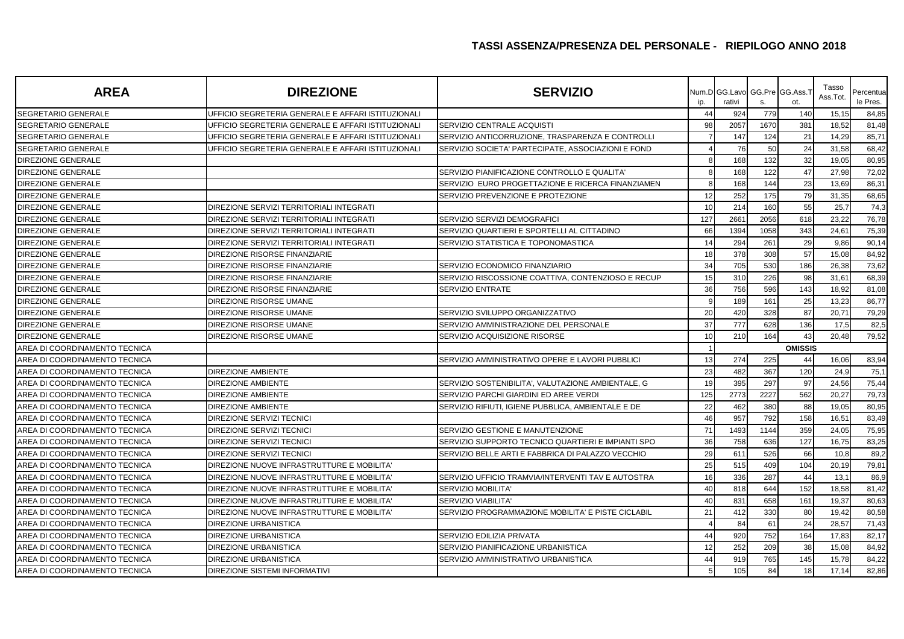| <b>AREA</b>                   | <b>DIREZIONE</b>                                   | <b>SERVIZIO</b>                                    | ip. | Num.D GG.Lavo GG.Pre GG.Ass.<br>rativi | S.   | ot.            | Tasso<br>Ass.Tot. | Percentual<br>le Pres. |
|-------------------------------|----------------------------------------------------|----------------------------------------------------|-----|----------------------------------------|------|----------------|-------------------|------------------------|
| <b>SEGRETARIO GENERALE</b>    | UFFICIO SEGRETERIA GENERALE E AFFARI ISTITUZIONALI |                                                    | 44  | 924                                    | 779  | 140            | 15,15             | 84,85                  |
| <b>SEGRETARIO GENERALE</b>    | UFFICIO SEGRETERIA GENERALE E AFFARI ISTITUZIONALI | SERVIZIO CENTRALE ACQUISTI                         | 98  | 2057                                   | 1670 | 381            | 18,52             | 81,48                  |
| <b>SEGRETARIO GENERALE</b>    | UFFICIO SEGRETERIA GENERALE E AFFARI ISTITUZIONALI | SERVIZIO ANTICORRUZIONE, TRASPARENZA E CONTROLLI   |     | 147                                    | 124  | 21             | 14,29             | 85,71                  |
| <b>SEGRETARIO GENERALE</b>    | UFFICIO SEGRETERIA GENERALE E AFFARI ISTITUZIONALI | SERVIZIO SOCIETA' PARTECIPATE, ASSOCIAZIONI E FOND |     | 76                                     | 50   | 24             | 31,58             | 68,42                  |
| DIREZIONE GENERALE            |                                                    |                                                    |     | 168                                    | 132  | 32             | 19,05             | 80,95                  |
| <b>DIREZIONE GENERALE</b>     |                                                    | SERVIZIO PIANIFICAZIONE CONTROLLO E QUALITA'       |     | 168                                    | 122  | 47             | 27,98             | 72,02                  |
| <b>DIREZIONE GENERALE</b>     |                                                    | SERVIZIO EURO PROGETTAZIONE E RICERCA FINANZIAMEN  |     | 168                                    | 144  | 23             | 13,69             | 86,31                  |
| DIREZIONE GENERALE            |                                                    | SERVIZIO PREVENZIONE E PROTEZIONE                  | 12  | 252                                    | 175  | 79             | 31,35             | 68,65                  |
| DIREZIONE GENERALE            | DIREZIONE SERVIZI TERRITORIALI INTEGRATI           |                                                    | 10  | 214                                    | 160  | 55             | 25,7              | 74,3                   |
| <b>DIREZIONE GENERALE</b>     | DIREZIONE SERVIZI TERRITORIALI INTEGRATI           | SERVIZIO SERVIZI DEMOGRAFICI                       | 127 | 2661                                   | 2056 | 618            | 23,22             | 76,78                  |
| <b>DIREZIONE GENERALE</b>     | DIREZIONE SERVIZI TERRITORIALI INTEGRATI           | SERVIZIO QUARTIERI E SPORTELLI AL CITTADINO        | 66  | 1394                                   | 1058 | 343            | 24,61             | 75,39                  |
| DIREZIONE GENERALE            | DIREZIONE SERVIZI TERRITORIALI INTEGRATI           | SERVIZIO STATISTICA E TOPONOMASTICA                | 14  | 294                                    | 261  | 29             | 9,86              | 90,14                  |
| <b>DIREZIONE GENERALE</b>     | DIREZIONE RISORSE FINANZIARIE                      |                                                    | 18  | 378                                    | 308  | 57             | 15,08             | 84,92                  |
| <b>DIREZIONE GENERALE</b>     | DIREZIONE RISORSE FINANZIARIE                      | SERVIZIO ECONOMICO FINANZIARIO                     | 34  | 705                                    | 530  | 186            | 26,38             | 73,62                  |
| <b>DIREZIONE GENERALE</b>     | DIREZIONE RISORSE FINANZIARIE                      | SERVIZIO RISCOSSIONE COATTIVA, CONTENZIOSO E RECUP | 15  | 310                                    | 226  | 98             | 31,61             | 68,39                  |
| <b>DIREZIONE GENERALE</b>     | DIREZIONE RISORSE FINANZIARIE                      | SERVIZIO ENTRATE                                   | 36  | 756                                    | 596  | 143            | 18,92             | 81,08                  |
| DIREZIONE GENERALE            | <b>DIREZIONE RISORSE UMANE</b>                     |                                                    |     | 189                                    | 161  | 25             | 13,23             | 86,77                  |
| <b>DIREZIONE GENERALE</b>     | DIREZIONE RISORSE UMANE                            | SERVIZIO SVILUPPO ORGANIZZATIVO                    | 20  | 420                                    | 328  | 87             | 20,71             | 79,29                  |
| <b>DIREZIONE GENERALE</b>     | DIREZIONE RISORSE UMANE                            | SERVIZIO AMMINISTRAZIONE DEL PERSONALE             | 37  | 777                                    | 628  | 136            | 17,5              | 82,5                   |
| DIREZIONE GENERALE            | DIREZIONE RISORSE UMANE                            | SERVIZIO ACQUISIZIONE RISORSE                      | 10  | 210                                    | 164  | 43             | 20,48             | 79,52                  |
| AREA DI COORDINAMENTO TECNICA |                                                    |                                                    |     |                                        |      | <b>OMISSIS</b> |                   |                        |
| AREA DI COORDINAMENTO TECNICA |                                                    | SERVIZIO AMMINISTRATIVO OPERE E LAVORI PUBBLICI    | 13  | 274                                    | 225  | 44             | 16,06             | 83,94                  |
| AREA DI COORDINAMENTO TECNICA | <b>DIREZIONE AMBIENTE</b>                          |                                                    | 23  | 482                                    | 367  | 120            | 24,9              | 75,1                   |
| AREA DI COORDINAMENTO TECNICA | <b>DIREZIONE AMBIENTE</b>                          | SERVIZIO SOSTENIBILITA', VALUTAZIONE AMBIENTALE, G | 19  | 395                                    | 297  | 97             | 24,56             | 75,44                  |
| AREA DI COORDINAMENTO TECNICA | <b>DIREZIONE AMBIENTE</b>                          | SERVIZIO PARCHI GIARDINI ED AREE VERDI             | 125 | 2773                                   | 2227 | 562            | 20,27             | 79,73                  |
| AREA DI COORDINAMENTO TECNICA | <b>DIREZIONE AMBIENTE</b>                          | SERVIZIO RIFIUTI, IGIENE PUBBLICA, AMBIENTALE E DE | 22  | 462                                    | 380  | 88             | 19,05             | 80,95                  |
| AREA DI COORDINAMENTO TECNICA | DIREZIONE SERVIZI TECNICI                          |                                                    | 46  | 957                                    | 792  | 158            | 16,51             | 83,49                  |
| AREA DI COORDINAMENTO TECNICA | DIREZIONE SERVIZI TECNICI                          | SERVIZIO GESTIONE E MANUTENZIONE                   | 71  | 1493                                   | 1144 | 359            | 24,05             | 75,95                  |
| AREA DI COORDINAMENTO TECNICA | DIREZIONE SERVIZI TECNICI                          | SERVIZIO SUPPORTO TECNICO QUARTIERI E IMPIANTI SPO | 36  | 758                                    | 636  | 127            | 16,75             | 83,25                  |
| AREA DI COORDINAMENTO TECNICA | <b>DIREZIONE SERVIZI TECNICI</b>                   | SERVIZIO BELLE ARTI E FABBRICA DI PALAZZO VECCHIO  | 29  | 611                                    | 526  | 66             | 10,8              | 89,2                   |
| AREA DI COORDINAMENTO TECNICA | DIREZIONE NUOVE INFRASTRUTTURE E MOBILITA'         |                                                    | 25  | 515                                    | 409  | 104            | 20,19             | 79,81                  |
| AREA DI COORDINAMENTO TECNICA | DIREZIONE NUOVE INFRASTRUTTURE E MOBILITA          | SERVIZIO UFFICIO TRAMVIA/INTERVENTI TAV E AUTOSTRA | 16  | 336                                    | 287  | 44             | 13,1              | 86,9                   |
| AREA DI COORDINAMENTO TECNICA | DIREZIONE NUOVE INFRASTRUTTURE E MOBILITA'         | <b>SERVIZIO MOBILITA</b>                           | 40  | 818                                    | 644  | 152            | 18,58             | 81,42                  |
| AREA DI COORDINAMENTO TECNICA | DIREZIONE NUOVE INFRASTRUTTURE E MOBILITA'         | <b>SERVIZIO VIABILITA'</b>                         | 40  | 831                                    | 658  | 161            | 19,37             | 80,63                  |
| AREA DI COORDINAMENTO TECNICA | DIREZIONE NUOVE INFRASTRUTTURE E MOBILITA          | SERVIZIO PROGRAMMAZIONE MOBILITA' E PISTE CICLABIL | 21  | 412                                    | 330  | 80             | 19,42             | 80,58                  |
| AREA DI COORDINAMENTO TECNICA | <b>DIREZIONE URBANISTICA</b>                       |                                                    |     | 84                                     | 61   | 24             | 28,57             | 71,43                  |
| AREA DI COORDINAMENTO TECNICA | <b>DIREZIONE URBANISTICA</b>                       | SERVIZIO EDILIZIA PRIVATA                          | 44  | 920                                    | 752  | 164            | 17,83             | 82,17                  |
| AREA DI COORDINAMENTO TECNICA | DIREZIONE URBANISTICA                              | SERVIZIO PIANIFICAZIONE URBANISTICA                | 12  | 252                                    | 209  | 38             | 15,08             | 84,92                  |
| AREA DI COORDINAMENTO TECNICA | DIREZIONE URBANISTICA                              | SERVIZIO AMMINISTRATIVO URBANISTICA                | 44  | 919                                    | 765  | 145            | 15,78             | 84,22                  |
| AREA DI COORDINAMENTO TECNICA | <b>DIREZIONE SISTEMI INFORMATIVI</b>               |                                                    |     | 105                                    | 84   | 18             | 17,14             | 82,86                  |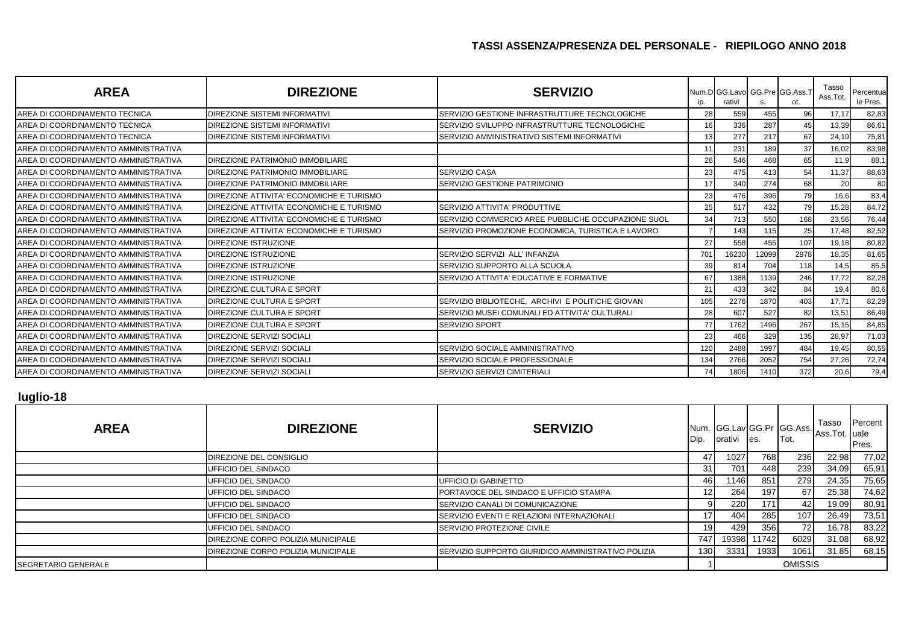| <b>AREA</b>                          | <b>DIREZIONE</b>                         | <b>SERVIZIO</b>                                    | ip. | Num.D GG.Lavo GG.Pre GG.Ass.T<br>rativi | S.    | ot.  | Tasso<br>Ass.Tot. | Percentual<br>le Pres. |
|--------------------------------------|------------------------------------------|----------------------------------------------------|-----|-----------------------------------------|-------|------|-------------------|------------------------|
| AREA DI COORDINAMENTO TECNICA        | DIREZIONE SISTEMI INFORMATIVI            | SERVIZIO GESTIONE INFRASTRUTTURE TECNOLOGICHE      | 28  | 559                                     | 455   | 96   | 17,17             | 82,83                  |
| AREA DI COORDINAMENTO TECNICA        | <b>DIREZIONE SISTEMI INFORMATIVI</b>     | SERVIZIO SVILUPPO INFRASTRUTTURE TECNOLOGICHE      | 16  | 336                                     | 287   | 45   | 13,39             | 86,61                  |
| AREA DI COORDINAMENTO TECNICA        | <b>DIREZIONE SISTEMI INFORMATIVI</b>     | SERVIZIO AMMINISTRATIVO SISTEMI INFORMATIVI        | 13  | 277                                     | 217   | 67   | 24,19             | 75,81                  |
| AREA DI COORDINAMENTO AMMINISTRATIVA |                                          |                                                    | 11  | 231                                     | 189   | 37   | 16,02             | 83,98                  |
| AREA DI COORDINAMENTO AMMINISTRATIVA | DIREZIONE PATRIMONIO IMMOBILIARE         |                                                    | 26  | 546                                     | 468   | 65   | 11,9              | 88,1                   |
| AREA DI COORDINAMENTO AMMINISTRATIVA | <b>DIREZIONE PATRIMONIO IMMOBILIARE</b>  | <b>SERVIZIO CASA</b>                               | 23  | 475                                     | 413   | 54   | 11,37             | 88,63                  |
| AREA DI COORDINAMENTO AMMINISTRATIVA | DIREZIONE PATRIMONIO IMMOBILIARE         | SERVIZIO GESTIONE PATRIMONIO                       | 17  | 340                                     | 274   | 68   | 20                | 80                     |
| AREA DI COORDINAMENTO AMMINISTRATIVA | DIREZIONE ATTIVITA' ECONOMICHE E TURISMO |                                                    | 23  | 476                                     | 396   | 79   | 16,6              | 83,4                   |
| AREA DI COORDINAMENTO AMMINISTRATIVA | DIREZIONE ATTIVITA' ECONOMICHE E TURISMO | SERVIZIO ATTIVITA' PRODUTTIVE                      | 25  | 517                                     | 432   | 79   | 15,28             | 84,72                  |
| AREA DI COORDINAMENTO AMMINISTRATIVA | DIREZIONE ATTIVITA' ECONOMICHE E TURISMO | SERVIZIO COMMERCIO AREE PUBBLICHE OCCUPAZIONE SUOL | 34  | 713                                     | 550   | 168  | 23,56             | 76,44                  |
| AREA DI COORDINAMENTO AMMINISTRATIVA | DIREZIONE ATTIVITA' ECONOMICHE E TURISMO | SERVIZIO PROMOZIONE ECONOMICA, TURISTICA E LAVORO  |     | 143                                     | 115   | 25   | 17,48             | 82,52                  |
| AREA DI COORDINAMENTO AMMINISTRATIVA | <b>DIREZIONE ISTRUZIONE</b>              |                                                    | 27  | 558                                     | 455   | 107  | 19,18             | 80,82                  |
| AREA DI COORDINAMENTO AMMINISTRATIVA | <b>DIREZIONE ISTRUZIONE</b>              | SERVIZIO SERVIZI ALL' INFANZIA                     | 701 | 16230                                   | 12099 | 2978 | 18,35             | 81,65                  |
| AREA DI COORDINAMENTO AMMINISTRATIVA | <b>DIREZIONE ISTRUZIONE</b>              | SERVIZIO SUPPORTO ALLA SCUOLA                      | 39  | 814                                     | 704   | 118  | 14,5              | 85,5                   |
| AREA DI COORDINAMENTO AMMINISTRATIVA | <b>DIREZIONE ISTRUZIONE</b>              | SERVIZIO ATTIVITA' EDUCATIVE E FORMATIVE           | 67  | 1388                                    | 1139  | 246  | 17,72             | 82,28                  |
| AREA DI COORDINAMENTO AMMINISTRATIVA | <b>DIREZIONE CULTURA E SPORT</b>         |                                                    | 21  | 433                                     | 342   | 84   | 19,4              | 80,6                   |
| AREA DI COORDINAMENTO AMMINISTRATIVA | <b>IDIREZIONE CULTURA E SPORT</b>        | SERVIZIO BIBLIOTECHE. ARCHIVI E POLITICHE GIOVAN   | 105 | 2276                                    | 1870  | 403  | 17,71             | 82,29                  |
| AREA DI COORDINAMENTO AMMINISTRATIVA | <b>DIREZIONE CULTURA E SPORT</b>         | SERVIZIO MUSEI COMUNALI ED ATTIVITA' CULTURALI     | 28  | 607                                     | 527   | 82   | 13,51             | 86,49                  |
| AREA DI COORDINAMENTO AMMINISTRATIVA | <b>DIREZIONE CULTURA E SPORT</b>         | <b>SERVIZIO SPORT</b>                              | 77  | 1762                                    | 1496  | 267  | 15,15             | 84,85                  |
| AREA DI COORDINAMENTO AMMINISTRATIVA | <b>DIREZIONE SERVIZI SOCIALI</b>         |                                                    | 23  | 466                                     | 329   | 135  | 28,97             | 71,03                  |
| AREA DI COORDINAMENTO AMMINISTRATIVA | <b>DIREZIONE SERVIZI SOCIALI</b>         | SERVIZIO SOCIALE AMMINISTRATIVO                    | 120 | 2488                                    | 1997  | 484  | 19,45             | 80,55                  |
| AREA DI COORDINAMENTO AMMINISTRATIVA | DIREZIONE SERVIZI SOCIALI                | SERVIZIO SOCIALE PROFESSIONALE                     | 134 | 2766                                    | 2052  | 754  | 27,26             | 72,74                  |
| AREA DI COORDINAMENTO AMMINISTRATIVA | <b>DIREZIONE SERVIZI SOCIALI</b>         | SERVIZIO SERVIZI CIMITERIALI                       | 74  | 1806                                    | 1410  | 372  | 20,6              | 79,4                   |

#### **luglio-18**

| <b>AREA</b>                 | <b>DIREZIONE</b>                   | <b>SERVIZIO</b>                                    | Dip.             | orativi | es.   | Num. GG.Lav GG.Pr GG.Ass.<br>Tot. | Tasso<br>Ass.Tot. uale | Percent<br>Pres. |
|-----------------------------|------------------------------------|----------------------------------------------------|------------------|---------|-------|-----------------------------------|------------------------|------------------|
|                             | DIREZIONE DEL CONSIGLIO            |                                                    | 47               | 1027    | 768   | 236                               | 22,98                  | 77,02            |
|                             | UFFICIO DEL SINDACO                |                                                    | 31               | 701     | 448   | 239                               | 34,09                  | 65,91            |
|                             | UFFICIO DEL SINDACO                | <b>UFFICIO DI GABINETTO</b>                        | 46               | 1146    | 851   | 279                               | 24,35                  | 75,65            |
|                             | UFFICIO DEL SINDACO                | PORTAVOCE DEL SINDACO E UFFICIO STAMPA             | 12I              | 264     | 197   | 67                                | 25,38                  | 74,62            |
|                             | UFFICIO DEL SINDACO                | SERVIZIO CANALI DI COMUNICAZIONE                   |                  | 220     | 171   | 42                                | 19,09                  | 80,91            |
|                             | UFFICIO DEL SINDACO                | <b>ISERVIZIO EVENTI E RELAZIONI INTERNAZIONALI</b> | 17               | 404     | 285   | 107                               | 26,49                  | 73,51            |
|                             | UFFICIO DEL SINDACO                | <b>SERVIZIO PROTEZIONE CIVILE</b>                  | 19 <sup>l</sup>  | 429     | 356   | <b>72</b>                         | 16,78                  | 83,22            |
|                             | DIREZIONE CORPO POLIZIA MUNICIPALE |                                                    | 747              | 19398   | 11742 | 6029                              | 31,08                  | 68,92            |
|                             | DIREZIONE CORPO POLIZIA MUNICIPALE | SERVIZIO SUPPORTO GIURIDICO AMMINISTRATIVO POLIZIA | 130 <sup>1</sup> | 3331    | 1933  | 1061                              | 31,85                  | 68,15            |
| <b>ISEGRETARIO GENERALE</b> |                                    |                                                    |                  |         |       | <b>OMISSIS</b>                    |                        |                  |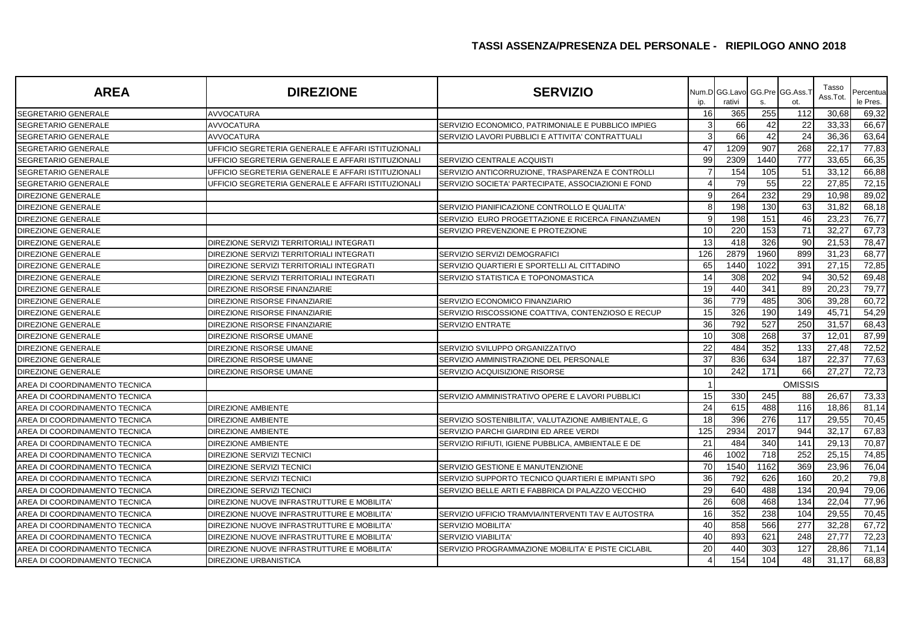| <b>AREA</b>                   | <b>DIREZIONE</b>                                   | <b>SERVIZIO</b>                                    | ip.                   | rativi | s.   | Num.D GG.Lavo GG.Pre GG.Ass.T<br>ot. | Tasso<br>Ass.Tot. | Percentua<br>le Pres. |
|-------------------------------|----------------------------------------------------|----------------------------------------------------|-----------------------|--------|------|--------------------------------------|-------------------|-----------------------|
| SEGRETARIO GENERALE           | <b>AVVOCATURA</b>                                  |                                                    | 16                    | 365    | 255  | 112                                  | 30,68             | 69,32                 |
| SEGRETARIO GENERALE           | <b>AVVOCATURA</b>                                  | SERVIZIO ECONOMICO, PATRIMONIALE E PUBBLICO IMPIEG | 3                     | 66     | 42   | 22                                   | 33,33             | 66,67                 |
| SEGRETARIO GENERALE           | <b>AVVOCATURA</b>                                  | SERVIZIO LAVORI PUBBLICI E ATTIVITA' CONTRATTUALI  | 3                     | 66     | 42   | 24                                   | 36,36             | 63,64                 |
| <b>ISEGRETARIO GENERALE</b>   | UFFICIO SEGRETERIA GENERALE E AFFARI ISTITUZIONALI |                                                    | 47                    | 1209   | 907  | 268                                  | 22,17             | 77,83                 |
| SEGRETARIO GENERALE           | UFFICIO SEGRETERIA GENERALE E AFFARI ISTITUZIONALI | SERVIZIO CENTRALE ACQUISTI                         | 99                    | 2309   | 1440 | 777                                  | 33,65             | 66,35                 |
| <b>SEGRETARIO GENERALE</b>    | UFFICIO SEGRETERIA GENERALE E AFFARI ISTITUZIONALI | SERVIZIO ANTICORRUZIONE, TRASPARENZA E CONTROLLI   | 7                     | 154    | 105  | 51                                   | 33,12             | 66,88                 |
| SEGRETARIO GENERALE           | UFFICIO SEGRETERIA GENERALE E AFFARI ISTITUZIONALI | SERVIZIO SOCIETA' PARTECIPATE, ASSOCIAZIONI E FOND | 4                     | 79     | 55   | 22                                   | 27,85             | 72,15                 |
| <b>DIREZIONE GENERALE</b>     |                                                    |                                                    | 9                     | 264    | 232  | 29                                   | 10,98             | 89,02                 |
| <b>DIREZIONE GENERALE</b>     |                                                    | SERVIZIO PIANIFICAZIONE CONTROLLO E QUALITA'       | 8                     | 198    | 130  | 63                                   | 31,82             | 68,18                 |
| DIREZIONE GENERALE            |                                                    | SERVIZIO EURO PROGETTAZIONE E RICERCA FINANZIAMEN  | 9                     | 198    | 151  | 46                                   | 23,23             | 76,77                 |
| <b>DIREZIONE GENERALE</b>     |                                                    | SERVIZIO PREVENZIONE E PROTEZIONE                  | 10                    | 220    | 153  | 71                                   | 32,27             | 67,73                 |
| <b>DIREZIONE GENERALE</b>     | DIREZIONE SERVIZI TERRITORIALI INTEGRATI           |                                                    | 13                    | 418    | 326  | 90                                   | 21,53             | 78,47                 |
| <b>DIREZIONE GENERALE</b>     | <b>DIREZIONE SERVIZI TERRITORIALI INTEGRATI</b>    | SERVIZIO SERVIZI DEMOGRAFICI                       | 126                   | 2879   | 1960 | 899                                  | 31,23             | 68,77                 |
| DIREZIONE GENERALE            | DIREZIONE SERVIZI TERRITORIALI INTEGRATI           | SERVIZIO QUARTIERI E SPORTELLI AL CITTADINO        | 65                    | 1440   | 1022 | 391                                  | 27,15             | 72,85                 |
| DIREZIONE GENERALE            | DIREZIONE SERVIZI TERRITORIALI INTEGRATI           | SERVIZIO STATISTICA E TOPONOMASTICA                | 14                    | 308    | 202  | 94                                   | 30,52             | 69,48                 |
| DIREZIONE GENERALE            | DIREZIONE RISORSE FINANZIARIE                      |                                                    | 19                    | 440    | 341  | 89                                   | 20,23             | 79,77                 |
| DIREZIONE GENERALE            | DIREZIONE RISORSE FINANZIARIE                      | SERVIZIO ECONOMICO FINANZIARIO                     | 36                    | 779    | 485  | 306                                  | 39,28             | 60,72                 |
| <b>DIREZIONE GENERALE</b>     | DIREZIONE RISORSE FINANZIARIE                      | SERVIZIO RISCOSSIONE COATTIVA, CONTENZIOSO E RECUP | 15                    | 326    | 190  | 149                                  | 45,71             | 54,29                 |
| DIREZIONE GENERALE            | DIREZIONE RISORSE FINANZIARIE                      | SERVIZIO ENTRATE                                   | 36                    | 792    | 527  | 250                                  | 31,57             | 68,43                 |
| <b>DIREZIONE GENERALE</b>     | <b>DIREZIONE RISORSE UMANE</b>                     |                                                    | 10                    | 308    | 268  | 37                                   | 12,01             | 87,99                 |
| <b>DIREZIONE GENERALE</b>     | DIREZIONE RISORSE UMANE                            | SERVIZIO SVILUPPO ORGANIZZATIVO                    | 22                    | 484    | 352  | 133                                  | 27,48             | 72,52                 |
| DIREZIONE GENERALE            | DIREZIONE RISORSE UMANE                            | SERVIZIO AMMINISTRAZIONE DEL PERSONALE             | 37                    | 836    | 634  | 187                                  | 22,37             | 77,63                 |
| <b>DIREZIONE GENERALE</b>     | DIREZIONE RISORSE UMANE                            | SERVIZIO ACQUISIZIONE RISORSE                      | 10                    | 242    | 171  | 66                                   | 27,27             | 72,73                 |
| AREA DI COORDINAMENTO TECNICA |                                                    |                                                    |                       |        |      | <b>OMISSIS</b>                       |                   |                       |
| AREA DI COORDINAMENTO TECNICA |                                                    | SERVIZIO AMMINISTRATIVO OPERE E LAVORI PUBBLICI    | 15                    | 330    | 245  | 88                                   | 26,67             | 73,33                 |
| AREA DI COORDINAMENTO TECNICA | <b>DIREZIONE AMBIENTE</b>                          |                                                    | 24                    | 615    | 488  | 116                                  | 18,86             | 81,14                 |
| AREA DI COORDINAMENTO TECNICA | <b>DIREZIONE AMBIENTE</b>                          | SERVIZIO SOSTENIBILITA', VALUTAZIONE AMBIENTALE, G | 18                    | 396    | 276  | 117                                  | 29,55             | 70,45                 |
| AREA DI COORDINAMENTO TECNICA | <b>DIREZIONE AMBIENTE</b>                          | SERVIZIO PARCHI GIARDINI ED AREE VERDI             | 125                   | 2934   | 2017 | 944                                  | 32,17             | 67,83                 |
| AREA DI COORDINAMENTO TECNICA | <b>DIREZIONE AMBIENTE</b>                          | SERVIZIO RIFIUTI, IGIENE PUBBLICA, AMBIENTALE E DE | 21                    | 484    | 340  | 141                                  | 29,13             | 70,87                 |
| AREA DI COORDINAMENTO TECNICA | <b>DIREZIONE SERVIZI TECNICI</b>                   |                                                    | 46                    | 1002   | 718  | 252                                  | 25,15             | 74,85                 |
| AREA DI COORDINAMENTO TECNICA | <b>DIREZIONE SERVIZI TECNICI</b>                   | SERVIZIO GESTIONE E MANUTENZIONE                   | 70                    | 1540   | 1162 | 369                                  | 23,96             | 76,04                 |
| AREA DI COORDINAMENTO TECNICA | <b>DIREZIONE SERVIZI TECNICI</b>                   | SERVIZIO SUPPORTO TECNICO QUARTIERI E IMPIANTI SPO | 36                    | 792    | 626  | 160                                  | 20,2              | 79,8                  |
| AREA DI COORDINAMENTO TECNICA | <b>DIREZIONE SERVIZI TECNICI</b>                   | SERVIZIO BELLE ARTI E FABBRICA DI PALAZZO VECCHIO  | 29                    | 640    | 488  | 134                                  | 20,94             | 79,06                 |
| AREA DI COORDINAMENTO TECNICA | DIREZIONE NUOVE INFRASTRUTTURE E MOBILITA'         |                                                    | 26                    | 608    | 468  | 134                                  | 22,04             | 77,96                 |
| AREA DI COORDINAMENTO TECNICA | DIREZIONE NUOVE INFRASTRUTTURE E MOBILITA'         | SERVIZIO UFFICIO TRAMVIA/INTERVENTI TAV E AUTOSTRA | 16                    | 352    | 238  | 104                                  | 29,55             | 70,45                 |
| AREA DI COORDINAMENTO TECNICA | DIREZIONE NUOVE INFRASTRUTTURE E MOBILITA'         | <b>SERVIZIO MOBILITA'</b>                          | 40                    | 858    | 566  | 277                                  | 32,28             | 67,72                 |
| AREA DI COORDINAMENTO TECNICA | DIREZIONE NUOVE INFRASTRUTTURE E MOBILITA'         | <b>SERVIZIO VIABILITA'</b>                         | 40                    | 893    | 621  | 248                                  | 27,77             | 72,23                 |
| AREA DI COORDINAMENTO TECNICA | DIREZIONE NUOVE INFRASTRUTTURE E MOBILITA'         | SERVIZIO PROGRAMMAZIONE MOBILITA' E PISTE CICLABIL | 20                    | 440    | 303  | 127                                  | 28,86             | 71,14                 |
| AREA DI COORDINAMENTO TECNICA | <b>DIREZIONE URBANISTICA</b>                       |                                                    | $\boldsymbol{\Delta}$ | 154    | 104  | 48                                   | 31,17             | 68,83                 |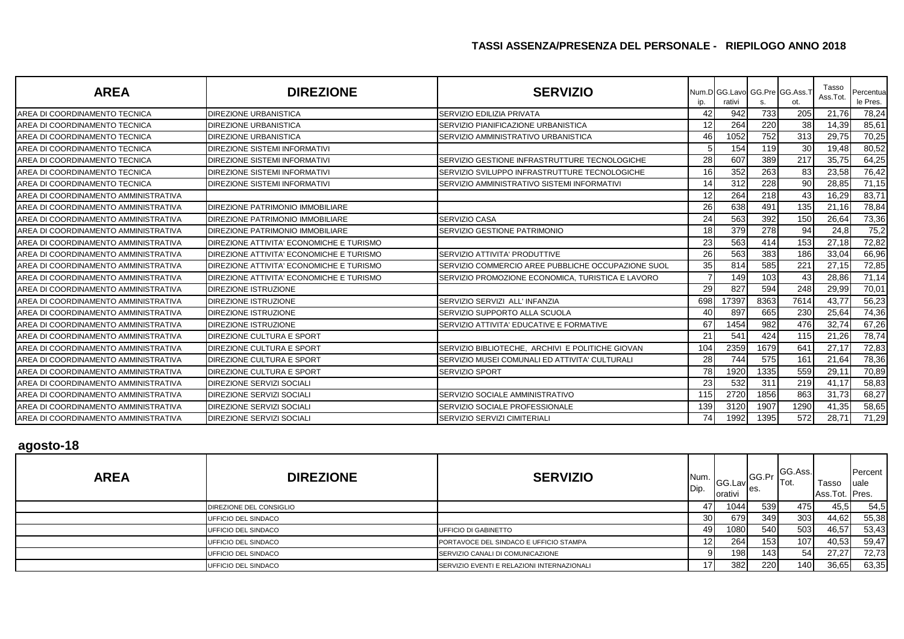| <b>AREA</b>                          | <b>DIREZIONE</b>                         | <b>SERVIZIO</b>                                      |     | Num.D GG.Lavo GG.Pre GG.Ass.1<br>rativi |      |      | Tasso<br>Ass.Tot. | Percentua<br>le Pres. |
|--------------------------------------|------------------------------------------|------------------------------------------------------|-----|-----------------------------------------|------|------|-------------------|-----------------------|
| AREA DI COORDINAMENTO TECNICA        | <b>DIREZIONE URBANISTICA</b>             | SERVIZIO EDILIZIA PRIVATA                            | 42  | 942                                     | 733  | 205  | 21,76             | 78,24                 |
| AREA DI COORDINAMENTO TECNICA        | <b>DIREZIONE URBANISTICA</b>             | SERVIZIO PIANIFICAZIONE URBANISTICA                  | 12  | 264                                     | 220  | 38   | 14,39             | 85,61                 |
| AREA DI COORDINAMENTO TECNICA        | <b>DIREZIONE URBANISTICA</b>             | SERVIZIO AMMINISTRATIVO URBANISTICA                  | 46  | 1052                                    | 752  | 313  | 29,75             | 70,25                 |
| AREA DI COORDINAMENTO TECNICA        | <b>DIREZIONE SISTEMI INFORMATIVI</b>     |                                                      |     | 154                                     | 119  | 30   | 19,48             | 80,52                 |
| AREA DI COORDINAMENTO TECNICA        | <b>DIREZIONE SISTEMI INFORMATIVI</b>     | SERVIZIO GESTIONE INFRASTRUTTURE TECNOLOGICHE        | 28  | 607                                     | 389  | 217  | 35,75             | 64,25                 |
| AREA DI COORDINAMENTO TECNICA        | <b>DIREZIONE SISTEMI INFORMATIVI</b>     | <b>SERVIZIO SVILUPPO INFRASTRUTTURE TECNOLOGICHE</b> | 16  | 352                                     | 263  | 83   | 23,58             | 76,42                 |
| AREA DI COORDINAMENTO TECNICA        | <b>DIREZIONE SISTEMI INFORMATIVI</b>     | SERVIZIO AMMINISTRATIVO SISTEMI INFORMATIVI          | 14  | 312                                     | 228  | 90   | 28,85             | 71,15                 |
| AREA DI COORDINAMENTO AMMINISTRATIVA |                                          |                                                      | 12  | 264                                     | 218  | 43   | 16,29             | 83,71                 |
| AREA DI COORDINAMENTO AMMINISTRATIVA | DIREZIONE PATRIMONIO IMMOBILIARE         |                                                      | 26  | 638                                     | 491  | 135  | 21,16             | 78,84                 |
| AREA DI COORDINAMENTO AMMINISTRATIVA | DIREZIONE PATRIMONIO IMMOBILIARE         | <b>SERVIZIO CASA</b>                                 | 24  | 563                                     | 392  | 150  | 26,64             | 73,36                 |
| AREA DI COORDINAMENTO AMMINISTRATIVA | <b>DIREZIONE PATRIMONIO IMMOBILIARE</b>  | SERVIZIO GESTIONE PATRIMONIO                         | 18  | 379                                     | 278  | 94   | 24,8              | 75,2                  |
| AREA DI COORDINAMENTO AMMINISTRATIVA | DIREZIONE ATTIVITA' ECONOMICHE E TURISMO |                                                      | 23  | 563                                     | 414  | 153  | 27,18             | 72,82                 |
| AREA DI COORDINAMENTO AMMINISTRATIVA | DIREZIONE ATTIVITA' ECONOMICHE E TURISMO | <b>SERVIZIO ATTIVITA' PRODUTTIVE</b>                 | 26  | 563                                     | 383  | 186  | 33,04             | 66,96                 |
| AREA DI COORDINAMENTO AMMINISTRATIVA | DIREZIONE ATTIVITA' ECONOMICHE E TURISMO | SERVIZIO COMMERCIO AREE PUBBLICHE OCCUPAZIONE SUOL   | 35  | 814                                     | 585  | 22'  | 27,15             | 72,85                 |
| AREA DI COORDINAMENTO AMMINISTRATIVA | DIREZIONE ATTIVITA' ECONOMICHE E TURISMO | SERVIZIO PROMOZIONE ECONOMICA, TURISTICA E LAVORO    |     | 149                                     | 103  | 43   | 28,86             | 71,14                 |
| AREA DI COORDINAMENTO AMMINISTRATIVA | <b>DIREZIONE ISTRUZIONE</b>              |                                                      | 29  | 827                                     | 594  | 248  | 29,99             | 70,01                 |
| AREA DI COORDINAMENTO AMMINISTRATIVA | <b>DIREZIONE ISTRUZIONE</b>              | SERVIZIO SERVIZI ALL' INFANZIA                       | 698 | 7397                                    | 8363 | 7614 | 43,77             | 56,23                 |
| AREA DI COORDINAMENTO AMMINISTRATIVA | <b>DIREZIONE ISTRUZIONE</b>              | SERVIZIO SUPPORTO ALLA SCUOLA                        | 40  | 897                                     | 665  | 230  | 25,64             | 74,36                 |
| AREA DI COORDINAMENTO AMMINISTRATIVA | <b>DIREZIONE ISTRUZIONE</b>              | SERVIZIO ATTIVITA' EDUCATIVE E FORMATIVE             | 67  | 1454                                    | 982  | 476  | 32,74             | 67,26                 |
| AREA DI COORDINAMENTO AMMINISTRATIVA | DIREZIONE CULTURA E SPORT                |                                                      | 21  | 541                                     | 424  | 115  | 21,26             | 78,74                 |
| AREA DI COORDINAMENTO AMMINISTRATIVA | DIREZIONE CULTURA E SPORT                | SERVIZIO BIBLIOTECHE, ARCHIVI E POLITICHE GIOVAN     | 104 | 2359                                    | 1679 | 641  | 27,17             | 72,83                 |
| AREA DI COORDINAMENTO AMMINISTRATIVA | DIREZIONE CULTURA E SPORT                | SERVIZIO MUSEI COMUNALI ED ATTIVITA' CULTURALI       | 28  | 744                                     | 575  | 161  | 21,64             | 78,36                 |
| AREA DI COORDINAMENTO AMMINISTRATIVA | DIREZIONE CULTURA E SPORT                | <b>SERVIZIO SPORT</b>                                | 78  | 1920                                    | 1335 | 559  | 29,11             | 70,89                 |
| AREA DI COORDINAMENTO AMMINISTRATIVA | <b>DIREZIONE SERVIZI SOCIALI</b>         |                                                      | 23  | 532                                     | 311  | 219  | 41,17             | 58,83                 |
| AREA DI COORDINAMENTO AMMINISTRATIVA | <b>DIREZIONE SERVIZI SOCIALI</b>         | SERVIZIO SOCIALE AMMINISTRATIVO                      | 115 | 2720                                    | 1856 | 863  | 31,73             | 68,27                 |
| AREA DI COORDINAMENTO AMMINISTRATIVA | <b>DIREZIONE SERVIZI SOCIALI</b>         | SERVIZIO SOCIALE PROFESSIONALE                       | 139 | 3120                                    | 1907 | 1290 | 41,35             | 58,65                 |
| AREA DI COORDINAMENTO AMMINISTRATIVA | DIREZIONE SERVIZI SOCIALI                | SERVIZIO SERVIZI CIMITERIALI                         | 74  | 1992                                    | 1395 | 572  | 28,71             | 71,29                 |

# **agosto-18**

| <b>AREA</b> | <b>DIREZIONE</b>        | <b>SERVIZIO</b>                            | Num.<br>Dip.    | GG.Lav<br>orativi | GG.Pr<br>les. | GG.Ass.<br>Tot. | Tasso<br>Ass.Tot. Pres. | Percent<br><b>luale</b> |
|-------------|-------------------------|--------------------------------------------|-----------------|-------------------|---------------|-----------------|-------------------------|-------------------------|
|             | DIREZIONE DEL CONSIGLIO |                                            |                 | 1044              | 539           | 475             | 45,5                    | 54,5                    |
|             | UFFICIO DEL SINDACO     |                                            | 30I             | 679               | 349           | 303             | 44,62                   | 55,38                   |
|             | UFFICIO DEL SINDACO     | UFFICIO DI GABINETTO                       | -49'            | 1080              | 540           | 503             | 46,57                   | 53,43                   |
|             | UFFICIO DEL SINDACO     | PORTAVOCE DEL SINDACO E UFFICIO STAMPA     | 12 <sub>1</sub> | 264               | 153           | 107             | 40,53                   | 59,47                   |
|             | UFFICIO DEL SINDACO     | SERVIZIO CANALI DI COMUNICAZIONE           |                 | 198               | 143           | 54              | 27,27                   | 72,73                   |
|             | UFFICIO DEL SINDACO     | SERVIZIO EVENTI E RELAZIONI INTERNAZIONALI |                 | 382               | 220           | 140             | 36,65                   | 63,35                   |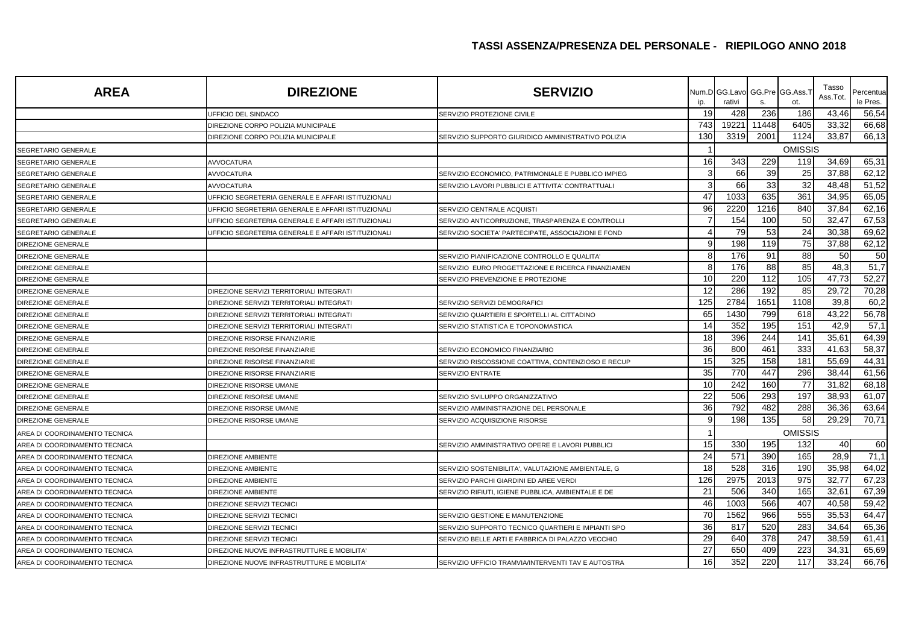| <b>AREA</b>                   | <b>DIREZIONE</b>                                   | <b>SERVIZIO</b>                                    | ip.                     | Num.D GG.Lavo<br>rativi | s.    | GG.Pre GG.Ass.1<br>ot. | Tasso<br>Ass.Tot. | Percentua<br>le Pres. |
|-------------------------------|----------------------------------------------------|----------------------------------------------------|-------------------------|-------------------------|-------|------------------------|-------------------|-----------------------|
|                               | UFFICIO DEL SINDACO                                | SERVIZIO PROTEZIONE CIVILE                         | 19                      | 428                     | 236   | 186                    | 43,46             | 56,54                 |
|                               | DIREZIONE CORPO POLIZIA MUNICIPALE                 |                                                    | 743                     | 19221                   | 11448 | 6405                   | 33,32             | 66,68                 |
|                               | DIREZIONE CORPO POLIZIA MUNICIPALE                 | SERVIZIO SUPPORTO GIURIDICO AMMINISTRATIVO POLIZIA | 130                     | 3319                    | 2001  | 1124                   | 33,87             | 66,13                 |
| SEGRETARIO GENERALE           |                                                    |                                                    |                         |                         |       | <b>OMISSIS</b>         |                   |                       |
| SEGRETARIO GENERALE           | <b>AVVOCATURA</b>                                  |                                                    | 16                      | 343                     | 229   | 119                    | 34,69             | 65,31                 |
| SEGRETARIO GENERALE           | AVVOCATURA                                         | SERVIZIO ECONOMICO, PATRIMONIALE E PUBBLICO IMPIEG | 3                       | 66                      | 39    | 25                     | 37,88             | 62,12                 |
| SEGRETARIO GENERALE           | <b>AVVOCATURA</b>                                  | SERVIZIO LAVORI PUBBLICI E ATTIVITA' CONTRATTUALI  | $\mathbf{3}$            | 66                      | 33    | 32                     | 48,48             | 51,52                 |
| SEGRETARIO GENERALE           | UFFICIO SEGRETERIA GENERALE E AFFARI ISTITUZIONALI |                                                    | 47                      | 1033                    | 635   | 361                    | 34,95             | 65,05                 |
| SEGRETARIO GENERALE           | UFFICIO SEGRETERIA GENERALE E AFFARI ISTITUZIONALI | SERVIZIO CENTRALE ACQUISTI                         | 96                      | 2220                    | 1216  | 840                    | 37,84             | 62,16                 |
| SEGRETARIO GENERALE           | UFFICIO SEGRETERIA GENERALE E AFFARI ISTITUZIONALI | SERVIZIO ANTICORRUZIONE, TRASPARENZA E CONTROLLI   |                         | 154                     | 100   | 50                     | 32,47             | 67,53                 |
| SEGRETARIO GENERALE           | UFFICIO SEGRETERIA GENERALE E AFFARI ISTITUZIONALI | SERVIZIO SOCIETA' PARTECIPATE, ASSOCIAZIONI E FOND | $\overline{\mathbf{A}}$ | 79                      | 53    | 24                     | 30,38             | 69,62                 |
| DIREZIONE GENERALE            |                                                    |                                                    | 9                       | 198                     | 119   | 75                     | 37,88             | 62,12                 |
| DIREZIONE GENERALE            |                                                    | SERVIZIO PIANIFICAZIONE CONTROLLO E QUALITA'       | 8                       | 176                     | 91    | 88                     | 50                | 50                    |
| DIREZIONE GENERALE            |                                                    | SERVIZIO EURO PROGETTAZIONE E RICERCA FINANZIAMEN  | 8                       | 176                     | 88    | 85                     | 48,3              | $\overline{51,7}$     |
| DIREZIONE GENERALE            |                                                    | SERVIZIO PREVENZIONE E PROTEZIONE                  | 10                      | 220                     | 112   | 105                    | 47,73             | 52,27                 |
| DIREZIONE GENERALE            | DIREZIONE SERVIZI TERRITORIALI INTEGRATI           |                                                    | 12                      | 286                     | 192   | 85                     | 29,72             | 70,28                 |
| DIREZIONE GENERALE            | DIREZIONE SERVIZI TERRITORIALI INTEGRATI           | SERVIZIO SERVIZI DEMOGRAFICI                       | 125                     | 2784                    | 1651  | 1108                   | 39,8              | 60,2                  |
| DIREZIONE GENERALE            | DIREZIONE SERVIZI TERRITORIALI INTEGRATI           | SERVIZIO QUARTIERI E SPORTELLI AL CITTADINO        | 65                      | 1430                    | 799   | 618                    | 43,22             | 56,78                 |
| DIREZIONE GENERALE            | DIREZIONE SERVIZI TERRITORIALI INTEGRATI           | SERVIZIO STATISTICA E TOPONOMASTICA                | 14                      | 352                     | 195   | 151                    | 42,9              | 57,1                  |
| DIREZIONE GENERALE            | DIREZIONE RISORSE FINANZIARIE                      |                                                    | 18                      | 396                     | 244   | 141                    | 35,61             | 64,39                 |
| DIREZIONE GENERALE            | DIREZIONE RISORSE FINANZIARIE                      | SERVIZIO ECONOMICO FINANZIARIO                     | 36                      | 800                     | 461   | 333                    | 41,63             | 58,37                 |
| DIREZIONE GENERALE            | DIREZIONE RISORSE FINANZIARIE                      | SERVIZIO RISCOSSIONE COATTIVA, CONTENZIOSO E RECUP | 15                      | 325                     | 158   | 181                    | 55,69             | 44,31                 |
| DIREZIONE GENERALE            | DIREZIONE RISORSE FINANZIARIE                      | SERVIZIO ENTRATE                                   | 35                      | 770                     | 447   | 296                    | 38,44             | 61,56                 |
| DIREZIONE GENERALE            | DIREZIONE RISORSE UMANE                            |                                                    | 10                      | 242                     | 160   | 77                     | 31,82             | 68,18                 |
| DIREZIONE GENERALE            | DIREZIONE RISORSE UMANE                            | SERVIZIO SVILUPPO ORGANIZZATIVO                    | 22                      | 506                     | 293   | 197                    | 38,93             | 61,07                 |
| DIREZIONE GENERALE            | DIREZIONE RISORSE UMANE                            | SERVIZIO AMMINISTRAZIONE DEL PERSONALE             | 36                      | 792                     | 482   | 288                    | 36,36             | 63,64                 |
| <b>DIREZIONE GENERALE</b>     | DIREZIONE RISORSE UMANE                            | SERVIZIO ACQUISIZIONE RISORSE                      | 9                       | 198                     | 135   | 58                     | 29,29             | 70,71                 |
| AREA DI COORDINAMENTO TECNICA |                                                    |                                                    |                         |                         |       | <b>OMISSIS</b>         |                   |                       |
| AREA DI COORDINAMENTO TECNICA |                                                    | SERVIZIO AMMINISTRATIVO OPERE E LAVORI PUBBLICI    | 15                      | 330                     | 195   | 132                    | 40                | 60                    |
| AREA DI COORDINAMENTO TECNICA | DIREZIONE AMBIENTE                                 |                                                    | 24                      | 571                     | 390   | 165                    | 28,9              | 71,1                  |
| AREA DI COORDINAMENTO TECNICA | <b>DIREZIONE AMBIENTE</b>                          | SERVIZIO SOSTENIBILITA', VALUTAZIONE AMBIENTALE, G | 18                      | 528                     | 316   | 190                    | 35,98             | 64,02                 |
| AREA DI COORDINAMENTO TECNICA | DIREZIONE AMBIENTE                                 | SERVIZIO PARCHI GIARDINI ED AREE VERDI             | 126                     | 2975                    | 2013  | 975                    | 32,77             | 67,23                 |
| AREA DI COORDINAMENTO TECNICA | <b>DIREZIONE AMBIENTE</b>                          | SERVIZIO RIFIUTI, IGIENE PUBBLICA, AMBIENTALE E DE | 21                      | 506                     | 340   | 165                    | 32.61             | 67,39                 |
| AREA DI COORDINAMENTO TECNICA | DIREZIONE SERVIZI TECNICI                          |                                                    | 46                      | 1003                    | 566   | 407                    | 40,58             | 59,42                 |
| AREA DI COORDINAMENTO TECNICA | DIREZIONE SERVIZI TECNICI                          | SERVIZIO GESTIONE E MANUTENZIONE                   | 70                      | 1562                    | 966   | 555                    | 35,53             | 64,47                 |
| AREA DI COORDINAMENTO TECNICA | DIREZIONE SERVIZI TECNICI                          | SERVIZIO SUPPORTO TECNICO QUARTIERI E IMPIANTI SPO | 36                      | 817                     | 520   | 283                    | 34,64             | 65,36                 |
| AREA DI COORDINAMENTO TECNICA | DIREZIONE SERVIZI TECNICI                          | SERVIZIO BELLE ARTI E FABBRICA DI PALAZZO VECCHIO  | 29                      | 640                     | 378   | 247                    | 38,59             | 61,41                 |
| AREA DI COORDINAMENTO TECNICA | DIREZIONE NUOVE INFRASTRUTTURE E MOBILITA'         |                                                    | 27                      | 650                     | 409   | 223                    | 34,31             | 65,69                 |
| AREA DI COORDINAMENTO TECNICA | DIREZIONE NUOVE INFRASTRUTTURE E MOBILITA          | SERVIZIO UFFICIO TRAMVIA/INTERVENTI TAV E AUTOSTRA | 16                      | 352                     | 220   | 117                    | 33,24             | 66,76                 |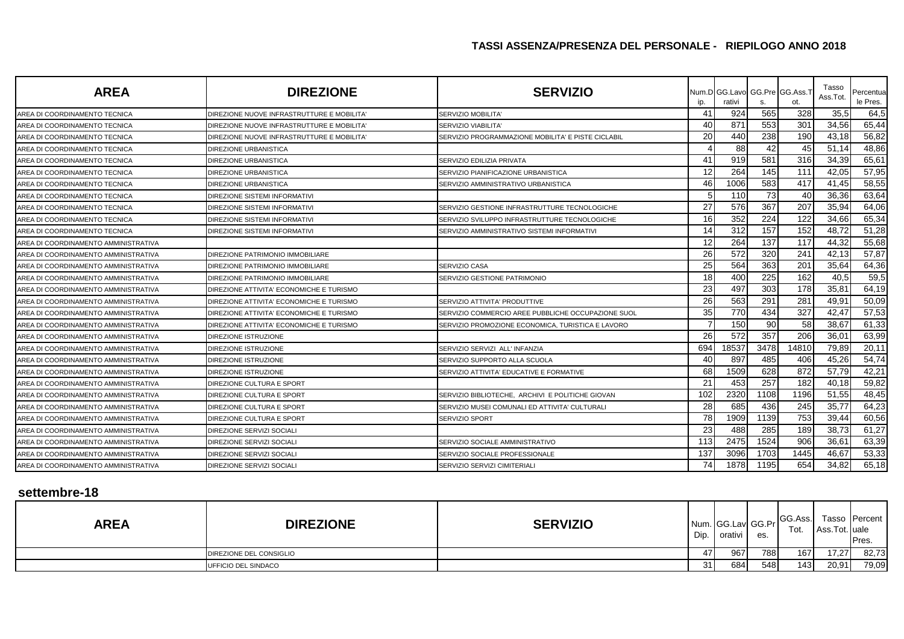| <b>AREA</b>                          | <b>DIREZIONE</b>                           | <b>SERVIZIO</b>                                    | ID. | Num.D GG.Lavo<br>rativi | s.   | GG Pre GG Ass.<br>ot. | Tasso<br>Ass.Tot. | Percentua<br>le Pres. |
|--------------------------------------|--------------------------------------------|----------------------------------------------------|-----|-------------------------|------|-----------------------|-------------------|-----------------------|
| AREA DI COORDINAMENTO TECNICA        | DIREZIONE NUOVE INFRASTRUTTURE E MOBILITA' | SERVIZIO MOBILITA'                                 | 41  | 924                     | 565  | 328                   | 35,5              | 64,5                  |
| AREA DI COORDINAMENTO TECNICA        | DIREZIONE NUOVE INFRASTRUTTURE E MOBILITA' | SERVIZIO VIABILITA'                                | 40  | 871                     | 553  | 301                   | 34,56             | 65,44                 |
| AREA DI COORDINAMENTO TECNICA        | DIREZIONE NUOVE INFRASTRUTTURE E MOBILITA' | SERVIZIO PROGRAMMAZIONE MOBILITA' E PISTE CICLABIL | 20  | 440                     | 238  | 190                   | 43,18             | 56,82                 |
| AREA DI COORDINAMENTO TECNICA        | <b>DIREZIONE URBANISTICA</b>               |                                                    |     | 88                      | 42   | 45                    | 51,14             | 48,86                 |
| AREA DI COORDINAMENTO TECNICA        | <b>DIREZIONE URBANISTICA</b>               | SERVIZIO EDILIZIA PRIVATA                          | 41  | 919                     | 581  | 316                   | 34,39             | 65,61                 |
| AREA DI COORDINAMENTO TECNICA        | <b>DIREZIONE URBANISTICA</b>               | SERVIZIO PIANIFICAZIONE URBANISTICA                | 12  | 264                     | 145  | 111                   | 42,05             | 57,95                 |
| AREA DI COORDINAMENTO TECNICA        | DIREZIONE URBANISTICA                      | SERVIZIO AMMINISTRATIVO URBANISTICA                | 46  | 1006                    | 583  | 417                   | 41,45             | 58,55                 |
| AREA DI COORDINAMENTO TECNICA        | <b>DIREZIONE SISTEMI INFORMATIVI</b>       |                                                    |     | 110                     | 73   | 40                    | 36,36             | 63,64                 |
| AREA DI COORDINAMENTO TECNICA        | DIREZIONE SISTEMI INFORMATIVI              | SERVIZIO GESTIONE INFRASTRUTTURE TECNOLOGICHE      | 27  | 576                     | 367  | 207                   | 35,94             | 64,06                 |
| AREA DI COORDINAMENTO TECNICA        | DIREZIONE SISTEMI INFORMATIVI              | SERVIZIO SVILUPPO INFRASTRUTTURE TECNOLOGICHE      | 16  | 352                     | 224  | 122                   | 34,66             | 65,34                 |
| AREA DI COORDINAMENTO TECNICA        | DIREZIONE SISTEMI INFORMATIVI              | SERVIZIO AMMINISTRATIVO SISTEMI INFORMATIVI        | 14  | 312                     | 157  | 152                   | 48,72             | 51,28                 |
| AREA DI COORDINAMENTO AMMINISTRATIVA |                                            |                                                    | 12  | 264                     | 137  | 117                   | 44,32             | 55,68                 |
| AREA DI COORDINAMENTO AMMINISTRATIVA | DIREZIONE PATRIMONIO IMMOBILIARE           |                                                    | 26  | 572                     | 320  | 24'                   | 42,13             | 57,87                 |
| AREA DI COORDINAMENTO AMMINISTRATIVA | DIREZIONE PATRIMONIO IMMOBILIARE           | <b>SERVIZIO CASA</b>                               | 25  | 564                     | 363  | 20 <sup>2</sup>       | 35,64             | 64,36                 |
| AREA DI COORDINAMENTO AMMINISTRATIVA | DIREZIONE PATRIMONIO IMMOBILIARE           | SERVIZIO GESTIONE PATRIMONIO                       | 18  | 400                     | 225  | 162                   | 40,5              | 59,5                  |
| AREA DI COORDINAMENTO AMMINISTRATIVA | DIREZIONE ATTIVITA' ECONOMICHE E TURISMO   |                                                    | 23  | 497                     | 303  | 178                   | 35,81             | 64,19                 |
| AREA DI COORDINAMENTO AMMINISTRATIVA | DIREZIONE ATTIVITA' ECONOMICHE E TURISMO   | SERVIZIO ATTIVITA' PRODUTTIVE                      | 26  | 563                     | 291  | 28'                   | 49,91             | 50,09                 |
| AREA DI COORDINAMENTO AMMINISTRATIVA | DIREZIONE ATTIVITA' ECONOMICHE E TURISMO   | SERVIZIO COMMERCIO AREE PUBBLICHE OCCUPAZIONE SUOL | 35  | 770                     | 434  | 327                   | 42,47             | 57,53                 |
| AREA DI COORDINAMENTO AMMINISTRATIVA | DIREZIONE ATTIVITA' ECONOMICHE E TURISMO   | SERVIZIO PROMOZIONE ECONOMICA, TURISTICA E LAVORO  |     | 150                     | 90   | 58                    | 38,67             | 61,33                 |
| AREA DI COORDINAMENTO AMMINISTRATIVA | <b>DIREZIONE ISTRUZIONE</b>                |                                                    | 26  | 572                     | 357  | 206                   | 36,01             | 63,99                 |
| AREA DI COORDINAMENTO AMMINISTRATIVA | <b>DIREZIONE ISTRUZIONE</b>                | SERVIZIO SERVIZI ALL'INFANZIA                      | 694 | 18537                   | 3478 | 14810                 | 79,89             | 20,11                 |
| AREA DI COORDINAMENTO AMMINISTRATIVA | <b>DIREZIONE ISTRUZIONE</b>                | SERVIZIO SUPPORTO ALLA SCUOLA                      | 40  | 897                     | 485  | 406                   | 45,26             | 54,74                 |
| AREA DI COORDINAMENTO AMMINISTRATIVA | <b>DIREZIONE ISTRUZIONE</b>                | SERVIZIO ATTIVITA' EDUCATIVE E FORMATIVE           | 68  | 1509                    | 628  | 872                   | 57,79             | 42,21                 |
| AREA DI COORDINAMENTO AMMINISTRATIVA | DIREZIONE CULTURA E SPORT                  |                                                    | 21  | 453                     | 257  | 182                   | 40,18             | 59,82                 |
| AREA DI COORDINAMENTO AMMINISTRATIVA | DIREZIONE CULTURA E SPORT                  | SERVIZIO BIBLIOTECHE, ARCHIVI E POLITICHE GIOVAN   | 102 | 2320                    | 1108 | 1196                  | 51,55             | 48,45                 |
| AREA DI COORDINAMENTO AMMINISTRATIVA | DIREZIONE CULTURA E SPORT                  | SERVIZIO MUSEI COMUNALI ED ATTIVITA' CULTURALI     | 28  | 685                     | 436  | 245                   | 35,77             | 64,23                 |
| AREA DI COORDINAMENTO AMMINISTRATIVA | DIREZIONE CULTURA E SPORT                  | SERVIZIO SPORT                                     | 78  | 1909                    | 1139 | 753                   | 39,44             | 60,56                 |
| AREA DI COORDINAMENTO AMMINISTRATIVA | <b>DIREZIONE SERVIZI SOCIALI</b>           |                                                    | 23  | 488                     | 285  | 189                   | 38,73             | 61,27                 |
| AREA DI COORDINAMENTO AMMINISTRATIVA | DIREZIONE SERVIZI SOCIALI                  | SERVIZIO SOCIALE AMMINISTRATIVO                    | 113 | 2475                    | 1524 | 906                   | 36,61             | 63,39                 |
| AREA DI COORDINAMENTO AMMINISTRATIVA | DIREZIONE SERVIZI SOCIALI                  | SERVIZIO SOCIALE PROFESSIONALE                     | 137 | 3096                    | 1703 | 1445                  | 46,67             | 53,33                 |
| AREA DI COORDINAMENTO AMMINISTRATIVA | <b>DIREZIONE SERVIZI SOCIALI</b>           | SERVIZIO SERVIZI CIMITERIALI                       | 74  | 1878                    | 1195 | 654                   | 34,82             | 65,18                 |

### **settembre-18**

| <b>AREA</b> | <b>DIREZIONE</b>        | <b>SERVIZIO</b> | Dip. | Num. GG.Lav GG.Pr<br>orativi | es. | GG.Ass.<br>Tot. | Ass.Tot. uale | Tasso Percent<br>Pres. |
|-------------|-------------------------|-----------------|------|------------------------------|-----|-----------------|---------------|------------------------|
|             | DIREZIONE DEL CONSIGLIO |                 | 471  | 967                          | 788 | 167             | 17,27         | 82,73                  |
|             | UFFICIO DEL SINDACO     |                 | 31 I | 684                          | 548 | 143             | 20,91         | 79,09                  |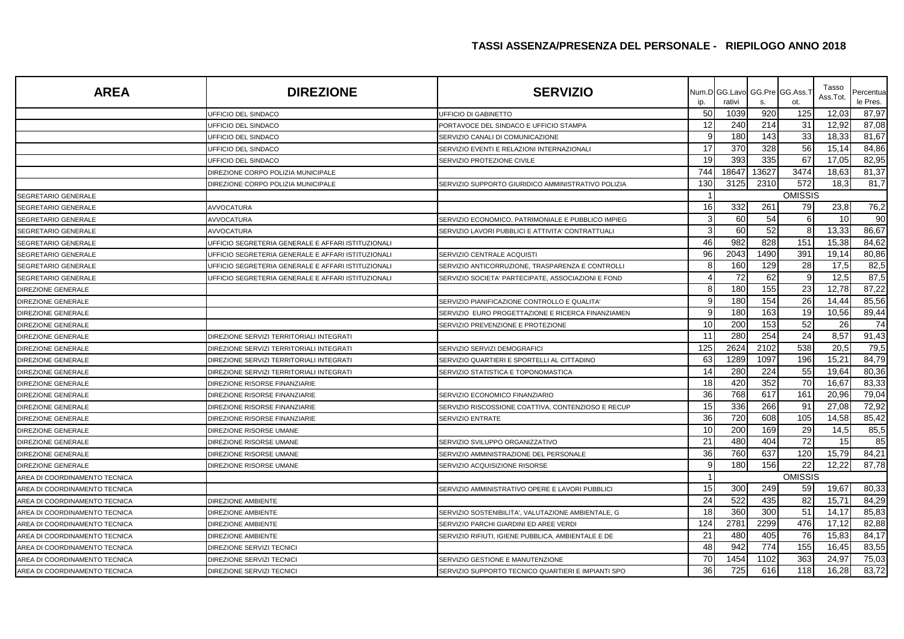| <b>AREA</b>                   | <b>DIREZIONE</b>                                   | <b>SERVIZIO</b>                                    |                       | Num.D GG.Lavo |       | GG.Pre GG.Ass.T | Tasso<br>Ass.Tot. | Percentua       |
|-------------------------------|----------------------------------------------------|----------------------------------------------------|-----------------------|---------------|-------|-----------------|-------------------|-----------------|
|                               |                                                    |                                                    | ip.                   | rativi        | S.    | ot.             |                   | le Pres.        |
|                               | UFFICIO DEL SINDACO                                | UFFICIO DI GABINETTO                               | 50                    | 1039          | 920   | 125             | 12,03             | 87,97           |
|                               | UFFICIO DEL SINDACO                                | PORTAVOCE DEL SINDACO E UFFICIO STAMPA             | 12                    | 240           | 214   | 31              | 12,92             | 87,08           |
|                               | UFFICIO DEL SINDACO                                | SERVIZIO CANALI DI COMUNICAZIONE                   | 9                     | 180           | 143   | 33              | 18,33             | 81,67           |
|                               | UFFICIO DEL SINDACO                                | SERVIZIO EVENTI E RELAZIONI INTERNAZIONALI         | 17                    | 370           | 328   | 56              | 15,14             | 84,86           |
|                               | UFFICIO DEL SINDACO                                | SERVIZIO PROTEZIONE CIVILE                         | 19                    | 393           | 335   | 67              | 17.05             | 82,95           |
|                               | DIREZIONE CORPO POLIZIA MUNICIPALE                 |                                                    | 744                   | 18647         | 13627 | 3474            | 18,63             | 81,37           |
|                               | DIREZIONE CORPO POLIZIA MUNICIPALE                 | SERVIZIO SUPPORTO GIURIDICO AMMINISTRATIVO POLIZIA | 130                   | 3125          | 2310  | 572             | 18,3              | 81,7            |
| SEGRETARIO GENERALE           |                                                    |                                                    |                       |               |       | <b>OMISSIS</b>  |                   |                 |
| SEGRETARIO GENERALE           | <b>AVVOCATURA</b>                                  |                                                    | 16                    | 332           | 261   | 79              | 23,8              | 76,2            |
| SEGRETARIO GENERALE           | <b>AVVOCATURA</b>                                  | SERVIZIO ECONOMICO, PATRIMONIALE E PUBBLICO IMPIEG | 3                     | 60            | 54    | 6               | 10                | 90              |
| SEGRETARIO GENERALE           | <b>AVVOCATURA</b>                                  | SERVIZIO LAVORI PUBBLICI E ATTIVITA' CONTRATTUALI  | 3                     | 60            | 52    | 8               | 13,33             | 86,67           |
| SEGRETARIO GENERALE           | UFFICIO SEGRETERIA GENERALE E AFFARI ISTITUZIONALI |                                                    | 46                    | 982           | 828   | 151             | 15,38             | 84,62           |
| SEGRETARIO GENERALE           | UFFICIO SEGRETERIA GENERALE E AFFARI ISTITUZIONALI | SERVIZIO CENTRALE ACQUISTI                         | 96                    | 2043          | 1490  | 391             | 19,14             | 80,86           |
| SEGRETARIO GENERALE           | UFFICIO SEGRETERIA GENERALE E AFFARI ISTITUZIONAL  | SERVIZIO ANTICORRUZIONE, TRASPARENZA E CONTROLLI   | 8                     | 160           | 129   | 28              | 17,5              | 82,5            |
| SEGRETARIO GENERALE           | UFFICIO SEGRETERIA GENERALE E AFFARI ISTITUZIONALI | SERVIZIO SOCIETA' PARTECIPATE, ASSOCIAZIONI E FOND | $\boldsymbol{\Delta}$ | 72            | 62    | 9               | 12,5              | 87,5            |
| <b>DIREZIONE GENERALE</b>     |                                                    |                                                    | $\mathsf{R}$          | 180           | 155   | 23              | 12,78             | 87,22           |
| DIREZIONE GENERALE            |                                                    | SERVIZIO PIANIFICAZIONE CONTROLLO E QUALITA'       | 9                     | 180           | 154   | 26              | 14,44             | 85,56           |
| <b>DIREZIONE GENERALE</b>     |                                                    | SERVIZIO EURO PROGETTAZIONE E RICERCA FINANZIAMEN  | 9                     | 180           | 163   | 19              | 10,56             | 89,44           |
| DIREZIONE GENERALE            |                                                    | SERVIZIO PREVENZIONE E PROTEZIONE                  | 10                    | 200           | 153   | 52              | 26                | $\overline{74}$ |
| DIREZIONE GENERALE            | DIREZIONE SERVIZI TERRITORIALI INTEGRATI           |                                                    | 11                    | 280           | 254   | 24              | 8,57              | 91,43           |
| DIREZIONE GENERALE            | DIREZIONE SERVIZI TERRITORIALI INTEGRATI           | SERVIZIO SERVIZI DEMOGRAFICI                       | 125                   | 2624          | 2102  | 538             | 20,5              | 79,5            |
| <b>DIREZIONE GENERALE</b>     | DIREZIONE SERVIZI TERRITORIALI INTEGRATI           | SERVIZIO QUARTIERI E SPORTELLI AL CITTADINO        | 63                    | 1289          | 1097  | 196             | 15,21             | 84,79           |
| DIREZIONE GENERALE            | DIREZIONE SERVIZI TERRITORIALI INTEGRATI           | SERVIZIO STATISTICA E TOPONOMASTICA                | 14                    | 280           | 224   | 55              | 19,64             | 80,36           |
| <b>DIREZIONE GENERALE</b>     | DIREZIONE RISORSE FINANZIARIE                      |                                                    | 18                    | 420           | 352   | 70              | 16.67             | 83,33           |
| DIREZIONE GENERALE            | DIREZIONE RISORSE FINANZIARIE                      | SERVIZIO ECONOMICO FINANZIARIO                     | 36                    | 768           | 617   | 161             | 20,96             | 79,04           |
| DIREZIONE GENERALE            | DIREZIONE RISORSE FINANZIARIE                      | SERVIZIO RISCOSSIONE COATTIVA, CONTENZIOSO E RECUP | 15                    | 336           | 266   | 91              | 27,08             | 72,92           |
| DIREZIONE GENERALE            | DIREZIONE RISORSE FINANZIARIE                      | SERVIZIO ENTRATE                                   | 36                    | 720           | 608   | 105             | 14,58             | 85,42           |
| DIREZIONE GENERALE            | DIREZIONE RISORSE UMANE                            |                                                    | 10                    | 200           | 169   | 29              | 14,5              | 85,5            |
| DIREZIONE GENERALE            | DIREZIONE RISORSE UMANE                            | SERVIZIO SVILUPPO ORGANIZZATIVO                    | 21                    | 480           | 404   | 72              | 15                | 85              |
| DIREZIONE GENERALE            | DIREZIONE RISORSE UMANE                            | SERVIZIO AMMINISTRAZIONE DEL PERSONALE             | 36                    | 760           | 637   | 120             | 15,79             | 84,21           |
| DIREZIONE GENERALE            | DIREZIONE RISORSE UMANE                            | SERVIZIO ACQUISIZIONE RISORSE                      | 9                     | 180           | 156   | 22              | 12,22             | 87,78           |
| AREA DI COORDINAMENTO TECNICA |                                                    |                                                    |                       |               |       | <b>OMISSIS</b>  |                   |                 |
| AREA DI COORDINAMENTO TECNICA |                                                    | SERVIZIO AMMINISTRATIVO OPERE E LAVORI PUBBLICI    | 15                    | 300           | 249   | 59              | 19,67             | 80,33           |
| AREA DI COORDINAMENTO TECNICA | <b>DIREZIONE AMBIENTE</b>                          |                                                    | 24                    | 522           | 435   | 82              | 15,71             | 84,29           |
| AREA DI COORDINAMENTO TECNICA | DIREZIONE AMBIENTE                                 | SERVIZIO SOSTENIBILITA', VALUTAZIONE AMBIENTALE, G | 18                    | 360           | 300   | 51              | 14,17             | 85,83           |
| AREA DI COORDINAMENTO TECNICA | <b>DIREZIONE AMBIENTE</b>                          | SERVIZIO PARCHI GIARDINI ED AREE VERDI             | 124                   | 2781          | 2299  | 476             | 17,12             | 82,88           |
| AREA DI COORDINAMENTO TECNICA | DIREZIONE AMBIENTE                                 | SERVIZIO RIFIUTI, IGIENE PUBBLICA, AMBIENTALE E DE | 21                    | 480           | 405   | 76              | 15,83             | 84,17           |
| AREA DI COORDINAMENTO TECNICA | DIREZIONE SERVIZI TECNICI                          |                                                    | 48                    | 942           | 774   | 155             | 16,45             | 83,55           |
| AREA DI COORDINAMENTO TECNICA | DIREZIONE SERVIZI TECNICI                          | SERVIZIO GESTIONE E MANUTENZIONE                   | 70                    | 1454          | 1102  | 363             | 24,97             | 75,03           |
| AREA DI COORDINAMENTO TECNICA | DIREZIONE SERVIZI TECNICI                          | SERVIZIO SUPPORTO TECNICO QUARTIERI E IMPIANTI SPO | 36                    | 725           | 616   | 118             | 16,28             | 83,72           |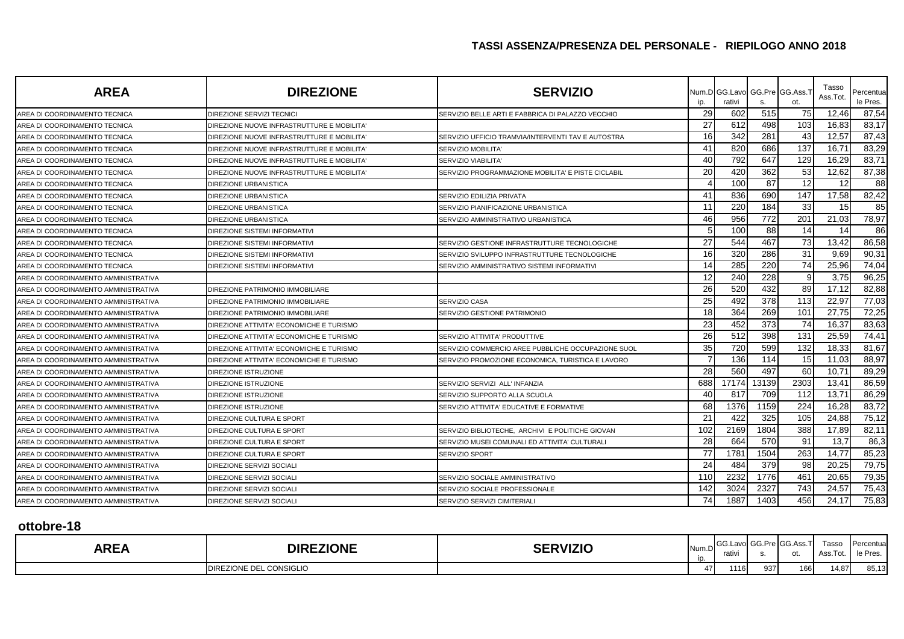| <b>AREA</b>                          | <b>DIREZIONE</b>                           | <b>SERVIZIO</b>                                    | ip. | Num.D GG.Lavo GG.Pre GG.Ass.<br>rativi | S.    | ot.  | Tasso<br>Ass.Tot | Percentual<br>le Pres. |
|--------------------------------------|--------------------------------------------|----------------------------------------------------|-----|----------------------------------------|-------|------|------------------|------------------------|
| AREA DI COORDINAMENTO TECNICA        | DIREZIONE SERVIZI TECNICI                  | SERVIZIO BELLE ARTI E FABBRICA DI PALAZZO VECCHIO  | 29  | 602                                    | 515   | 75   | 12,46            | 87,54                  |
| AREA DI COORDINAMENTO TECNICA        | DIREZIONE NUOVE INFRASTRUTTURE E MOBILITA  |                                                    | 27  | 612                                    | 498   | 103  | 16,83            | 83,17                  |
| AREA DI COORDINAMENTO TECNICA        | DIREZIONE NUOVE INFRASTRUTTURE E MOBILITA  | SERVIZIO UFFICIO TRAMVIA/INTERVENTI TAV E AUTOSTRA | 16  | 342                                    | 281   | 43   | 12,57            | 87,43                  |
| AREA DI COORDINAMENTO TECNICA        | DIREZIONE NUOVE INFRASTRUTTURE E MOBILITA' | SERVIZIO MOBILITA'                                 | 41  | 820                                    | 686   | 137  | 16,71            | 83,29                  |
| AREA DI COORDINAMENTO TECNICA        | DIREZIONE NUOVE INFRASTRUTTURE E MOBILITA' | SERVIZIO VIABILITA'                                | 40  | 792                                    | 647   | 129  | 16,29            | 83,71                  |
| AREA DI COORDINAMENTO TECNICA        | DIREZIONE NUOVE INFRASTRUTTURE E MOBILITA' | SERVIZIO PROGRAMMAZIONE MOBILITA' E PISTE CICLABIL | 20  | 420                                    | 362   | 53   | 12,62            | 87,38                  |
| AREA DI COORDINAMENTO TECNICA        | <b>DIREZIONE URBANISTICA</b>               |                                                    |     | 100                                    | 87    | 12   | 12               | 88                     |
| AREA DI COORDINAMENTO TECNICA        | DIREZIONE URBANISTICA                      | SERVIZIO EDILIZIA PRIVATA                          | 41  | 836                                    | 690   | 147  | 17,58            | 82,42                  |
| AREA DI COORDINAMENTO TECNICA        | DIREZIONE URBANISTICA                      | SERVIZIO PIANIFICAZIONE URBANISTICA                | 11  | 220                                    | 184   | 33   | 15               | 85                     |
| AREA DI COORDINAMENTO TECNICA        | DIREZIONE URBANISTICA                      | SERVIZIO AMMINISTRATIVO URBANISTICA                | 46  | 956                                    | 772   | 201  | 21,03            | 78,97                  |
| AREA DI COORDINAMENTO TECNICA        | DIREZIONE SISTEMI INFORMATIVI              |                                                    | 5   | 100                                    | 88    | 14   | 14               | 86                     |
| AREA DI COORDINAMENTO TECNICA        | DIREZIONE SISTEMI INFORMATIVI              | SERVIZIO GESTIONE INFRASTRUTTURE TECNOLOGICHE      | 27  | 544                                    | 467   | 73   | 13,42            | 86,58                  |
| AREA DI COORDINAMENTO TECNICA        | DIREZIONE SISTEMI INFORMATIVI              | SERVIZIO SVILUPPO INFRASTRUTTURE TECNOLOGICHE      | 16  | 320                                    | 286   | 31   | 9,69             | 90,31                  |
| AREA DI COORDINAMENTO TECNICA        | <b>DIREZIONE SISTEMI INFORMATIVI</b>       | SERVIZIO AMMINISTRATIVO SISTEMI INFORMATIVI        | 14  | 285                                    | 220   | 74   | 25,96            | 74,04                  |
| AREA DI COORDINAMENTO AMMINISTRATIVA |                                            |                                                    | 12  | 240                                    | 228   | g    | 3,75             | 96,25                  |
| AREA DI COORDINAMENTO AMMINISTRATIVA | DIREZIONE PATRIMONIO IMMOBILIARE           |                                                    | 26  | 520                                    | 432   | 89   | 17,12            | 82,88                  |
| AREA DI COORDINAMENTO AMMINISTRATIVA | DIREZIONE PATRIMONIO IMMOBILIARE           | SERVIZIO CASA                                      | 25  | 492                                    | 378   | 113  | 22,97            | 77,03                  |
| AREA DI COORDINAMENTO AMMINISTRATIVA | DIREZIONE PATRIMONIO IMMOBILIARE           | SERVIZIO GESTIONE PATRIMONIO                       | 18  | 364                                    | 269   | 101  | 27,75            | 72,25                  |
| AREA DI COORDINAMENTO AMMINISTRATIVA | DIREZIONE ATTIVITA' ECONOMICHE E TURISMO   |                                                    | 23  | 452                                    | 373   | 74   | 16,37            | 83,63                  |
| AREA DI COORDINAMENTO AMMINISTRATIVA | DIREZIONE ATTIVITA' ECONOMICHE E TURISMO   | SERVIZIO ATTIVITA' PRODUTTIVE                      | 26  | 512                                    | 398   | 131  | 25,59            | 74,41                  |
| AREA DI COORDINAMENTO AMMINISTRATIVA | DIREZIONE ATTIVITA' ECONOMICHE E TURISMO   | SERVIZIO COMMERCIO AREE PUBBLICHE OCCUPAZIONE SUOL | 35  | 720                                    | 599   | 132  | 18,33            | 81,67                  |
| AREA DI COORDINAMENTO AMMINISTRATIVA | DIREZIONE ATTIVITA' ECONOMICHE E TURISMO   | SERVIZIO PROMOZIONE ECONOMICA, TURISTICA E LAVORO  |     | 136                                    | 114   | 15   | 11,03            | 88,97                  |
| AREA DI COORDINAMENTO AMMINISTRATIVA | DIREZIONE ISTRUZIONE                       |                                                    | 28  | 560                                    | 497   | 60   | 10,71            | 89,29                  |
| AREA DI COORDINAMENTO AMMINISTRATIVA | <b>DIREZIONE ISTRUZIONE</b>                | SERVIZIO SERVIZI ALL'INFANZIA                      | 688 | 17174                                  | 13139 | 2303 | 13,41            | 86,59                  |
| AREA DI COORDINAMENTO AMMINISTRATIVA | DIREZIONE ISTRUZIONE                       | SERVIZIO SUPPORTO ALLA SCUOLA                      | 40  | 817                                    | 709   | 112  | 13,71            | 86,29                  |
| AREA DI COORDINAMENTO AMMINISTRATIVA | DIREZIONE ISTRUZIONE                       | SERVIZIO ATTIVITA' EDUCATIVE E FORMATIVE           | 68  | 1376                                   | 1159  | 224  | 16.28            | 83,72                  |
| AREA DI COORDINAMENTO AMMINISTRATIVA | DIREZIONE CULTURA E SPORT                  |                                                    | 21  | 422                                    | 325   | 105  | 24,88            | 75,12                  |
| AREA DI COORDINAMENTO AMMINISTRATIVA | DIREZIONE CULTURA E SPORT                  | SERVIZIO BIBLIOTECHE. ARCHIVI E POLITICHE GIOVAN   | 102 | 2169                                   | 1804  | 388  | 17,89            | 82,11                  |
| AREA DI COORDINAMENTO AMMINISTRATIVA | DIREZIONE CULTURA E SPORT                  | SERVIZIO MUSEI COMUNALI ED ATTIVITA' CULTURALI     | 28  | 664                                    | 570   | 91   | 13,7             | 86,3                   |
| AREA DI COORDINAMENTO AMMINISTRATIVA | DIREZIONE CULTURA E SPORT                  | SERVIZIO SPORT                                     | 77  | 1781                                   | 1504  | 263  | 14,77            | 85,23                  |
| AREA DI COORDINAMENTO AMMINISTRATIVA | DIREZIONE SERVIZI SOCIALI                  |                                                    | 24  | 484                                    | 379   | 98   | 20,25            | 79,75                  |
| AREA DI COORDINAMENTO AMMINISTRATIVA | DIREZIONE SERVIZI SOCIALI                  | SERVIZIO SOCIALE AMMINISTRATIVO                    | 110 | 2232                                   | 1776  | 461  | 20,65            | 79,35                  |
| AREA DI COORDINAMENTO AMMINISTRATIVA | DIREZIONE SERVIZI SOCIALI                  | SERVIZIO SOCIALE PROFESSIONALE                     | 142 | 3024                                   | 2327  | 743  | 24,57            | 75,43                  |
| AREA DI COORDINAMENTO AMMINISTRATIVA | DIREZIONE SERVIZI SOCIALI                  | SERVIZIO SERVIZI CIMITERIALI                       | 74  | 1887                                   | 1403  | 456  | 24,17            | 75,83                  |

## **ottobre-18**

| <b>AREA</b> | <b>DIREZIONE</b>                           | <b>OFDV0716</b> | Num.D | . I GG<br>$\sim$ $\sim$<br>rativi | .J.Lavol GG ⊡ | $\sim$ $\sim$ $\sim$<br>. a I GG.ASS | Tasso<br><b>A</b> $\sim$<br>Tot. | Percentua<br>o Droc |
|-------------|--------------------------------------------|-----------------|-------|-----------------------------------|---------------|--------------------------------------|----------------------------------|---------------------|
|             | <b>EZIONE DEL CONSIGLIO</b><br><b>DIRF</b> |                 | 47    | 1116                              | 937           | 166                                  | 14.87                            | 85.13               |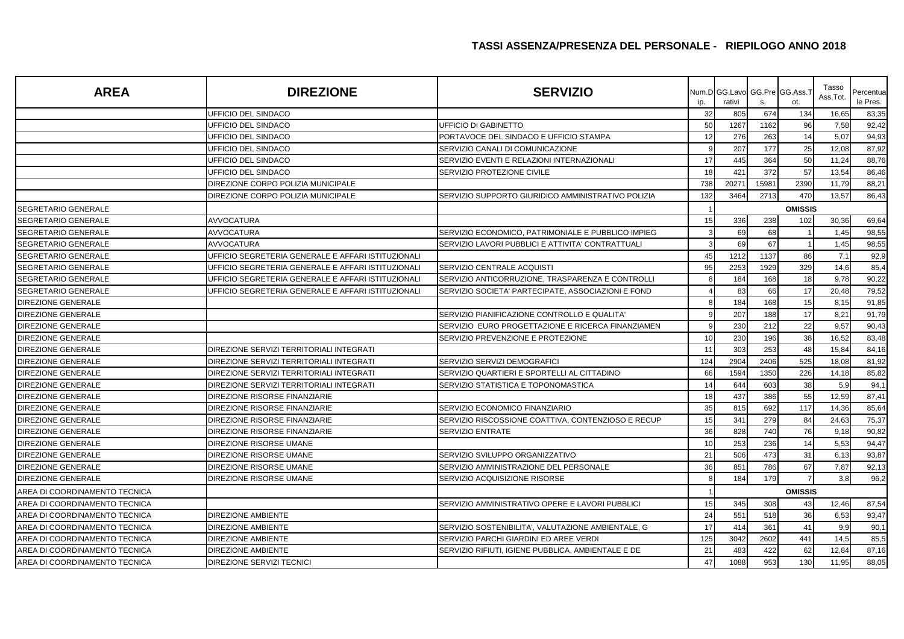| <b>AREA</b>                   | <b>DIREZIONE</b>                                   | <b>SERVIZIO</b>                                    | ip. | rativi | s.    | Num.D GG.Lavo GG.Pre GG.Ass.T<br>ot. | Tasso<br>Ass.Tot. | Percentua<br>le Pres. |
|-------------------------------|----------------------------------------------------|----------------------------------------------------|-----|--------|-------|--------------------------------------|-------------------|-----------------------|
|                               | UFFICIO DEL SINDACO                                |                                                    | 32  | 805    | 674   | 134                                  | 16,65             | 83,35                 |
|                               | UFFICIO DEL SINDACO                                | UFFICIO DI GABINETTO                               | 50  | 1267   | 1162  | 96                                   | 7,58              | 92,42                 |
|                               | UFFICIO DEL SINDACO                                | PORTAVOCE DEL SINDACO E UFFICIO STAMPA             | 12  | 276    | 263   | 14                                   | 5,07              | 94,93                 |
|                               | UFFICIO DEL SINDACO                                | SERVIZIO CANALI DI COMUNICAZIONE                   |     | 207    | 177   | 25                                   | 12,08             | 87,92                 |
|                               | UFFICIO DEL SINDACO                                | SERVIZIO EVENTI E RELAZIONI INTERNAZIONALI         | 17  | 445    | 364   | 50                                   | 11,24             | 88,76                 |
|                               | UFFICIO DEL SINDACO                                | SERVIZIO PROTEZIONE CIVILE                         | 18  | 421    | 372   | 57                                   | 13,54             | 86,46                 |
|                               | DIREZIONE CORPO POLIZIA MUNICIPALE                 |                                                    | 738 | 2027'  | 15981 | 2390                                 | 11,79             | 88,21                 |
|                               | DIREZIONE CORPO POLIZIA MUNICIPALE                 | SERVIZIO SUPPORTO GIURIDICO AMMINISTRATIVO POLIZIA | 132 | 3464   | 2713  | 470                                  | 13,57             | 86,43                 |
| SEGRETARIO GENERALE           |                                                    |                                                    |     |        |       | <b>OMISSIS</b>                       |                   |                       |
| SEGRETARIO GENERALE           | <b>AVVOCATURA</b>                                  |                                                    | 15  | 336    | 238   | 102                                  | 30,36             | 69,64                 |
| SEGRETARIO GENERALE           | <b>AVVOCATURA</b>                                  | SERVIZIO ECONOMICO, PATRIMONIALE E PUBBLICO IMPIEG |     | 69     | 68    |                                      | 1,45              | 98,55                 |
| SEGRETARIO GENERALE           | AVVOCATURA                                         | SERVIZIO LAVORI PUBBLICI E ATTIVITA' CONTRATTUALI  |     | 69     | 67    |                                      | 1,45              | 98,55                 |
| SEGRETARIO GENERALE           | UFFICIO SEGRETERIA GENERALE E AFFARI ISTITUZIONALI |                                                    | 45  | 1212   | 1137  | 86                                   | 7,1               | 92,9                  |
| SEGRETARIO GENERALE           | UFFICIO SEGRETERIA GENERALE E AFFARI ISTITUZIONALI | SERVIZIO CENTRALE ACQUISTI                         | 95  | 2253   | 1929  | 329                                  | 14,6              | 85,4                  |
| SEGRETARIO GENERALE           | UFFICIO SEGRETERIA GENERALE E AFFARI ISTITUZIONALI | SERVIZIO ANTICORRUZIONE, TRASPARENZA E CONTROLLI   |     | 184    | 168   | 18                                   | 9,78              | 90,22                 |
| SEGRETARIO GENERALE           | UFFICIO SEGRETERIA GENERALE E AFFARI ISTITUZIONALI | SERVIZIO SOCIETA' PARTECIPATE, ASSOCIAZIONI E FOND |     | 83     | 66    | 17                                   | 20,48             | 79,52                 |
| DIREZIONE GENERALE            |                                                    |                                                    |     | 184    | 168   | 15                                   | 8,15              | 91,85                 |
| <b>DIREZIONE GENERALE</b>     |                                                    | SERVIZIO PIANIFICAZIONE CONTROLLO E QUALITA'       |     | 207    | 188   | 17                                   | 8,21              | 91,79                 |
| DIREZIONE GENERALE            |                                                    | SERVIZIO EURO PROGETTAZIONE E RICERCA FINANZIAMEN  |     | 230    | 212   | 22                                   | 9,57              | 90,43                 |
| DIREZIONE GENERALE            |                                                    | SERVIZIO PREVENZIONE E PROTEZIONE                  | 10  | 230    | 196   | 38                                   | 16,52             | 83,48                 |
| DIREZIONE GENERALE            | DIREZIONE SERVIZI TERRITORIALI INTEGRATI           |                                                    | 11  | 303    | 253   | 48                                   | 15,84             | 84,16                 |
| DIREZIONE GENERALE            | DIREZIONE SERVIZI TERRITORIALI INTEGRATI           | SERVIZIO SERVIZI DEMOGRAFICI                       | 124 | 2904   | 2406  | 525                                  | 18,08             | 81,92                 |
| <b>DIREZIONE GENERALE</b>     | DIREZIONE SERVIZI TERRITORIALI INTEGRATI           | SERVIZIO QUARTIERI E SPORTELLI AL CITTADINO        | 66  | 1594   | 1350  | 226                                  | 14,18             | 85,82                 |
| DIREZIONE GENERALE            | DIREZIONE SERVIZI TERRITORIALI INTEGRATI           | SERVIZIO STATISTICA E TOPONOMASTICA                | 14  | 644    | 603   | 38                                   | 5,9               | 94,1                  |
| <b>DIREZIONE GENERALE</b>     | DIREZIONE RISORSE FINANZIARIE                      |                                                    | 18  | 437    | 386   | 55                                   | 12,59             | 87,41                 |
| DIREZIONE GENERALE            | DIREZIONE RISORSE FINANZIARIE                      | SERVIZIO ECONOMICO FINANZIARIO                     | 35  | 815    | 692   | 117                                  | 14,36             | 85,64                 |
| DIREZIONE GENERALE            | DIREZIONE RISORSE FINANZIARIE                      | SERVIZIO RISCOSSIONE COATTIVA, CONTENZIOSO E RECUP | 15  | 341    | 279   | 84                                   | 24,63             | 75,37                 |
| DIREZIONE GENERALE            | DIREZIONE RISORSE FINANZIARIE                      | <b>SERVIZIO ENTRATE</b>                            | 36  | 828    | 740   | 76                                   | 9,18              | 90,82                 |
| DIREZIONE GENERALE            | DIREZIONE RISORSE UMANE                            |                                                    | 10  | 253    | 236   | 14                                   | 5,53              | 94,47                 |
| DIREZIONE GENERALE            | DIREZIONE RISORSE UMANE                            | SERVIZIO SVILUPPO ORGANIZZATIVO                    | 21  | 506    | 473   | 31                                   | 6,13              | 93,87                 |
| DIREZIONE GENERALE            | DIREZIONE RISORSE UMANE                            | SERVIZIO AMMINISTRAZIONE DEL PERSONALE             | 36  | 851    | 786   | 67                                   | 7,87              | 92,13                 |
| <b>DIREZIONE GENERALE</b>     | DIREZIONE RISORSE UMANE                            | SERVIZIO ACQUISIZIONE RISORSE                      | R   | 184    | 179   | $\overline{7}$                       | 3,8               | 96,2                  |
| AREA DI COORDINAMENTO TECNICA |                                                    |                                                    |     |        |       | <b>OMISSIS</b>                       |                   |                       |
| AREA DI COORDINAMENTO TECNICA |                                                    | SERVIZIO AMMINISTRATIVO OPERE E LAVORI PUBBLICI    | 15  | 345    | 308   | 43                                   | 12,46             | 87,54                 |
| AREA DI COORDINAMENTO TECNICA | DIREZIONE AMBIENTE                                 |                                                    | 24  | 551    | 518   | 36                                   | 6,53              | 93,47                 |
| AREA DI COORDINAMENTO TECNICA | DIREZIONE AMBIENTE                                 | SERVIZIO SOSTENIBILITA', VALUTAZIONE AMBIENTALE, G | 17  | 414    | 361   | 41                                   | 9,9               | 90,1                  |
| AREA DI COORDINAMENTO TECNICA | DIREZIONE AMBIENTE                                 | SERVIZIO PARCHI GIARDINI ED AREE VERDI             | 125 | 3042   | 2602  | 441                                  | 14,5              | 85,5                  |
| AREA DI COORDINAMENTO TECNICA | DIREZIONE AMBIENTE                                 | SERVIZIO RIFIUTI, IGIENE PUBBLICA, AMBIENTALE E DE | 21  | 483    | 422   | 62                                   | 12,84             | 87,16                 |
| AREA DI COORDINAMENTO TECNICA | DIREZIONE SERVIZI TECNICI                          |                                                    | 47  | 1088   | 953   | 130                                  | 11.95             | 88,05                 |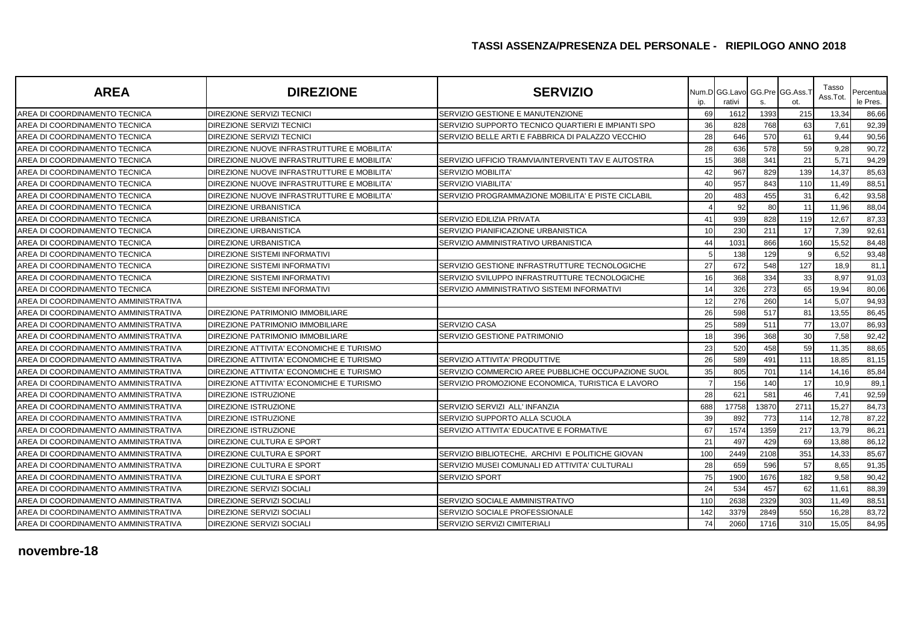| <b>AREA</b>                          | <b>DIREZIONE</b>                           | <b>SERVIZIO</b>                                    | ip.            | Num.D GG.Lavo<br>rativi | s.    | GG.Pre GG.Ass.1<br>ot. | Tasso<br>Ass.Tot. | Percentua<br>le Pres. |
|--------------------------------------|--------------------------------------------|----------------------------------------------------|----------------|-------------------------|-------|------------------------|-------------------|-----------------------|
| AREA DI COORDINAMENTO TECNICA        | DIREZIONE SERVIZI TECNICI                  | SERVIZIO GESTIONE E MANUTENZIONE                   | 69             | 1612                    | 1393  | 215                    | 13,34             | 86,66                 |
| AREA DI COORDINAMENTO TECNICA        | DIREZIONE SERVIZI TECNICI                  | SERVIZIO SUPPORTO TECNICO QUARTIERI E IMPIANTI SPO | 36             | 828                     | 768   | 63                     | 7,61              | 92,39                 |
| AREA DI COORDINAMENTO TECNICA        | DIREZIONE SERVIZI TECNICI                  | SERVIZIO BELLE ARTI E FABBRICA DI PALAZZO VECCHIO  | 28             | 646                     | 570   | 61                     | 9,44              | 90,56                 |
| AREA DI COORDINAMENTO TECNICA        | DIREZIONE NUOVE INFRASTRUTTURE E MOBILITA' |                                                    | 28             | 636                     | 578   | 59                     | 9,28              | 90,72                 |
| AREA DI COORDINAMENTO TECNICA        | DIREZIONE NUOVE INFRASTRUTTURE E MOBILITA' | SERVIZIO UFFICIO TRAMVIA/INTERVENTI TAV E AUTOSTRA | 15             | 368                     | 341   | 21                     | 5,71              | 94,29                 |
| AREA DI COORDINAMENTO TECNICA        | DIREZIONE NUOVE INFRASTRUTTURE E MOBILITA' | SERVIZIO MOBILITA'                                 | 42             | 967                     | 829   | 139                    | 14,37             | 85,63                 |
| AREA DI COORDINAMENTO TECNICA        | DIREZIONE NUOVE INFRASTRUTTURE E MOBILITA' | <b>SERVIZIO VIABILITA'</b>                         | 40             | 957                     | 843   | 110                    | 11,49             | 88,51                 |
| AREA DI COORDINAMENTO TECNICA        | DIREZIONE NUOVE INFRASTRUTTURE E MOBILITA' | SERVIZIO PROGRAMMAZIONE MOBILITA' E PISTE CICLABIL | 20             | 483                     | 455   | 31                     | 6,42              | 93,58                 |
| AREA DI COORDINAMENTO TECNICA        | <b>DIREZIONE URBANISTICA</b>               |                                                    |                | 92                      | 80    | 11                     | 11,96             | 88,04                 |
| AREA DI COORDINAMENTO TECNICA        | <b>DIREZIONE URBANISTICA</b>               | SERVIZIO EDILIZIA PRIVATA                          | 41             | 939                     | 828   | 119                    | 12,67             | 87,33                 |
| AREA DI COORDINAMENTO TECNICA        | <b>DIREZIONE URBANISTICA</b>               | SERVIZIO PIANIFICAZIONE URBANISTICA                | 10             | 230                     | 211   | 17                     | 7,39              | 92,61                 |
| AREA DI COORDINAMENTO TECNICA        | <b>DIREZIONE URBANISTICA</b>               | SERVIZIO AMMINISTRATIVO URBANISTICA                | 44             | 1031                    | 866   | 160                    | 15,52             | 84,48                 |
| AREA DI COORDINAMENTO TECNICA        | DIREZIONE SISTEMI INFORMATIVI              |                                                    |                | 138                     | 129   |                        | 6,52              | 93,48                 |
| AREA DI COORDINAMENTO TECNICA        | DIREZIONE SISTEMI INFORMATIVI              | SERVIZIO GESTIONE INFRASTRUTTURE TECNOLOGICHE      | 27             | 672                     | 548   | 127                    | 18,9              | 81,1                  |
| AREA DI COORDINAMENTO TECNICA        | DIREZIONE SISTEMI INFORMATIVI              | SERVIZIO SVILUPPO INFRASTRUTTURE TECNOLOGICHE      | 16             | 368                     | 334   | 33                     | 8,97              | 91,03                 |
| AREA DI COORDINAMENTO TECNICA        | DIREZIONE SISTEMI INFORMATIVI              | SERVIZIO AMMINISTRATIVO SISTEMI INFORMATIVI        | 14             | 326                     | 273   | 65                     | 19,94             | 80,06                 |
| AREA DI COORDINAMENTO AMMINISTRATIVA |                                            |                                                    | 12             | 276                     | 260   | 14                     | 5,07              | 94,93                 |
| AREA DI COORDINAMENTO AMMINISTRATIVA | DIREZIONE PATRIMONIO IMMOBILIARE           |                                                    | 26             | 598                     | 517   | 81                     | 13,55             | 86,45                 |
| AREA DI COORDINAMENTO AMMINISTRATIVA | DIREZIONE PATRIMONIO IMMOBILIARE           | SERVIZIO CASA                                      | 25             | 589                     | 511   | 77                     | 13,07             | 86,93                 |
| AREA DI COORDINAMENTO AMMINISTRATIVA | DIREZIONE PATRIMONIO IMMOBILIARE           | SERVIZIO GESTIONE PATRIMONIO                       | 18             | 396                     | 368   | 30                     | 7,58              | 92,42                 |
| AREA DI COORDINAMENTO AMMINISTRATIVA | DIREZIONE ATTIVITA' ECONOMICHE E TURISMO   |                                                    | 23             | 520                     | 458   | 59                     | 11,35             | 88,65                 |
| AREA DI COORDINAMENTO AMMINISTRATIVA | DIREZIONE ATTIVITA' ECONOMICHE E TURISMO   | SERVIZIO ATTIVITA' PRODUTTIVE                      | 26             | 589                     | 491   | 111                    | 18,85             | 81,15                 |
| AREA DI COORDINAMENTO AMMINISTRATIVA | DIREZIONE ATTIVITA' ECONOMICHE E TURISMO   | SERVIZIO COMMERCIO AREE PUBBLICHE OCCUPAZIONE SUOL | 35             | 805                     | 701   | 114                    | 14,16             | 85,84                 |
| AREA DI COORDINAMENTO AMMINISTRATIVA | DIREZIONE ATTIVITA' ECONOMICHE E TURISMO   | SERVIZIO PROMOZIONE ECONOMICA, TURISTICA E LAVORO  | $\overline{7}$ | 156                     | 140   | 17                     | 10,9              | 89,1                  |
| AREA DI COORDINAMENTO AMMINISTRATIVA | <b>DIREZIONE ISTRUZIONE</b>                |                                                    | 28             | 621                     | 581   | 46                     | 7,41              | 92,59                 |
| AREA DI COORDINAMENTO AMMINISTRATIVA | <b>DIREZIONE ISTRUZIONE</b>                | SERVIZIO SERVIZI ALL' INFANZIA                     | 688            | 17758                   | 13870 | 2711                   | 15,27             | 84,73                 |
| AREA DI COORDINAMENTO AMMINISTRATIVA | <b>DIREZIONE ISTRUZIONE</b>                | SERVIZIO SUPPORTO ALLA SCUOLA                      | 39             | 892                     | 773   | 114                    | 12,78             | 87,22                 |
| AREA DI COORDINAMENTO AMMINISTRATIVA | <b>DIREZIONE ISTRUZIONE</b>                | SERVIZIO ATTIVITA' EDUCATIVE E FORMATIVE           | 67             | 1574                    | 1359  | 217                    | 13,79             | 86,21                 |
| AREA DI COORDINAMENTO AMMINISTRATIVA | DIREZIONE CULTURA E SPORT                  |                                                    | 21             | 497                     | 429   | 69                     | 13,88             | 86,12                 |
| AREA DI COORDINAMENTO AMMINISTRATIVA | DIREZIONE CULTURA E SPORT                  | SERVIZIO BIBLIOTECHE, ARCHIVI E POLITICHE GIOVAN   | 100            | 2449                    | 2108  | 351                    | 14,33             | 85,67                 |
| AREA DI COORDINAMENTO AMMINISTRATIVA | DIREZIONE CULTURA E SPORT                  | SERVIZIO MUSEI COMUNALI ED ATTIVITA' CULTURALI     | 28             | 659                     | 596   | 57                     | 8,65              | 91,35                 |
| AREA DI COORDINAMENTO AMMINISTRATIVA | DIREZIONE CULTURA E SPORT                  | SERVIZIO SPORT                                     | 75             | 1900                    | 1676  | 182                    | 9,58              | 90,42                 |
| AREA DI COORDINAMENTO AMMINISTRATIVA | DIREZIONE SERVIZI SOCIALI                  |                                                    | 24             | 534                     | 457   | 62                     | 11,61             | 88,39                 |
| AREA DI COORDINAMENTO AMMINISTRATIVA | DIREZIONE SERVIZI SOCIALI                  | SERVIZIO SOCIALE AMMINISTRATIVO                    | 110            | 2638                    | 2329  | 303                    | 11,49             | 88,51                 |
| AREA DI COORDINAMENTO AMMINISTRATIVA | <b>DIREZIONE SERVIZI SOCIALI</b>           | SERVIZIO SOCIALE PROFESSIONALE                     | 142            | 3379                    | 2849  | 550                    | 16,28             | 83,72                 |
| AREA DI COORDINAMENTO AMMINISTRATIVA | <b>DIREZIONE SERVIZI SOCIALI</b>           | SERVIZIO SERVIZI CIMITERIALI                       | 74             | 2060                    | 1716  | 310                    | 15,05             | 84,95                 |

### **novembre-18**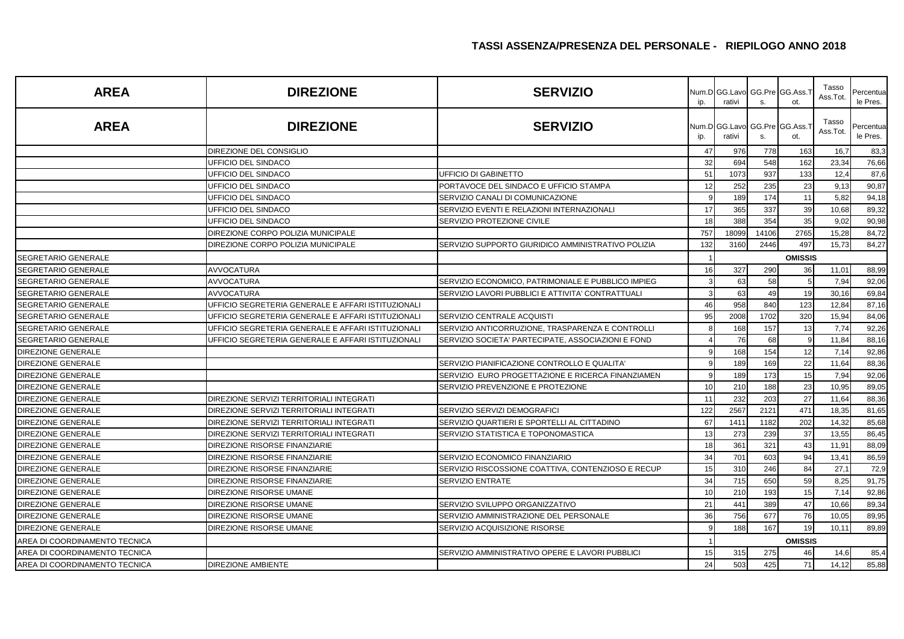| <b>AREA</b>                   | <b>DIREZIONE</b>                                   | <b>SERVIZIO</b>                                    | ip.          | Num.D GG.Lavo<br>rativi | S.    | GG.Pre GG.Ass.<br>ot.  | Tasso<br>Ass.Tot. | Percentua<br>le Pres. |
|-------------------------------|----------------------------------------------------|----------------------------------------------------|--------------|-------------------------|-------|------------------------|-------------------|-----------------------|
| <b>AREA</b>                   | <b>DIREZIONE</b>                                   | <b>SERVIZIO</b>                                    | ip.          | Num.D GG.Lavo<br>rativi | S.    | GG.Pre GG.Ass.1<br>ot. | Tasso<br>Ass.Tot. | Percentua<br>le Pres. |
|                               | DIREZIONE DEL CONSIGLIO                            |                                                    | 47           | 976                     | 778   | 163                    | 16,7              | 83,3                  |
|                               | UFFICIO DEL SINDACO                                |                                                    | 32           | 694                     | 548   | 162                    | 23,34             | 76,66                 |
|                               | UFFICIO DEL SINDACO                                | UFFICIO DI GABINETTO                               | 51           | 1073                    | 937   | 133                    | 12,4              | 87,6                  |
|                               | UFFICIO DEL SINDACO                                | PORTAVOCE DEL SINDACO E UFFICIO STAMPA             | 12           | 252                     | 235   | 23                     | 9,13              | 90,87                 |
|                               | UFFICIO DEL SINDACO                                | SERVIZIO CANALI DI COMUNICAZIONE                   | q            | 189                     | 174   | 11                     | 5,82              | 94,18                 |
|                               | UFFICIO DEL SINDACO                                | SERVIZIO EVENTI E RELAZIONI INTERNAZIONALI         | 17           | 365                     | 337   | 39                     | 10,68             | 89,32                 |
|                               | UFFICIO DEL SINDACO                                | SERVIZIO PROTEZIONE CIVILE                         | 18           | 388                     | 354   | 35                     | 9,02              | 90,98                 |
|                               | DIREZIONE CORPO POLIZIA MUNICIPALE                 |                                                    | 757          | 18099                   | 14106 | 2765                   | 15,28             | 84,72                 |
|                               | DIREZIONE CORPO POLIZIA MUNICIPALE                 | SERVIZIO SUPPORTO GIURIDICO AMMINISTRATIVO POLIZIA | 132          | 3160                    | 2446  | 497                    | 15,73             | 84,27                 |
| <b>SEGRETARIO GENERALE</b>    |                                                    |                                                    |              |                         |       | <b>OMISSIS</b>         |                   |                       |
| <b>SEGRETARIO GENERALE</b>    | <b>AVVOCATURA</b>                                  |                                                    | 16           | 327                     | 290   | 36                     | 11,01             | 88,99                 |
| <b>SEGRETARIO GENERALE</b>    | AVVOCATURA                                         | SERVIZIO ECONOMICO, PATRIMONIALE E PUBBLICO IMPIEG |              | 63                      | 58    | 5                      | 7,94              | 92,06                 |
| SEGRETARIO GENERALE           | <b>AVVOCATURA</b>                                  | SERVIZIO LAVORI PUBBLICI E ATTIVITA' CONTRATTUALI  |              | 63                      | 49    | 19                     | 30,16             | 69,84                 |
| SEGRETARIO GENERALE           | UFFICIO SEGRETERIA GENERALE E AFFARI ISTITUZIONALI |                                                    | 46           | 958                     | 840   | 123                    | 12,84             | 87,16                 |
| <b>SEGRETARIO GENERALE</b>    | UFFICIO SEGRETERIA GENERALE E AFFARI ISTITUZIONALI | SERVIZIO CENTRALE ACQUISTI                         | 95           | 2008                    | 1702  | 320                    | 15,94             | 84,06                 |
| SEGRETARIO GENERALE           | UFFICIO SEGRETERIA GENERALE E AFFARI ISTITUZIONALI | SERVIZIO ANTICORRUZIONE, TRASPARENZA E CONTROLLI   |              | 168                     | 157   | 13                     | 7,74              | 92,26                 |
| SEGRETARIO GENERALE           | UFFICIO SEGRETERIA GENERALE E AFFARI ISTITUZIONALI | SERVIZIO SOCIETA' PARTECIPATE, ASSOCIAZIONI E FOND |              | 76                      | 68    |                        | 11,84             | 88,16                 |
| DIREZIONE GENERALE            |                                                    |                                                    | q            | 168                     | 154   | 12                     | 7,14              | 92,86                 |
| <b>DIREZIONE GENERALE</b>     |                                                    | SERVIZIO PIANIFICAZIONE CONTROLLO E QUALITA'       |              | 189                     | 169   | 22                     | 11,64             | 88,36                 |
| <b>DIREZIONE GENERALE</b>     |                                                    | SERVIZIO EURO PROGETTAZIONE E RICERCA FINANZIAMEN  | 9            | 189                     | 173   | 15                     | 7,94              | 92,06                 |
| DIREZIONE GENERALE            |                                                    | SERVIZIO PREVENZIONE E PROTEZIONE                  | 10           | 210                     | 188   | 23                     | 10,95             | 89,05                 |
| <b>DIREZIONE GENERALE</b>     | DIREZIONE SERVIZI TERRITORIALI INTEGRATI           |                                                    | 11           | 232                     | 203   | 27                     | 11,64             | 88,36                 |
| <b>DIREZIONE GENERALE</b>     | DIREZIONE SERVIZI TERRITORIALI INTEGRATI           | SERVIZIO SERVIZI DEMOGRAFICI                       | 122          | 2567                    | 2121  | 471                    | 18,35             | 81,65                 |
| <b>DIREZIONE GENERALE</b>     | DIREZIONE SERVIZI TERRITORIALI INTEGRATI           | SERVIZIO QUARTIERI E SPORTELLI AL CITTADINO        | 67           | 141'                    | 1182  | 202                    | 14,32             | 85,68                 |
| DIREZIONE GENERALE            | DIREZIONE SERVIZI TERRITORIALI INTEGRATI           | SERVIZIO STATISTICA E TOPONOMASTICA                | 13           | 273                     | 239   | 37                     | 13,55             | 86,45                 |
| <b>DIREZIONE GENERALE</b>     | DIREZIONE RISORSE FINANZIARIE                      |                                                    | 18           | 361                     | 321   | 43                     | 11,91             | 88,09                 |
| <b>DIREZIONE GENERALE</b>     | DIREZIONE RISORSE FINANZIARIE                      | SERVIZIO ECONOMICO FINANZIARIO                     | 34           | 701                     | 603   | 94                     | 13,41             | 86,59                 |
| <b>DIREZIONE GENERALE</b>     | DIREZIONE RISORSE FINANZIARIE                      | SERVIZIO RISCOSSIONE COATTIVA, CONTENZIOSO E RECUP | 15           | 310                     | 246   | 84                     | 27,1              | 72,9                  |
| <b>DIREZIONE GENERALE</b>     | DIREZIONE RISORSE FINANZIARIE                      | <b>SERVIZIO ENTRATE</b>                            | 34           | 715                     | 650   | 59                     | 8,25              | 91,75                 |
| DIREZIONE GENERALE            | DIREZIONE RISORSE UMANE                            |                                                    | 10           | 210                     | 193   | 15                     | 7,14              | 92,86                 |
| <b>DIREZIONE GENERALE</b>     | DIREZIONE RISORSE UMANE                            | SERVIZIO SVILUPPO ORGANIZZATIVO                    | 21           | 441                     | 389   | 47                     | 10,66             | 89,34                 |
| <b>DIREZIONE GENERALE</b>     | DIREZIONE RISORSE UMANE                            | SERVIZIO AMMINISTRAZIONE DEL PERSONALE             | 36           | 756                     | 677   | 76                     | 10,05             | 89,95                 |
| DIREZIONE GENERALE            | DIREZIONE RISORSE UMANE                            | SERVIZIO ACQUISIZIONE RISORSE                      | $\mathbf{q}$ | 188                     | 167   | 19                     | 10,11             | 89,89                 |
| AREA DI COORDINAMENTO TECNICA |                                                    |                                                    |              |                         |       | <b>OMISSIS</b>         |                   |                       |
| AREA DI COORDINAMENTO TECNICA |                                                    | SERVIZIO AMMINISTRATIVO OPERE E LAVORI PUBBLICI    | 15           | 315                     | 275   | 46                     | 14,6              | 85,4                  |
| AREA DI COORDINAMENTO TECNICA | <b>DIREZIONE AMBIENTE</b>                          |                                                    | 24           | 503                     | 425   | 71                     | 14,12             | 85,88                 |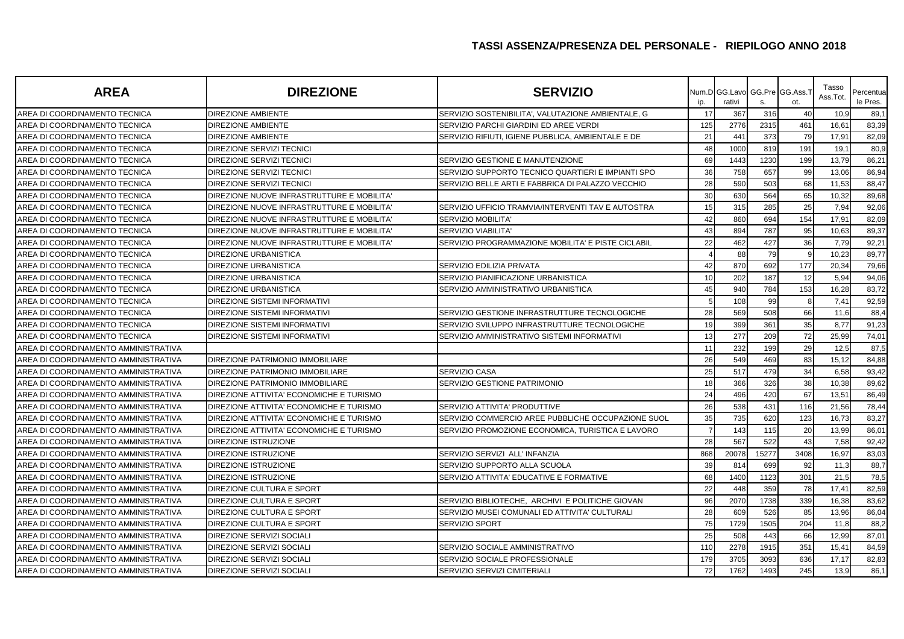| <b>AREA</b>                          | <b>DIREZIONE</b>                           | <b>SERVIZIO</b>                                    | ip. | Num.DIGG.Lavo<br>rativi | S.    | GG.Pre GG.Ass.<br>ot. | Tasso<br>Ass.Tot. | Percentua<br>le Pres. |
|--------------------------------------|--------------------------------------------|----------------------------------------------------|-----|-------------------------|-------|-----------------------|-------------------|-----------------------|
| AREA DI COORDINAMENTO TECNICA        | <b>DIREZIONE AMBIENTE</b>                  | SERVIZIO SOSTENIBILITA', VALUTAZIONE AMBIENTALE, G | 17  | 367                     | 316   | 40                    | 10,9              | 89,1                  |
| AREA DI COORDINAMENTO TECNICA        | <b>DIREZIONE AMBIENTE</b>                  | SERVIZIO PARCHI GIARDINI ED AREE VERDI             | 125 | 2776                    | 2315  | 461                   | 16,61             | 83,39                 |
| AREA DI COORDINAMENTO TECNICA        | <b>DIREZIONE AMBIENTE</b>                  | SERVIZIO RIFIUTI, IGIENE PUBBLICA, AMBIENTALE E DE | 21  | 441                     | 373   | 79                    | 17,91             | 82,09                 |
| AREA DI COORDINAMENTO TECNICA        | DIREZIONE SERVIZI TECNICI                  |                                                    | 48  | 1000                    | 819   | 191                   | 19,1              | 80,9                  |
| AREA DI COORDINAMENTO TECNICA        | DIREZIONE SERVIZI TECNICI                  | SERVIZIO GESTIONE E MANUTENZIONE                   | 69  | 1443                    | 1230  | 199                   | 13,79             | 86,21                 |
| AREA DI COORDINAMENTO TECNICA        | DIREZIONE SERVIZI TECNICI                  | SERVIZIO SUPPORTO TECNICO QUARTIERI E IMPIANTI SPO | 36  | 758                     | 657   | 99                    | 13,06             | 86,94                 |
| AREA DI COORDINAMENTO TECNICA        | DIREZIONE SERVIZI TECNICI                  | SERVIZIO BELLE ARTI E FABBRICA DI PALAZZO VECCHIO  | 28  | 590                     | 503   | 68                    | 11,53             | 88,47                 |
| AREA DI COORDINAMENTO TECNICA        | DIREZIONE NUOVE INFRASTRUTTURE E MOBILITA' |                                                    | 30  | 630                     | 564   | 65                    | 10,32             | 89,68                 |
| AREA DI COORDINAMENTO TECNICA        | DIREZIONE NUOVE INFRASTRUTTURE E MOBILITA' | SERVIZIO UFFICIO TRAMVIA/INTERVENTI TAV E AUTOSTRA | 15  | 315                     | 285   | 25                    | 7,94              | 92,06                 |
| AREA DI COORDINAMENTO TECNICA        | DIREZIONE NUOVE INFRASTRUTTURE E MOBILITA' | <b>SERVIZIO MOBILITA'</b>                          | 42  | 860                     | 694   | 154                   | 17,91             | 82,09                 |
| AREA DI COORDINAMENTO TECNICA        | DIREZIONE NUOVE INFRASTRUTTURE E MOBILITA' | <b>SERVIZIO VIABILITA</b>                          | 43  | 894                     | 787   | 95                    | 10,63             | 89,37                 |
| AREA DI COORDINAMENTO TECNICA        | DIREZIONE NUOVE INFRASTRUTTURE E MOBILITA' | SERVIZIO PROGRAMMAZIONE MOBILITA' E PISTE CICLABIL | 22  | 462                     | 427   | 36                    | 7,79              | 92,21                 |
| AREA DI COORDINAMENTO TECNICA        | <b>DIREZIONE URBANISTICA</b>               |                                                    |     | 88                      | 79    | <b>q</b>              | 10,23             | 89,77                 |
| AREA DI COORDINAMENTO TECNICA        | <b>DIREZIONE URBANISTICA</b>               | SERVIZIO EDILIZIA PRIVATA                          | 42  | 870                     | 692   | 177                   | 20,34             | 79,66                 |
| AREA DI COORDINAMENTO TECNICA        | DIREZIONE URBANISTICA                      | SERVIZIO PIANIFICAZIONE URBANISTICA                | 10  | 202                     | 187   | 12                    | 5,94              | 94,06                 |
| AREA DI COORDINAMENTO TECNICA        | <b>DIREZIONE URBANISTICA</b>               | SERVIZIO AMMINISTRATIVO URBANISTICA                | 45  | 940                     | 784   | 153                   | 16,28             | 83,72                 |
| AREA DI COORDINAMENTO TECNICA        | <b>DIREZIONE SISTEMI INFORMATIVI</b>       |                                                    |     | 108                     | 99    |                       | 7,41              | 92,59                 |
| AREA DI COORDINAMENTO TECNICA        | DIREZIONE SISTEMI INFORMATIVI              | SERVIZIO GESTIONE INFRASTRUTTURE TECNOLOGICHE      | 28  | 569                     | 508   | 66                    | 11,6              | 88,4                  |
| AREA DI COORDINAMENTO TECNICA        | DIREZIONE SISTEMI INFORMATIVI              | SERVIZIO SVILUPPO INFRASTRUTTURE TECNOLOGICHE      | 19  | 399                     | 361   | 35                    | 8,77              | 91,23                 |
| AREA DI COORDINAMENTO TECNICA        | <b>DIREZIONE SISTEMI INFORMATIVI</b>       | SERVIZIO AMMINISTRATIVO SISTEMI INFORMATIVI        | 13  | 277                     | 209   | 72                    | 25,99             | 74,01                 |
| AREA DI COORDINAMENTO AMMINISTRATIVA |                                            |                                                    | 11  | 232                     | 199   | 29                    | 12,5              | 87,5                  |
| AREA DI COORDINAMENTO AMMINISTRATIVA | DIREZIONE PATRIMONIO IMMOBILIARE           |                                                    | 26  | 549                     | 469   | 83                    | 15,12             | 84,88                 |
| AREA DI COORDINAMENTO AMMINISTRATIVA | DIREZIONE PATRIMONIO IMMOBILIARE           | <b>SERVIZIO CASA</b>                               | 25  | 517                     | 479   | 34                    | 6,58              | 93,42                 |
| AREA DI COORDINAMENTO AMMINISTRATIVA | DIREZIONE PATRIMONIO IMMOBILIARE           | SERVIZIO GESTIONE PATRIMONIO                       | 18  | 366                     | 326   | 38                    | 10,38             | 89,62                 |
| AREA DI COORDINAMENTO AMMINISTRATIVA | DIREZIONE ATTIVITA' ECONOMICHE E TURISMO   |                                                    | 24  | 496                     | 420   | 67                    | 13,51             | 86,49                 |
| AREA DI COORDINAMENTO AMMINISTRATIVA | DIREZIONE ATTIVITA' ECONOMICHE E TURISMO   | <b>SERVIZIO ATTIVITA' PRODUTTIVE</b>               | 26  | 538                     | 431   | 116                   | 21,56             | 78,44                 |
| AREA DI COORDINAMENTO AMMINISTRATIVA | DIREZIONE ATTIVITA' ECONOMICHE E TURISMO   | SERVIZIO COMMERCIO AREE PUBBLICHE OCCUPAZIONE SUOL | 35  | 735                     | 620   | 123                   | 16,73             | 83,27                 |
| AREA DI COORDINAMENTO AMMINISTRATIVA | DIREZIONE ATTIVITA' ECONOMICHE E TURISMO   | SERVIZIO PROMOZIONE ECONOMICA, TURISTICA E LAVORO  |     | 143                     | 115   | 20                    | 13,99             | 86,01                 |
| AREA DI COORDINAMENTO AMMINISTRATIVA | <b>DIREZIONE ISTRUZIONE</b>                |                                                    | 28  | 567                     | 522   | 43                    | 7,58              | 92,42                 |
| AREA DI COORDINAMENTO AMMINISTRATIVA | DIREZIONE ISTRUZIONE                       | SERVIZIO SERVIZI ALL' INFANZIA                     | 868 | 20078                   | 15277 | 3408                  | 16,97             | 83,03                 |
| AREA DI COORDINAMENTO AMMINISTRATIVA | <b>DIREZIONE ISTRUZIONE</b>                | SERVIZIO SUPPORTO ALLA SCUOLA                      | 39  | 814                     | 699   | 92                    | 11,3              | 88,7                  |
| AREA DI COORDINAMENTO AMMINISTRATIVA | <b>DIREZIONE ISTRUZIONE</b>                | SERVIZIO ATTIVITA' EDUCATIVE E FORMATIVE           | 68  | 1400                    | 1123  | 301                   | 21.5              | 78,5                  |
| AREA DI COORDINAMENTO AMMINISTRATIVA | DIREZIONE CULTURA E SPORT                  |                                                    | 22  | 448                     | 359   | 78                    | 17,41             | 82,59                 |
| AREA DI COORDINAMENTO AMMINISTRATIVA | DIREZIONE CULTURA E SPORT                  | SERVIZIO BIBLIOTECHE. ARCHIVI E POLITICHE GIOVAN   | 96  | 2070                    | 1738  | 339                   | 16,38             | 83,62                 |
| AREA DI COORDINAMENTO AMMINISTRATIVA | DIREZIONE CULTURA E SPORT                  | SERVIZIO MUSEI COMUNALI ED ATTIVITA' CULTURALI     | 28  | 609                     | 526   | 85                    | 13,96             | 86,04                 |
| AREA DI COORDINAMENTO AMMINISTRATIVA | DIREZIONE CULTURA E SPORT                  | <b>SERVIZIO SPORT</b>                              | 75  | 1729                    | 1505  | 204                   | 11,8              | 88,2                  |
| AREA DI COORDINAMENTO AMMINISTRATIVA | DIREZIONE SERVIZI SOCIALI                  |                                                    | 25  | 508                     | 443   | 66                    | 12,99             | 87,01                 |
| AREA DI COORDINAMENTO AMMINISTRATIVA | DIREZIONE SERVIZI SOCIALI                  | SERVIZIO SOCIALE AMMINISTRATIVO                    | 110 | 2278                    | 1915  | 351                   | 15,41             | 84,59                 |
| AREA DI COORDINAMENTO AMMINISTRATIVA | DIREZIONE SERVIZI SOCIALI                  | SERVIZIO SOCIALE PROFESSIONALE                     | 179 | 3705                    | 3093  | 636                   | 17,17             | 82,83                 |
| AREA DI COORDINAMENTO AMMINISTRATIVA | <b>DIREZIONE SERVIZI SOCIALI</b>           | SERVIZIO SERVIZI CIMITERIALI                       | 72  | 1762                    | 1493  | 245                   | 13,9              | 86,1                  |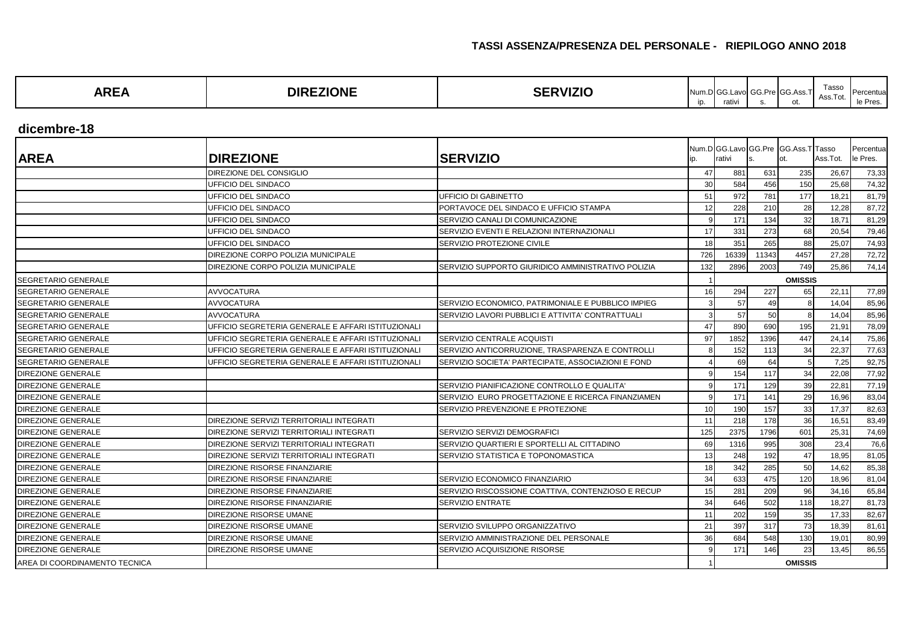| ARE/ | -------<br>ЭIF<br>INI<br>. | -----<br>ZK | Num<br><b>ID.</b> | .nlcc<br>rativ. | - -<br>PreIG | Acc<br>. נטטו<br>. | Tasso<br>. | --<br>יו וסטוי |
|------|----------------------------|-------------|-------------------|-----------------|--------------|--------------------|------------|----------------|
|------|----------------------------|-------------|-------------------|-----------------|--------------|--------------------|------------|----------------|

**dicembre-18**

| <b>AREA</b>                   | <b>DIREZIONE</b>                                   | <b>SERVIZIO</b>                                    | ip. | rativi         |       | Num.D GG.Lavo GG.Pre GG.Ass.T Tasso<br>ot. | Ass.Tot. | Percentua<br>le Pres. |
|-------------------------------|----------------------------------------------------|----------------------------------------------------|-----|----------------|-------|--------------------------------------------|----------|-----------------------|
|                               | DIREZIONE DEL CONSIGLIO                            |                                                    | 47  | 881            | 631   | 235                                        | 26,67    | 73,33                 |
|                               | UFFICIO DEL SINDACO                                |                                                    | 30  | 584            | 456   | 150                                        | 25,68    | 74,32                 |
|                               | UFFICIO DEL SINDACO                                | UFFICIO DI GABINETTO                               | 51  | 972            | 781   | 177                                        | 18,21    | 81,79                 |
|                               | UFFICIO DEL SINDACO                                | PORTAVOCE DEL SINDACO E UFFICIO STAMPA             | 12  | 228            | 210   | 28                                         | 12,28    | 87,72                 |
|                               | UFFICIO DEL SINDACO                                | SERVIZIO CANALI DI COMUNICAZIONE                   | q   | 171            | 134   | 32                                         | 18,71    | 81,29                 |
|                               | UFFICIO DEL SINDACO                                | SERVIZIO EVENTI E RELAZIONI INTERNAZIONALI         | 17  | 331            | 273   | 68                                         | 20,54    | 79,46                 |
|                               | UFFICIO DEL SINDACO                                | SERVIZIO PROTEZIONE CIVILE                         | 18  | 351            | 265   | 88                                         | 25,07    | 74,93                 |
|                               | DIREZIONE CORPO POLIZIA MUNICIPALE                 |                                                    | 726 | 16339          | 11343 | 4457                                       | 27,28    | 72,72                 |
|                               | DIREZIONE CORPO POLIZIA MUNICIPALE                 | SERVIZIO SUPPORTO GIURIDICO AMMINISTRATIVO POLIZIA | 132 | 2896           | 2003  | 749                                        | 25,86    | 74,14                 |
| <b>SEGRETARIO GENERALE</b>    |                                                    |                                                    |     |                |       | <b>OMISSIS</b>                             |          |                       |
| <b>SEGRETARIO GENERALE</b>    | <b>AVVOCATURA</b>                                  |                                                    | 16  | 294            | 227   | 65                                         | 22,11    | 77,89                 |
| <b>SEGRETARIO GENERALE</b>    | <b>AVVOCATURA</b>                                  | SERVIZIO ECONOMICO, PATRIMONIALE E PUBBLICO IMPIEG |     | 57             | 49    | 8                                          | 14,04    | 85,96                 |
| <b>SEGRETARIO GENERALE</b>    | <b>AVVOCATURA</b>                                  | SERVIZIO LAVORI PUBBLICI E ATTIVITA' CONTRATTUALI  |     | 57             | 50    |                                            | 14,04    | 85,96                 |
| <b>SEGRETARIO GENERALE</b>    | UFFICIO SEGRETERIA GENERALE E AFFARI ISTITUZIONALI |                                                    | 47  | 890            | 690   | 195                                        | 21,91    | 78,09                 |
| <b>SEGRETARIO GENERALE</b>    | UFFICIO SEGRETERIA GENERALE E AFFARI ISTITUZIONALI | SERVIZIO CENTRALE ACQUISTI                         | 97  | 1852           | 1396  | 447                                        | 24,14    | 75,86                 |
| <b>SEGRETARIO GENERALE</b>    | UFFICIO SEGRETERIA GENERALE E AFFARI ISTITUZIONALI | SERVIZIO ANTICORRUZIONE, TRASPARENZA E CONTROLLI   |     | 152            | 113   | 34                                         | 22,37    | 77,63                 |
| SEGRETARIO GENERALE           | UFFICIO SEGRETERIA GENERALE E AFFARI ISTITUZIONALI | SERVIZIO SOCIETA' PARTECIPATE, ASSOCIAZIONI E FOND |     | 69             | 64    |                                            | 7,25     | 92,75                 |
| <b>DIREZIONE GENERALE</b>     |                                                    |                                                    |     | 154            | 117   | 34                                         | 22,08    | 77,92                 |
| <b>DIREZIONE GENERALE</b>     |                                                    | SERVIZIO PIANIFICAZIONE CONTROLLO E QUALITA'       |     | 171            | 129   | 39                                         | 22,81    | 77,19                 |
| DIREZIONE GENERALE            |                                                    | SERVIZIO EURO PROGETTAZIONE E RICERCA FINANZIAMEN  |     | 171            | 141   | 29                                         | 16,96    | 83,04                 |
| <b>DIREZIONE GENERALE</b>     |                                                    | SERVIZIO PREVENZIONE E PROTEZIONE                  | 10  | 190            | 157   | 33                                         | 17,37    | 82,63                 |
| <b>DIREZIONE GENERALE</b>     | DIREZIONE SERVIZI TERRITORIALI INTEGRATI           |                                                    | 11  | 218            | 178   | 36                                         | 16,51    | 83,49                 |
| <b>DIREZIONE GENERALE</b>     | DIREZIONE SERVIZI TERRITORIALI INTEGRATI           | SERVIZIO SERVIZI DEMOGRAFICI                       | 125 | 2375           | 1796  | 601                                        | 25,31    | 74,69                 |
| <b>DIREZIONE GENERALE</b>     | DIREZIONE SERVIZI TERRITORIALI INTEGRATI           | SERVIZIO QUARTIERI E SPORTELLI AL CITTADINO        | 69  | 1316           | 995   | 308                                        | 23,4     | 76,6                  |
| DIREZIONE GENERALE            | DIREZIONE SERVIZI TERRITORIALI INTEGRATI           | SERVIZIO STATISTICA E TOPONOMASTICA                | 13  | 248            | 192   | 47                                         | 18,95    | 81,05                 |
| DIREZIONE GENERALE            | DIREZIONE RISORSE FINANZIARIE                      |                                                    | 18  | 342            | 285   | 50                                         | 14,62    | 85,38                 |
| DIREZIONE GENERALE            | DIREZIONE RISORSE FINANZIARIE                      | SERVIZIO ECONOMICO FINANZIARIO                     | 34  | 633            | 475   | 120                                        | 18,96    | 81,04                 |
| DIREZIONE GENERALE            | DIREZIONE RISORSE FINANZIARIE                      | SERVIZIO RISCOSSIONE COATTIVA, CONTENZIOSO E RECUP | 15  | 281            | 209   | 96                                         | 34,16    | 65,84                 |
| <b>DIREZIONE GENERALE</b>     | DIREZIONE RISORSE FINANZIARIE                      | <b>SERVIZIO ENTRATE</b>                            | 34  | 646            | 502   | 118                                        | 18,27    | 81,73                 |
| <b>DIREZIONE GENERALE</b>     | DIREZIONE RISORSE UMANE                            |                                                    | 11  | 202            | 159   | 35                                         | 17,33    | 82,67                 |
| <b>DIREZIONE GENERALE</b>     | DIREZIONE RISORSE UMANE                            | SERVIZIO SVILUPPO ORGANIZZATIVO                    | 21  | 397            | 317   | 73                                         | 18,39    | 81,61                 |
| <b>DIREZIONE GENERALE</b>     | DIREZIONE RISORSE UMANE                            | SERVIZIO AMMINISTRAZIONE DEL PERSONALE             | 36  | 684            | 548   | 130                                        | 19,01    | 80,99                 |
| <b>DIREZIONE GENERALE</b>     | DIREZIONE RISORSE UMANE                            | SERVIZIO ACQUISIZIONE RISORSE                      |     | 171            | 146   | 23                                         | 13,45    | 86,55                 |
| AREA DI COORDINAMENTO TECNICA |                                                    |                                                    |     | <b>OMISSIS</b> |       |                                            |          |                       |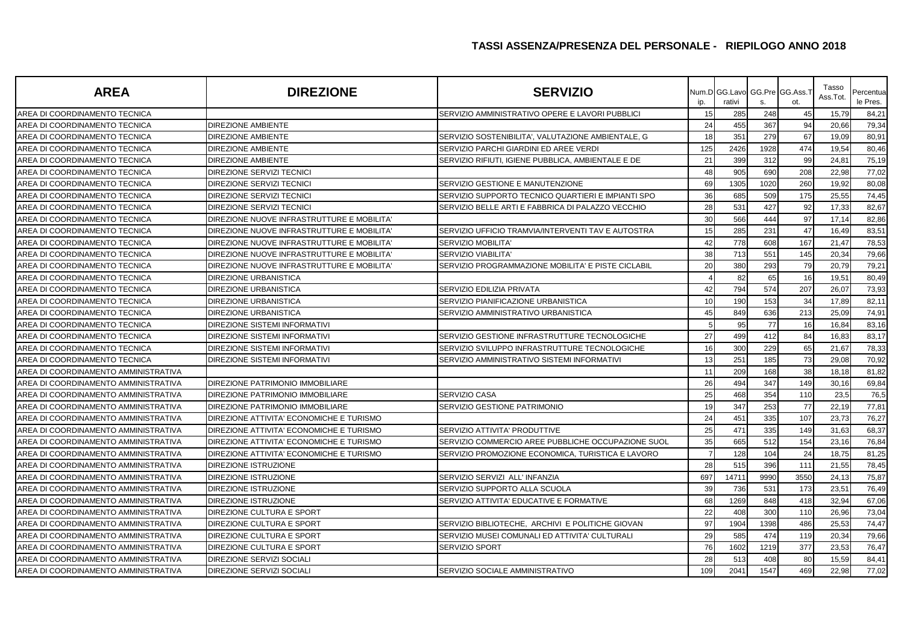| <b>AREA</b>                          | <b>DIREZIONE</b>                           | <b>SERVIZIO</b>                                    | ip. | Num.D GG.Lavo<br>rativi | S.   | GG.Pre GG.Ass.<br>ot. | Tasso<br>Ass.Tot. | Percentua<br>le Pres. |
|--------------------------------------|--------------------------------------------|----------------------------------------------------|-----|-------------------------|------|-----------------------|-------------------|-----------------------|
| AREA DI COORDINAMENTO TECNICA        |                                            | SERVIZIO AMMINISTRATIVO OPERE E LAVORI PUBBLICI    | 15  | 285                     | 248  | 45                    | 15,79             | 84,21                 |
| AREA DI COORDINAMENTO TECNICA        | <b>DIREZIONE AMBIENTE</b>                  |                                                    | 24  | 455                     | 367  | 94                    | 20,66             | 79,34                 |
| AREA DI COORDINAMENTO TECNICA        | <b>DIREZIONE AMBIENTE</b>                  | SERVIZIO SOSTENIBILITA', VALUTAZIONE AMBIENTALE, G | 18  | 351                     | 279  | 67                    | 19,09             | 80,91                 |
| AREA DI COORDINAMENTO TECNICA        | <b>DIREZIONE AMBIENTE</b>                  | SERVIZIO PARCHI GIARDINI ED AREE VERDI             | 125 | 2426                    | 1928 | 474                   | 19,54             | 80,46                 |
| AREA DI COORDINAMENTO TECNICA        | <b>DIREZIONE AMBIENTE</b>                  | SERVIZIO RIFIUTI, IGIENE PUBBLICA, AMBIENTALE E DE | 21  | 399                     | 312  | 99                    | 24,81             | 75,19                 |
| AREA DI COORDINAMENTO TECNICA        | DIREZIONE SERVIZI TECNICI                  |                                                    | 48  | 905                     | 690  | 208                   | 22,98             | 77,02                 |
| AREA DI COORDINAMENTO TECNICA        | DIREZIONE SERVIZI TECNICI                  | SERVIZIO GESTIONE E MANUTENZIONE                   | 69  | 1305                    | 1020 | 260                   | 19,92             | 80,08                 |
| AREA DI COORDINAMENTO TECNICA        | DIREZIONE SERVIZI TECNICI                  | SERVIZIO SUPPORTO TECNICO QUARTIERI E IMPIANTI SPO | 36  | 685                     | 509  | 175                   | 25,55             | 74,45                 |
| AREA DI COORDINAMENTO TECNICA        | DIREZIONE SERVIZI TECNICI                  | SERVIZIO BELLE ARTI E FABBRICA DI PALAZZO VECCHIO  | 28  | 531                     | 427  | 92                    | 17,33             | 82,67                 |
| AREA DI COORDINAMENTO TECNICA        | DIREZIONE NUOVE INFRASTRUTTURE E MOBILITA' |                                                    | 30  | 566                     | 444  | 97                    | 17,14             | 82,86                 |
| AREA DI COORDINAMENTO TECNICA        | DIREZIONE NUOVE INFRASTRUTTURE E MOBILITA' | SERVIZIO UFFICIO TRAMVIA/INTERVENTI TAV E AUTOSTRA | 15  | 285                     | 231  | 47                    | 16,49             | 83,51                 |
| AREA DI COORDINAMENTO TECNICA        | DIREZIONE NUOVE INFRASTRUTTURE E MOBILITA' | <b>SERVIZIO MOBILITA'</b>                          | 42  | 778                     | 608  | 167                   | 21,47             | 78,53                 |
| AREA DI COORDINAMENTO TECNICA        | DIREZIONE NUOVE INFRASTRUTTURE E MOBILITA' | <b>SERVIZIO VIABILITA</b>                          | 38  | 713                     | 551  | 145                   | 20,34             | 79,66                 |
| AREA DI COORDINAMENTO TECNICA        | DIREZIONE NUOVE INFRASTRUTTURE E MOBILITA' | SERVIZIO PROGRAMMAZIONE MOBILITA' E PISTE CICLABIL | 20  | 380                     | 293  | 79                    | 20,79             | 79,21                 |
| AREA DI COORDINAMENTO TECNICA        | DIREZIONE URBANISTICA                      |                                                    |     | 82                      | 65   | 16                    | 19,51             | 80,49                 |
| AREA DI COORDINAMENTO TECNICA        | <b>DIREZIONE URBANISTICA</b>               | SERVIZIO EDILIZIA PRIVATA                          | 42  | 794                     | 574  | 207                   | 26,07             | 73,93                 |
| AREA DI COORDINAMENTO TECNICA        | <b>DIREZIONE URBANISTICA</b>               | SERVIZIO PIANIFICAZIONE URBANISTICA                | 10  | 190                     | 153  | 34                    | 17,89             | 82,11                 |
| AREA DI COORDINAMENTO TECNICA        | <b>DIREZIONE URBANISTICA</b>               | SERVIZIO AMMINISTRATIVO URBANISTICA                | 45  | 849                     | 636  | 213                   | 25,09             | 74,91                 |
| AREA DI COORDINAMENTO TECNICA        | DIREZIONE SISTEMI INFORMATIVI              |                                                    |     | 95                      | 77   | 16                    | 16,84             | 83,16                 |
| AREA DI COORDINAMENTO TECNICA        | <b>DIREZIONE SISTEMI INFORMATIVI</b>       | SERVIZIO GESTIONE INFRASTRUTTURE TECNOLOGICHE      | 27  | 499                     | 412  | 84                    | 16,83             | 83,17                 |
| AREA DI COORDINAMENTO TECNICA        | <b>DIREZIONE SISTEMI INFORMATIVI</b>       | SERVIZIO SVILUPPO INFRASTRUTTURE TECNOLOGICHE      | 16  | 300                     | 229  | 65                    | 21,67             | 78,33                 |
| AREA DI COORDINAMENTO TECNICA        | DIREZIONE SISTEMI INFORMATIVI              | SERVIZIO AMMINISTRATIVO SISTEMI INFORMATIVI        | 13  | 251                     | 185  | 73                    | 29,08             | 70,92                 |
| AREA DI COORDINAMENTO AMMINISTRATIVA |                                            |                                                    | 11  | 209                     | 168  | 38                    | 18,18             | 81,82                 |
| AREA DI COORDINAMENTO AMMINISTRATIVA | DIREZIONE PATRIMONIO IMMOBILIARE           |                                                    | 26  | 494                     | 347  | 149                   | 30,16             | 69,84                 |
| AREA DI COORDINAMENTO AMMINISTRATIVA | DIREZIONE PATRIMONIO IMMOBILIARE           | <b>SERVIZIO CASA</b>                               | 25  | 468                     | 354  | 110                   | 23,5              | 76,5                  |
| AREA DI COORDINAMENTO AMMINISTRATIVA | DIREZIONE PATRIMONIO IMMOBILIARE           | SERVIZIO GESTIONE PATRIMONIO                       | 19  | 347                     | 253  | 77                    | 22,19             | 77,81                 |
| AREA DI COORDINAMENTO AMMINISTRATIVA | DIREZIONE ATTIVITA' ECONOMICHE E TURISMO   |                                                    | 24  | 451                     | 335  | 107                   | 23,73             | 76,27                 |
| AREA DI COORDINAMENTO AMMINISTRATIVA | DIREZIONE ATTIVITA' ECONOMICHE E TURISMO   | SERVIZIO ATTIVITA' PRODUTTIVE                      | 25  | 471                     | 335  | 149                   | 31,63             | 68,37                 |
| AREA DI COORDINAMENTO AMMINISTRATIVA | DIREZIONE ATTIVITA' ECONOMICHE E TURISMO   | SERVIZIO COMMERCIO AREE PUBBLICHE OCCUPAZIONE SUOL | 35  | 665                     | 512  | 154                   | 23,16             | 76,84                 |
| AREA DI COORDINAMENTO AMMINISTRATIVA | DIREZIONE ATTIVITA' ECONOMICHE E TURISMO   | SERVIZIO PROMOZIONE ECONOMICA, TURISTICA E LAVORO  | 7   | 128                     | 104  | 24                    | 18,75             | 81,25                 |
| AREA DI COORDINAMENTO AMMINISTRATIVA | <b>DIREZIONE ISTRUZIONE</b>                |                                                    | 28  | 515                     | 396  | 111                   | 21,55             | 78,45                 |
| AREA DI COORDINAMENTO AMMINISTRATIVA | DIREZIONE ISTRUZIONE                       | SERVIZIO SERVIZI ALL' INFANZIA                     | 697 | 1471'                   | 9990 | 355C                  | 24,13             | 75,87                 |
| AREA DI COORDINAMENTO AMMINISTRATIVA | DIREZIONE ISTRUZIONE                       | SERVIZIO SUPPORTO ALLA SCUOLA                      | 39  | 736                     | 531  | 173                   | 23,51             | 76,49                 |
| AREA DI COORDINAMENTO AMMINISTRATIVA | DIREZIONE ISTRUZIONE                       | SERVIZIO ATTIVITA' EDUCATIVE E FORMATIVE           | 68  | 1269                    | 848  | 418                   | 32,94             | 67,06                 |
| AREA DI COORDINAMENTO AMMINISTRATIVA | DIREZIONE CULTURA E SPORT                  |                                                    | 22  | 408                     | 300  | 110                   | 26,96             | 73,04                 |
| AREA DI COORDINAMENTO AMMINISTRATIVA | DIREZIONE CULTURA E SPORT                  | SERVIZIO BIBLIOTECHE, ARCHIVI E POLITICHE GIOVAN   | 97  | 1904                    | 1398 | 486                   | 25,53             | 74,47                 |
| AREA DI COORDINAMENTO AMMINISTRATIVA | DIREZIONE CULTURA E SPORT                  | SERVIZIO MUSEI COMUNALI ED ATTIVITA' CULTURALI     | 29  | 585                     | 474  | 119                   | 20,34             | 79,66                 |
| AREA DI COORDINAMENTO AMMINISTRATIVA | DIREZIONE CULTURA E SPORT                  | <b>SERVIZIO SPORT</b>                              | 76  | 1602                    | 1219 | 377                   | 23,53             | 76,47                 |
| AREA DI COORDINAMENTO AMMINISTRATIVA | DIREZIONE SERVIZI SOCIALI                  |                                                    | 28  | 513                     | 408  | 80                    | 15,59             | 84,41                 |
| AREA DI COORDINAMENTO AMMINISTRATIVA | DIREZIONE SERVIZI SOCIALI                  | SERVIZIO SOCIALE AMMINISTRATIVO                    | 109 | 2041                    | 1547 | 469                   | 22,98             | 77,02                 |